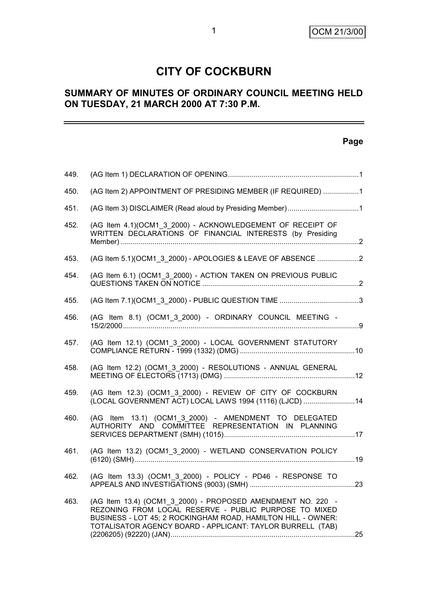# **CITY OF COCKBURN**

#### **SUMMARY OF MINUTES OF ORDINARY COUNCIL MEETING HELD ON TUESDAY, 21 MARCH 2000 AT 7:30 P.M.**

#### **Page**

| 449. |                                                                                                                                                                                                                                                    |  |
|------|----------------------------------------------------------------------------------------------------------------------------------------------------------------------------------------------------------------------------------------------------|--|
| 450. | (AG Item 2) APPOINTMENT OF PRESIDING MEMBER (IF REQUIRED) 1                                                                                                                                                                                        |  |
| 451. | (AG Item 3) DISCLAIMER (Read aloud by Presiding Member)1                                                                                                                                                                                           |  |
| 452. | (AG Item 4.1)(OCM1 3 2000) - ACKNOWLEDGEMENT OF RECEIPT OF<br>WRITTEN DECLARATIONS OF FINANCIAL INTERESTS (by Presiding                                                                                                                            |  |
| 453. | (AG Item 5.1) (OCM1 3 2000) - APOLOGIES & LEAVE OF ABSENCE 2                                                                                                                                                                                       |  |
| 454. | (AG Item 6.1) (OCM1_3_2000) - ACTION TAKEN ON PREVIOUS PUBLIC                                                                                                                                                                                      |  |
| 455. |                                                                                                                                                                                                                                                    |  |
| 456. | (AG Item 8.1) (OCM1_3_2000) - ORDINARY COUNCIL MEETING -                                                                                                                                                                                           |  |
| 457. | (AG Item 12.1) (OCM1 3 2000) - LOCAL GOVERNMENT STATUTORY                                                                                                                                                                                          |  |
| 458. | (AG Item 12.2) (OCM1_3_2000) - RESOLUTIONS - ANNUAL GENERAL                                                                                                                                                                                        |  |
| 459. | (AG Item 12.3) (OCM1_3_2000) - REVIEW OF CITY OF COCKBURN<br>(LOCAL GOVERNMENT ACT) LOCAL LAWS 1994 (1116) (LJCD) 14                                                                                                                               |  |
| 460. | (AG Item 13.1) (OCM1 3 2000) - AMENDMENT TO DELEGATED<br>AUTHORITY AND COMMITTEE REPRESENTATION IN PLANNING                                                                                                                                        |  |
| 461. | (AG Item 13.2) (OCM1_3_2000) - WETLAND CONSERVATION POLICY                                                                                                                                                                                         |  |
| 462. | (AG Item 13.3) (OCM1_3_2000) - POLICY - PD46 - RESPONSE TO                                                                                                                                                                                         |  |
| 463. | (AG Item 13.4) (OCM1 3 2000) - PROPOSED AMENDMENT NO. 220 -<br>REZONING FROM LOCAL RESERVE - PUBLIC PURPOSE TO MIXED<br>BUSINESS - LOT 45; 2 ROCKINGHAM ROAD, HAMILTON HILL - OWNER:<br>TOTALISATOR AGENCY BOARD - APPLICANT: TAYLOR BURRELL (TAB) |  |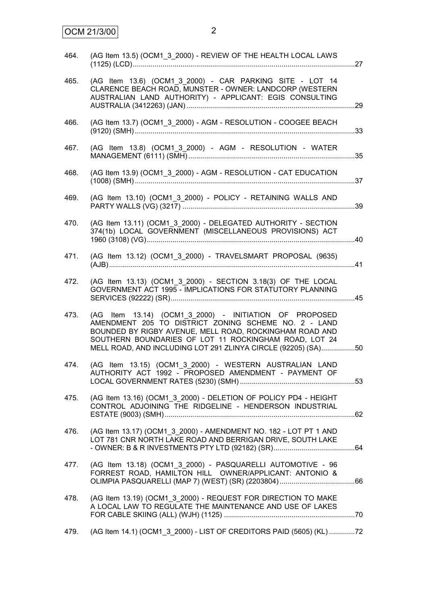| 464.   | (AG Item 13.5) (OCM1 3 2000) - REVIEW OF THE HEALTH LOCAL LAWS                                                                                                                                                                                                                                      |  |
|--------|-----------------------------------------------------------------------------------------------------------------------------------------------------------------------------------------------------------------------------------------------------------------------------------------------------|--|
| 465.   | (AG Item 13.6) (OCM1_3_2000) - CAR PARKING SITE - LOT 14<br>CLARENCE BEACH ROAD, MUNSTER - OWNER: LANDCORP (WESTERN<br>AUSTRALIAN LAND AUTHORITY) - APPLICANT: EGIS CONSULTING                                                                                                                      |  |
| 466.   | (AG Item 13.7) (OCM1_3_2000) - AGM - RESOLUTION - COOGEE BEACH                                                                                                                                                                                                                                      |  |
| 467.   | (AG Item 13.8) (OCM1_3_2000) - AGM - RESOLUTION - WATER                                                                                                                                                                                                                                             |  |
| 468.   | (AG Item 13.9) (OCM1_3_2000) - AGM - RESOLUTION - CAT EDUCATION                                                                                                                                                                                                                                     |  |
| 469.   | (AG Item 13.10) (OCM1_3_2000) - POLICY - RETAINING WALLS AND                                                                                                                                                                                                                                        |  |
| 470.   | (AG Item 13.11) (OCM1 3 2000) - DELEGATED AUTHORITY - SECTION<br>374(1b) LOCAL GOVERNMENT (MISCELLANEOUS PROVISIONS) ACT                                                                                                                                                                            |  |
| 471.   | (AG Item 13.12) (OCM1_3_2000) - TRAVELSMART PROPOSAL (9635)                                                                                                                                                                                                                                         |  |
| 472.   | (AG Item 13.13) (OCM1_3_2000) - SECTION 3.18(3) OF THE LOCAL<br>GOVERNMENT ACT 1995 - IMPLICATIONS FOR STATUTORY PLANNING                                                                                                                                                                           |  |
| 473.   | (AG Item 13.14) (OCM1 3 2000) - INITIATION OF PROPOSED<br>AMENDMENT 205 TO DISTRICT ZONING SCHEME NO. 2 - LAND<br>BOUNDED BY RIGBY AVENUE, MELL ROAD, ROCKINGHAM ROAD AND<br>SOUTHERN BOUNDARIES OF LOT 11 ROCKINGHAM ROAD, LOT 24<br>MELL ROAD, AND INCLUDING LOT 291 ZLINYA CIRCLE (92205) (SA)50 |  |
| 474.   | (AG Item 13.15) (OCM1_3_2000) - WESTERN AUSTRALIAN LAND<br>AUTHORITY ACT 1992 - PROPOSED AMENDMENT - PAYMENT OF                                                                                                                                                                                     |  |
| 475.   | (AG Item 13.16) (OCM1_3_2000) - DELETION OF POLICY PD4 - HEIGHT<br>CONTROL ADJOINING THE RIDGELINE - HENDERSON INDUSTRIAL                                                                                                                                                                           |  |
| 476.   | (AG Item 13.17) (OCM1 3 2000) - AMENDMENT NO. 182 - LOT PT 1 AND<br>LOT 781 CNR NORTH LAKE ROAD AND BERRIGAN DRIVE, SOUTH LAKE                                                                                                                                                                      |  |
| 477. . | (AG Item 13.18) (OCM1 3 2000) - PASQUARELLI AUTOMOTIVE - 96<br>FORREST ROAD, HAMILTON HILL OWNER/APPLICANT: ANTONIO &                                                                                                                                                                               |  |
| 478.   | (AG Item 13.19) (OCM1_3_2000) - REQUEST FOR DIRECTION TO MAKE<br>A LOCAL LAW TO REGULATE THE MAINTENANCE AND USE OF LAKES                                                                                                                                                                           |  |
| 479.   | (AG Item 14.1) (OCM1_3_2000) - LIST OF CREDITORS PAID (5605) (KL) 72                                                                                                                                                                                                                                |  |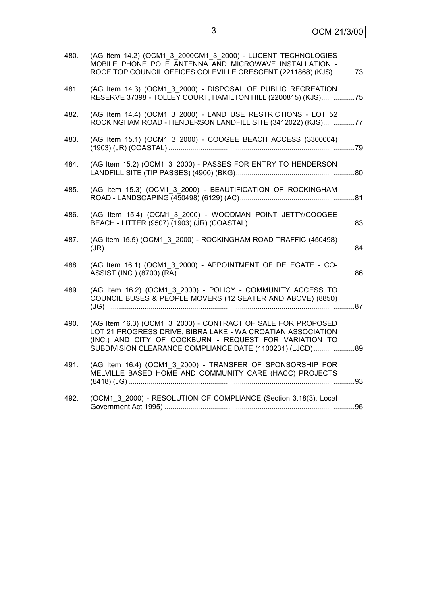| 480. | (AG Item 14.2) (OCM1 3 2000CM1 3 2000) - LUCENT TECHNOLOGIES<br>MOBILE PHONE POLE ANTENNA AND MICROWAVE INSTALLATION -<br>ROOF TOP COUNCIL OFFICES COLEVILLE CRESCENT (2211868) (KJS)73                                                            |    |
|------|----------------------------------------------------------------------------------------------------------------------------------------------------------------------------------------------------------------------------------------------------|----|
| 481. | (AG Item 14.3) (OCM1 3 2000) - DISPOSAL OF PUBLIC RECREATION<br>RESERVE 37398 - TOLLEY COURT, HAMILTON HILL (2200815) (KJS)75                                                                                                                      |    |
| 482. | (AG Item 14.4) (OCM1 3 2000) - LAND USE RESTRICTIONS - LOT 52<br>ROCKINGHAM ROAD - HENDERSON LANDFILL SITE (3412022) (KJS)77                                                                                                                       |    |
| 483. | (AG Item 15.1) (OCM1_3_2000) - COOGEE BEACH ACCESS (3300004)                                                                                                                                                                                       |    |
| 484. | (AG Item 15.2) (OCM1 3 2000) - PASSES FOR ENTRY TO HENDERSON                                                                                                                                                                                       |    |
| 485. | (AG Item 15.3) (OCM1_3_2000) - BEAUTIFICATION OF ROCKINGHAM                                                                                                                                                                                        |    |
| 486. | (AG Item 15.4) (OCM1 3 2000) - WOODMAN POINT JETTY/COOGEE                                                                                                                                                                                          |    |
| 487. | (AG Item 15.5) (OCM1_3_2000) - ROCKINGHAM ROAD TRAFFIC (450498)                                                                                                                                                                                    |    |
| 488. | (AG Item 16.1) (OCM1_3_2000) - APPOINTMENT OF DELEGATE - CO-                                                                                                                                                                                       |    |
| 489. | (AG Item 16.2) (OCM1_3_2000) - POLICY - COMMUNITY ACCESS TO<br>COUNCIL BUSES & PEOPLE MOVERS (12 SEATER AND ABOVE) (8850)                                                                                                                          |    |
| 490. | (AG Item 16.3) (OCM1 3 2000) - CONTRACT OF SALE FOR PROPOSED<br>LOT 21 PROGRESS DRIVE, BIBRA LAKE - WA CROATIAN ASSOCIATION<br>(INC.) AND CITY OF COCKBURN - REQUEST FOR VARIATION TO<br>SUBDIVISION CLEARANCE COMPLIANCE DATE (1100231) (LJCD) 89 |    |
| 491. | (AG Item 16.4) (OCM1 3 2000) - TRANSFER OF SPONSORSHIP FOR<br>MELVILLE BASED HOME AND COMMUNITY CARE (HACC) PROJECTS                                                                                                                               |    |
| 492. | (OCM1 3 2000) - RESOLUTION OF COMPLIANCE (Section 3.18(3), Local                                                                                                                                                                                   | 96 |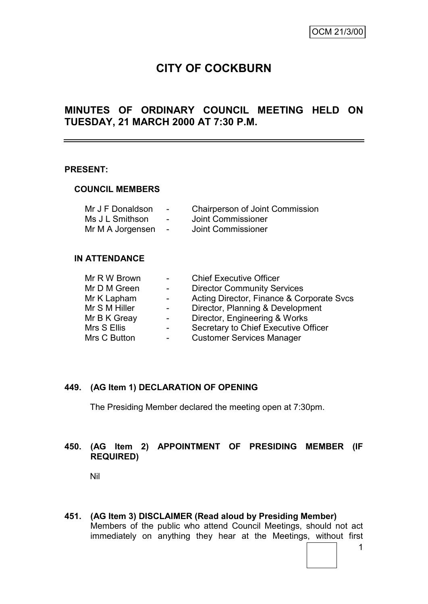# **CITY OF COCKBURN**

#### **MINUTES OF ORDINARY COUNCIL MEETING HELD ON TUESDAY, 21 MARCH 2000 AT 7:30 P.M.**

#### **PRESENT:**

#### **COUNCIL MEMBERS**

| Mr J F Donaldson | $\blacksquare$           | <b>Chairperson of Joint Commission</b> |
|------------------|--------------------------|----------------------------------------|
| Ms J L Smithson  | $\overline{\phantom{0}}$ | Joint Commissioner                     |
| Mr M A Jorgensen | $\overline{\phantom{a}}$ | Joint Commissioner                     |

#### **IN ATTENDANCE**

| Mr D M Green<br><b>Director Community Services</b><br>$\sim$ 100 $\mu$ |  |
|------------------------------------------------------------------------|--|
| Acting Director, Finance & Corporate Svcs<br>Mr K Lapham<br>$\sim$     |  |
| Mr S M Hiller<br>Director, Planning & Development<br>$\sim$            |  |
| Director, Engineering & Works<br>Mr B K Greay                          |  |
| Secretary to Chief Executive Officer<br>Mrs S Ellis                    |  |
| <b>Customer Services Manager</b><br>Mrs C Button                       |  |

#### **449. (AG Item 1) DECLARATION OF OPENING**

The Presiding Member declared the meeting open at 7:30pm.

#### **450. (AG Item 2) APPOINTMENT OF PRESIDING MEMBER (IF REQUIRED)**

Nil

**451. (AG Item 3) DISCLAIMER (Read aloud by Presiding Member)** Members of the public who attend Council Meetings, should not act immediately on anything they hear at the Meetings, without first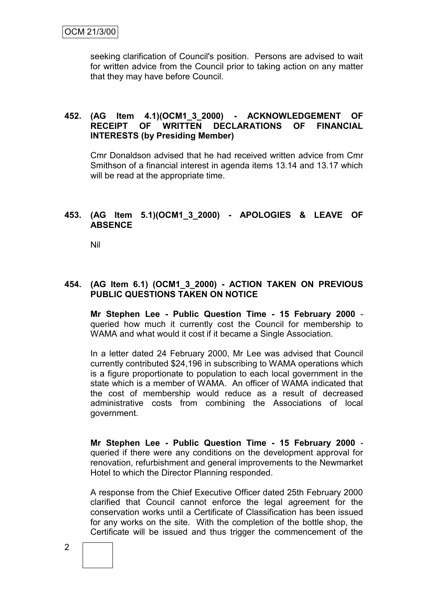seeking clarification of Council's position. Persons are advised to wait for written advice from the Council prior to taking action on any matter that they may have before Council.

#### **452. (AG Item 4.1)(OCM1\_3\_2000) - ACKNOWLEDGEMENT OF RECEIPT OF WRITTEN DECLARATIONS OF FINANCIAL INTERESTS (by Presiding Member)**

Cmr Donaldson advised that he had received written advice from Cmr Smithson of a financial interest in agenda items 13.14 and 13.17 which will be read at the appropriate time.

#### **453. (AG Item 5.1)(OCM1\_3\_2000) - APOLOGIES & LEAVE OF ABSENCE**

Nil

#### **454. (AG Item 6.1) (OCM1\_3\_2000) - ACTION TAKEN ON PREVIOUS PUBLIC QUESTIONS TAKEN ON NOTICE**

**Mr Stephen Lee - Public Question Time - 15 February 2000** queried how much it currently cost the Council for membership to WAMA and what would it cost if it became a Single Association.

In a letter dated 24 February 2000, Mr Lee was advised that Council currently contributed \$24,196 in subscribing to WAMA operations which is a figure proportionate to population to each local government in the state which is a member of WAMA. An officer of WAMA indicated that the cost of membership would reduce as a result of decreased administrative costs from combining the Associations of local government.

**Mr Stephen Lee - Public Question Time - 15 February 2000** queried if there were any conditions on the development approval for renovation, refurbishment and general improvements to the Newmarket Hotel to which the Director Planning responded.

A response from the Chief Executive Officer dated 25th February 2000 clarified that Council cannot enforce the legal agreement for the conservation works until a Certificate of Classification has been issued for any works on the site. With the completion of the bottle shop, the Certificate will be issued and thus trigger the commencement of the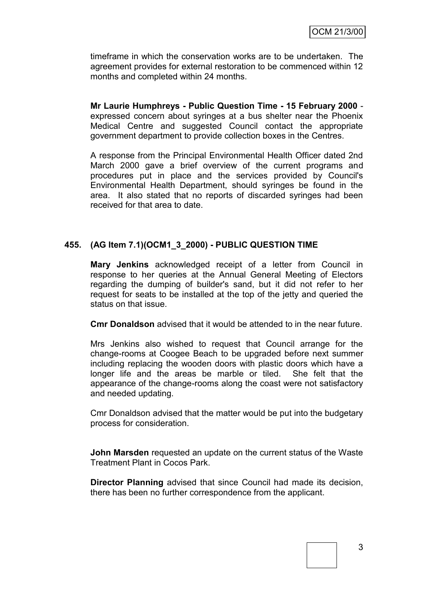timeframe in which the conservation works are to be undertaken. The agreement provides for external restoration to be commenced within 12 months and completed within 24 months.

**Mr Laurie Humphreys - Public Question Time - 15 February 2000** expressed concern about syringes at a bus shelter near the Phoenix Medical Centre and suggested Council contact the appropriate government department to provide collection boxes in the Centres.

A response from the Principal Environmental Health Officer dated 2nd March 2000 gave a brief overview of the current programs and procedures put in place and the services provided by Council's Environmental Health Department, should syringes be found in the area. It also stated that no reports of discarded syringes had been received for that area to date.

#### **455. (AG Item 7.1)(OCM1\_3\_2000) - PUBLIC QUESTION TIME**

**Mary Jenkins** acknowledged receipt of a letter from Council in response to her queries at the Annual General Meeting of Electors regarding the dumping of builder's sand, but it did not refer to her request for seats to be installed at the top of the jetty and queried the status on that issue.

**Cmr Donaldson** advised that it would be attended to in the near future.

Mrs Jenkins also wished to request that Council arrange for the change-rooms at Coogee Beach to be upgraded before next summer including replacing the wooden doors with plastic doors which have a longer life and the areas be marble or tiled. She felt that the appearance of the change-rooms along the coast were not satisfactory and needed updating.

Cmr Donaldson advised that the matter would be put into the budgetary process for consideration.

**John Marsden** requested an update on the current status of the Waste Treatment Plant in Cocos Park.

**Director Planning** advised that since Council had made its decision, there has been no further correspondence from the applicant.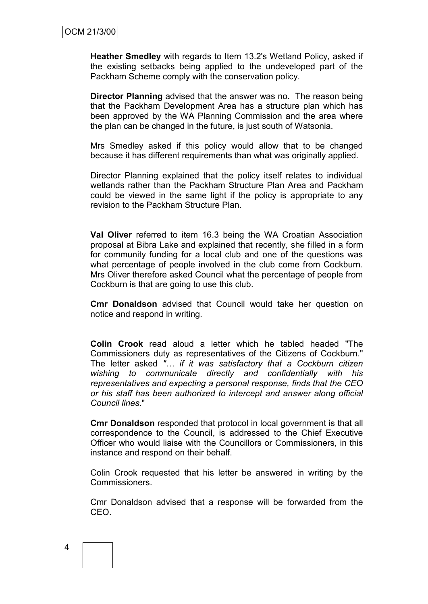**Heather Smedley** with regards to Item 13.2's Wetland Policy, asked if the existing setbacks being applied to the undeveloped part of the Packham Scheme comply with the conservation policy.

**Director Planning** advised that the answer was no. The reason being that the Packham Development Area has a structure plan which has been approved by the WA Planning Commission and the area where the plan can be changed in the future, is just south of Watsonia.

Mrs Smedley asked if this policy would allow that to be changed because it has different requirements than what was originally applied.

Director Planning explained that the policy itself relates to individual wetlands rather than the Packham Structure Plan Area and Packham could be viewed in the same light if the policy is appropriate to any revision to the Packham Structure Plan.

**Val Oliver** referred to item 16.3 being the WA Croatian Association proposal at Bibra Lake and explained that recently, she filled in a form for community funding for a local club and one of the questions was what percentage of people involved in the club come from Cockburn. Mrs Oliver therefore asked Council what the percentage of people from Cockburn is that are going to use this club.

**Cmr Donaldson** advised that Council would take her question on notice and respond in writing.

**Colin Crook** read aloud a letter which he tabled headed "The Commissioners duty as representatives of the Citizens of Cockburn." The letter asked *"… if it was satisfactory that a Cockburn citizen wishing to communicate directly and confidentially with his representatives and expecting a personal response, finds that the CEO or his staff has been authorized to intercept and answer along official Council lines*."

**Cmr Donaldson** responded that protocol in local government is that all correspondence to the Council, is addressed to the Chief Executive Officer who would liaise with the Councillors or Commissioners, in this instance and respond on their behalf.

Colin Crook requested that his letter be answered in writing by the Commissioners.

Cmr Donaldson advised that a response will be forwarded from the CEO.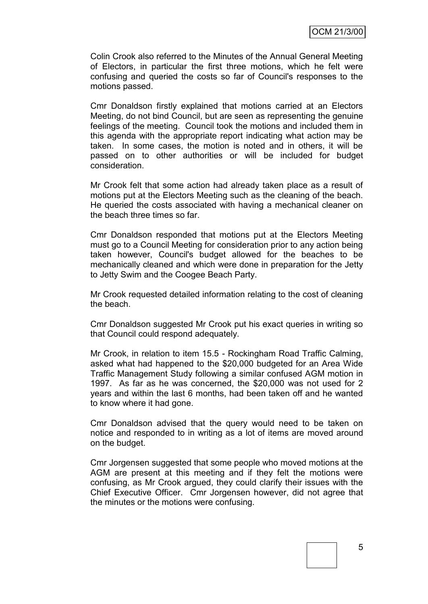Colin Crook also referred to the Minutes of the Annual General Meeting of Electors, in particular the first three motions, which he felt were confusing and queried the costs so far of Council's responses to the motions passed.

Cmr Donaldson firstly explained that motions carried at an Electors Meeting, do not bind Council, but are seen as representing the genuine feelings of the meeting. Council took the motions and included them in this agenda with the appropriate report indicating what action may be taken. In some cases, the motion is noted and in others, it will be passed on to other authorities or will be included for budget consideration.

Mr Crook felt that some action had already taken place as a result of motions put at the Electors Meeting such as the cleaning of the beach. He queried the costs associated with having a mechanical cleaner on the beach three times so far.

Cmr Donaldson responded that motions put at the Electors Meeting must go to a Council Meeting for consideration prior to any action being taken however, Council's budget allowed for the beaches to be mechanically cleaned and which were done in preparation for the Jetty to Jetty Swim and the Coogee Beach Party.

Mr Crook requested detailed information relating to the cost of cleaning the beach.

Cmr Donaldson suggested Mr Crook put his exact queries in writing so that Council could respond adequately.

Mr Crook, in relation to item 15.5 - Rockingham Road Traffic Calming, asked what had happened to the \$20,000 budgeted for an Area Wide Traffic Management Study following a similar confused AGM motion in 1997. As far as he was concerned, the \$20,000 was not used for 2 years and within the last 6 months, had been taken off and he wanted to know where it had gone.

Cmr Donaldson advised that the query would need to be taken on notice and responded to in writing as a lot of items are moved around on the budget.

Cmr Jorgensen suggested that some people who moved motions at the AGM are present at this meeting and if they felt the motions were confusing, as Mr Crook argued, they could clarify their issues with the Chief Executive Officer. Cmr Jorgensen however, did not agree that the minutes or the motions were confusing.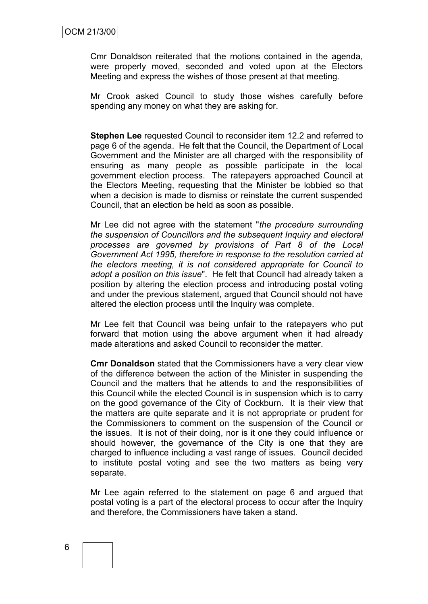Cmr Donaldson reiterated that the motions contained in the agenda, were properly moved, seconded and voted upon at the Electors Meeting and express the wishes of those present at that meeting.

Mr Crook asked Council to study those wishes carefully before spending any money on what they are asking for.

**Stephen Lee** requested Council to reconsider item 12.2 and referred to page 6 of the agenda. He felt that the Council, the Department of Local Government and the Minister are all charged with the responsibility of ensuring as many people as possible participate in the local government election process. The ratepayers approached Council at the Electors Meeting, requesting that the Minister be lobbied so that when a decision is made to dismiss or reinstate the current suspended Council, that an election be held as soon as possible.

Mr Lee did not agree with the statement "*the procedure surrounding the suspension of Councillors and the subsequent Inquiry and electoral processes are governed by provisions of Part 8 of the Local Government Act 1995, therefore in response to the resolution carried at the electors meeting, it is not considered appropriate for Council to adopt a position on this issue*". He felt that Council had already taken a position by altering the election process and introducing postal voting and under the previous statement, argued that Council should not have altered the election process until the Inquiry was complete.

Mr Lee felt that Council was being unfair to the ratepayers who put forward that motion using the above argument when it had already made alterations and asked Council to reconsider the matter.

**Cmr Donaldson** stated that the Commissioners have a very clear view of the difference between the action of the Minister in suspending the Council and the matters that he attends to and the responsibilities of this Council while the elected Council is in suspension which is to carry on the good governance of the City of Cockburn. It is their view that the matters are quite separate and it is not appropriate or prudent for the Commissioners to comment on the suspension of the Council or the issues. It is not of their doing, nor is it one they could influence or should however, the governance of the City is one that they are charged to influence including a vast range of issues. Council decided to institute postal voting and see the two matters as being very separate.

Mr Lee again referred to the statement on page 6 and argued that postal voting is a part of the electoral process to occur after the Inquiry and therefore, the Commissioners have taken a stand.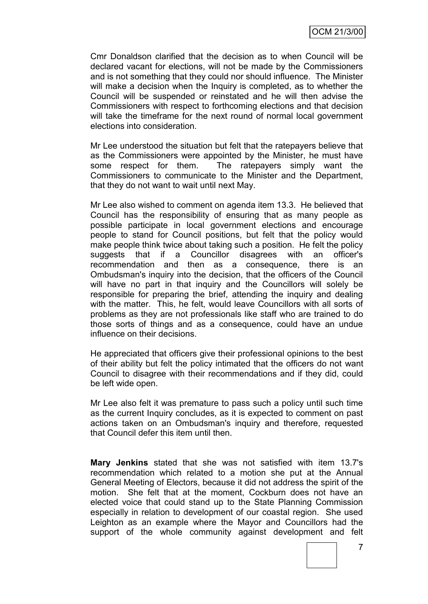Cmr Donaldson clarified that the decision as to when Council will be declared vacant for elections, will not be made by the Commissioners and is not something that they could nor should influence. The Minister will make a decision when the Inquiry is completed, as to whether the Council will be suspended or reinstated and he will then advise the Commissioners with respect to forthcoming elections and that decision will take the timeframe for the next round of normal local government elections into consideration.

Mr Lee understood the situation but felt that the ratepayers believe that as the Commissioners were appointed by the Minister, he must have some respect for them. The ratepayers simply want the Commissioners to communicate to the Minister and the Department, that they do not want to wait until next May.

Mr Lee also wished to comment on agenda item 13.3. He believed that Council has the responsibility of ensuring that as many people as possible participate in local government elections and encourage people to stand for Council positions, but felt that the policy would make people think twice about taking such a position. He felt the policy suggests that if a Councillor disagrees with an officer's recommendation and then as a consequence, there is an Ombudsman's inquiry into the decision, that the officers of the Council will have no part in that inquiry and the Councillors will solely be responsible for preparing the brief, attending the inquiry and dealing with the matter. This, he felt, would leave Councillors with all sorts of problems as they are not professionals like staff who are trained to do those sorts of things and as a consequence, could have an undue influence on their decisions.

He appreciated that officers give their professional opinions to the best of their ability but felt the policy intimated that the officers do not want Council to disagree with their recommendations and if they did, could be left wide open.

Mr Lee also felt it was premature to pass such a policy until such time as the current Inquiry concludes, as it is expected to comment on past actions taken on an Ombudsman's inquiry and therefore, requested that Council defer this item until then.

**Mary Jenkins** stated that she was not satisfied with item 13.7's recommendation which related to a motion she put at the Annual General Meeting of Electors, because it did not address the spirit of the motion. She felt that at the moment, Cockburn does not have an elected voice that could stand up to the State Planning Commission especially in relation to development of our coastal region. She used Leighton as an example where the Mayor and Councillors had the support of the whole community against development and felt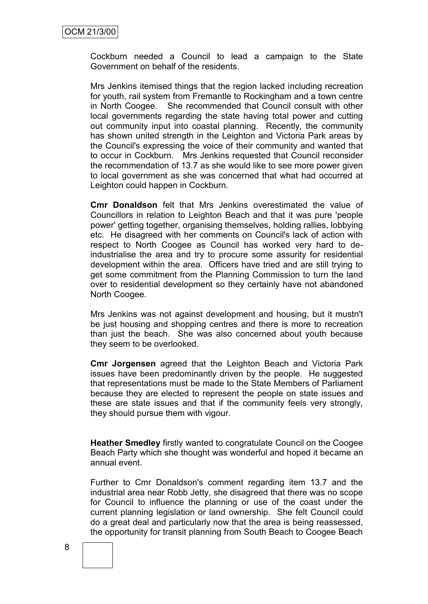Cockburn needed a Council to lead a campaign to the State Government on behalf of the residents.

Mrs Jenkins itemised things that the region lacked including recreation for youth, rail system from Fremantle to Rockingham and a town centre in North Coogee. She recommended that Council consult with other local governments regarding the state having total power and cutting out community input into coastal planning. Recently, the community has shown united strength in the Leighton and Victoria Park areas by the Council's expressing the voice of their community and wanted that to occur in Cockburn. Mrs Jenkins requested that Council reconsider the recommendation of 13.7 as she would like to see more power given to local government as she was concerned that what had occurred at Leighton could happen in Cockburn.

**Cmr Donaldson** felt that Mrs Jenkins overestimated the value of Councillors in relation to Leighton Beach and that it was pure 'people power' getting together, organising themselves, holding rallies, lobbying etc. He disagreed with her comments on Council's lack of action with respect to North Coogee as Council has worked very hard to deindustrialise the area and try to procure some assurity for residential development within the area. Officers have tried and are still trying to get some commitment from the Planning Commission to turn the land over to residential development so they certainly have not abandoned North Coogee.

Mrs Jenkins was not against development and housing, but it mustn't be just housing and shopping centres and there is more to recreation than just the beach. She was also concerned about youth because they seem to be overlooked.

**Cmr Jorgensen** agreed that the Leighton Beach and Victoria Park issues have been predominantly driven by the people. He suggested that representations must be made to the State Members of Parliament because they are elected to represent the people on state issues and these are state issues and that if the community feels very strongly, they should pursue them with vigour.

**Heather Smedley** firstly wanted to congratulate Council on the Coogee Beach Party which she thought was wonderful and hoped it became an annual event.

Further to Cmr Donaldson's comment regarding item 13.7 and the industrial area near Robb Jetty, she disagreed that there was no scope for Council to influence the planning or use of the coast under the current planning legislation or land ownership. She felt Council could do a great deal and particularly now that the area is being reassessed, the opportunity for transit planning from South Beach to Coogee Beach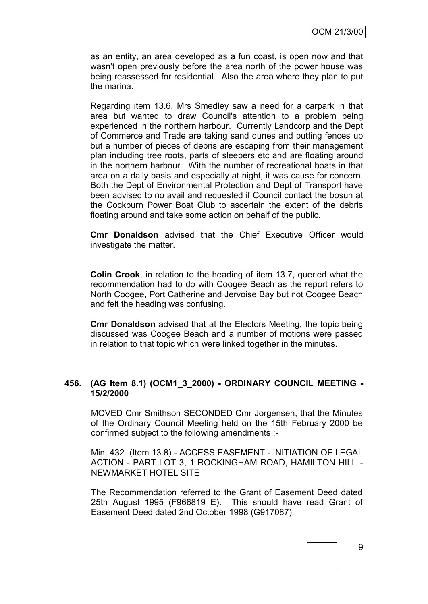as an entity, an area developed as a fun coast, is open now and that wasn't open previously before the area north of the power house was being reassessed for residential. Also the area where they plan to put the marina.

Regarding item 13.6, Mrs Smedley saw a need for a carpark in that area but wanted to draw Council's attention to a problem being experienced in the northern harbour. Currently Landcorp and the Dept of Commerce and Trade are taking sand dunes and putting fences up but a number of pieces of debris are escaping from their management plan including tree roots, parts of sleepers etc and are floating around in the northern harbour. With the number of recreational boats in that area on a daily basis and especially at night, it was cause for concern. Both the Dept of Environmental Protection and Dept of Transport have been advised to no avail and requested if Council contact the bosun at the Cockburn Power Boat Club to ascertain the extent of the debris floating around and take some action on behalf of the public.

**Cmr Donaldson** advised that the Chief Executive Officer would investigate the matter.

**Colin Crook**, in relation to the heading of item 13.7, queried what the recommendation had to do with Coogee Beach as the report refers to North Coogee, Port Catherine and Jervoise Bay but not Coogee Beach and felt the heading was confusing.

**Cmr Donaldson** advised that at the Electors Meeting, the topic being discussed was Coogee Beach and a number of motions were passed in relation to that topic which were linked together in the minutes.

#### **456. (AG Item 8.1) (OCM1\_3\_2000) - ORDINARY COUNCIL MEETING - 15/2/2000**

MOVED Cmr Smithson SECONDED Cmr Jorgensen, that the Minutes of the Ordinary Council Meeting held on the 15th February 2000 be confirmed subject to the following amendments :-

Min. 432 (Item 13.8) - ACCESS EASEMENT - INITIATION OF LEGAL ACTION - PART LOT 3, 1 ROCKINGHAM ROAD, HAMILTON HILL - NEWMARKET HOTEL SITE

The Recommendation referred to the Grant of Easement Deed dated 25th August 1995 (F966819 E). This should have read Grant of Easement Deed dated 2nd October 1998 (G917087).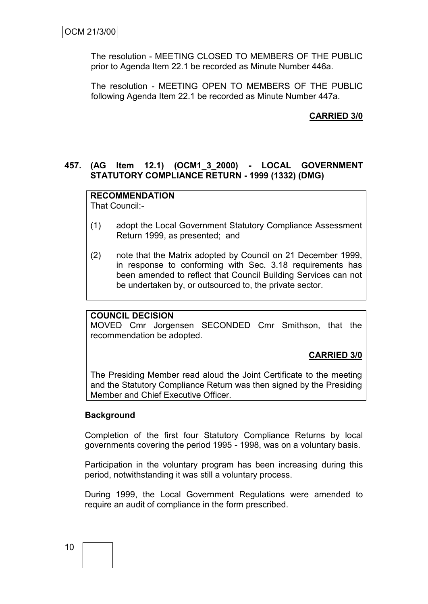The resolution - MEETING CLOSED TO MEMBERS OF THE PUBLIC prior to Agenda Item 22.1 be recorded as Minute Number 446a.

The resolution - MEETING OPEN TO MEMBERS OF THE PUBLIC following Agenda Item 22.1 be recorded as Minute Number 447a.

#### **CARRIED 3/0**

#### **457. (AG Item 12.1) (OCM1\_3\_2000) - LOCAL GOVERNMENT STATUTORY COMPLIANCE RETURN - 1999 (1332) (DMG)**

#### **RECOMMENDATION**

That Council:-

- (1) adopt the Local Government Statutory Compliance Assessment Return 1999, as presented; and
- (2) note that the Matrix adopted by Council on 21 December 1999, in response to conforming with Sec. 3.18 requirements has been amended to reflect that Council Building Services can not be undertaken by, or outsourced to, the private sector.

#### **COUNCIL DECISION**

MOVED Cmr Jorgensen SECONDED Cmr Smithson, that the recommendation be adopted.

#### **CARRIED 3/0**

The Presiding Member read aloud the Joint Certificate to the meeting and the Statutory Compliance Return was then signed by the Presiding Member and Chief Executive Officer.

#### **Background**

Completion of the first four Statutory Compliance Returns by local governments covering the period 1995 - 1998, was on a voluntary basis.

Participation in the voluntary program has been increasing during this period, notwithstanding it was still a voluntary process.

During 1999, the Local Government Regulations were amended to require an audit of compliance in the form prescribed.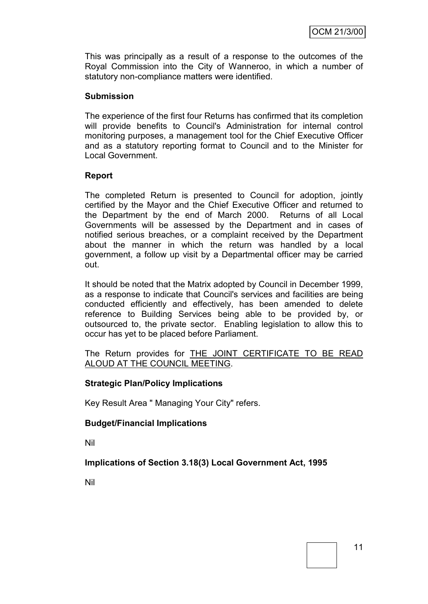This was principally as a result of a response to the outcomes of the Royal Commission into the City of Wanneroo, in which a number of statutory non-compliance matters were identified.

#### **Submission**

The experience of the first four Returns has confirmed that its completion will provide benefits to Council's Administration for internal control monitoring purposes, a management tool for the Chief Executive Officer and as a statutory reporting format to Council and to the Minister for Local Government.

#### **Report**

The completed Return is presented to Council for adoption, jointly certified by the Mayor and the Chief Executive Officer and returned to the Department by the end of March 2000. Returns of all Local Governments will be assessed by the Department and in cases of notified serious breaches, or a complaint received by the Department about the manner in which the return was handled by a local government, a follow up visit by a Departmental officer may be carried out.

It should be noted that the Matrix adopted by Council in December 1999, as a response to indicate that Council's services and facilities are being conducted efficiently and effectively, has been amended to delete reference to Building Services being able to be provided by, or outsourced to, the private sector. Enabling legislation to allow this to occur has yet to be placed before Parliament.

The Return provides for **THE JOINT CERTIFICATE TO BE READ** ALOUD AT THE COUNCIL MEETING.

#### **Strategic Plan/Policy Implications**

Key Result Area " Managing Your City" refers.

#### **Budget/Financial Implications**

Nil

#### **Implications of Section 3.18(3) Local Government Act, 1995**

Nil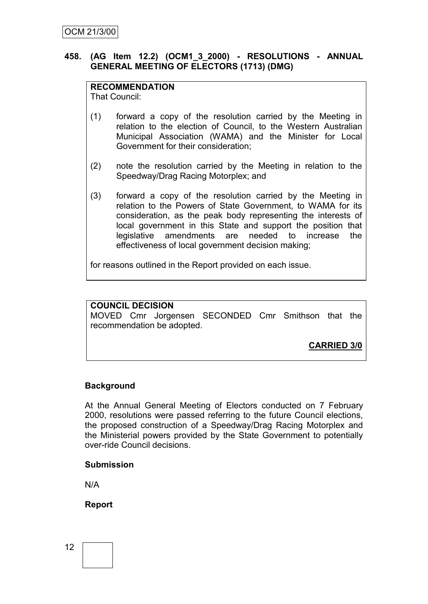#### **458. (AG Item 12.2) (OCM1\_3\_2000) - RESOLUTIONS - ANNUAL GENERAL MEETING OF ELECTORS (1713) (DMG)**

#### **RECOMMENDATION**

That Council:

- (1) forward a copy of the resolution carried by the Meeting in relation to the election of Council, to the Western Australian Municipal Association (WAMA) and the Minister for Local Government for their consideration;
- (2) note the resolution carried by the Meeting in relation to the Speedway/Drag Racing Motorplex; and
- (3) forward a copy of the resolution carried by the Meeting in relation to the Powers of State Government, to WAMA for its consideration, as the peak body representing the interests of local government in this State and support the position that legislative amendments are needed to increase the effectiveness of local government decision making;

for reasons outlined in the Report provided on each issue.

#### **COUNCIL DECISION**

MOVED Cmr Jorgensen SECONDED Cmr Smithson that the recommendation be adopted.

**CARRIED 3/0**

#### **Background**

At the Annual General Meeting of Electors conducted on 7 February 2000, resolutions were passed referring to the future Council elections, the proposed construction of a Speedway/Drag Racing Motorplex and the Ministerial powers provided by the State Government to potentially over-ride Council decisions.

#### **Submission**

N/A

#### **Report**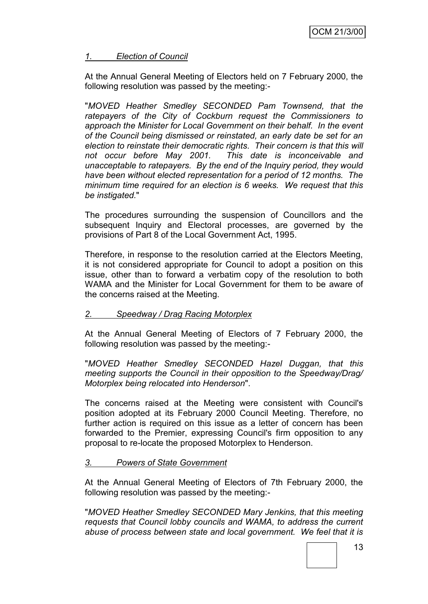#### *1. Election of Council*

At the Annual General Meeting of Electors held on 7 February 2000, the following resolution was passed by the meeting:-

"*MOVED Heather Smedley SECONDED Pam Townsend, that the ratepayers of the City of Cockburn request the Commissioners to approach the Minister for Local Government on their behalf. In the event of the Council being dismissed or reinstated, an early date be set for an election to reinstate their democratic rights. Their concern is that this will not occur before May 2001. This date is inconceivable and unacceptable to ratepayers. By the end of the Inquiry period, they would have been without elected representation for a period of 12 months. The minimum time required for an election is 6 weeks. We request that this be instigated.*"

The procedures surrounding the suspension of Councillors and the subsequent Inquiry and Electoral processes, are governed by the provisions of Part 8 of the Local Government Act, 1995.

Therefore, in response to the resolution carried at the Electors Meeting, it is not considered appropriate for Council to adopt a position on this issue, other than to forward a verbatim copy of the resolution to both WAMA and the Minister for Local Government for them to be aware of the concerns raised at the Meeting.

#### *2. Speedway / Drag Racing Motorplex*

At the Annual General Meeting of Electors of 7 February 2000, the following resolution was passed by the meeting:-

"*MOVED Heather Smedley SECONDED Hazel Duggan, that this meeting supports the Council in their opposition to the Speedway/Drag/ Motorplex being relocated into Henderson*".

The concerns raised at the Meeting were consistent with Council's position adopted at its February 2000 Council Meeting. Therefore, no further action is required on this issue as a letter of concern has been forwarded to the Premier, expressing Council's firm opposition to any proposal to re-locate the proposed Motorplex to Henderson.

#### *3. Powers of State Government*

At the Annual General Meeting of Electors of 7th February 2000, the following resolution was passed by the meeting:-

"*MOVED Heather Smedley SECONDED Mary Jenkins, that this meeting requests that Council lobby councils and WAMA, to address the current abuse of process between state and local government. We feel that it is*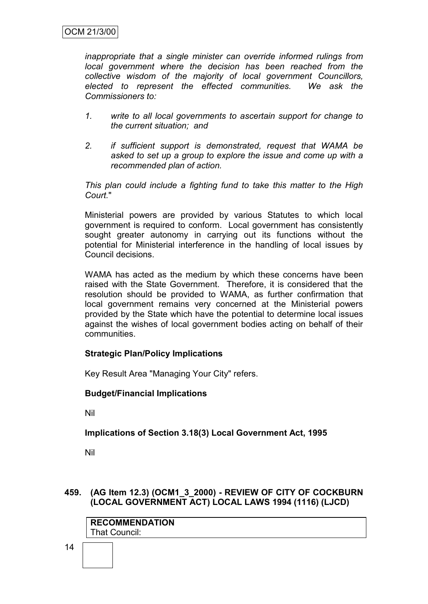*inappropriate that a single minister can override informed rulings from local government where the decision has been reached from the collective wisdom of the majority of local government Councillors, elected to represent the effected communities. We ask the Commissioners to:*

- *1. write to all local governments to ascertain support for change to the current situation; and*
- *2. if sufficient support is demonstrated, request that WAMA be asked to set up a group to explore the issue and come up with a recommended plan of action.*

*This plan could include a fighting fund to take this matter to the High Court.*"

Ministerial powers are provided by various Statutes to which local government is required to conform. Local government has consistently sought greater autonomy in carrying out its functions without the potential for Ministerial interference in the handling of local issues by Council decisions.

WAMA has acted as the medium by which these concerns have been raised with the State Government. Therefore, it is considered that the resolution should be provided to WAMA, as further confirmation that local government remains very concerned at the Ministerial powers provided by the State which have the potential to determine local issues against the wishes of local government bodies acting on behalf of their communities.

#### **Strategic Plan/Policy Implications**

Key Result Area "Managing Your City" refers.

#### **Budget/Financial Implications**

Nil

#### **Implications of Section 3.18(3) Local Government Act, 1995**

Nil

#### **459. (AG Item 12.3) (OCM1\_3\_2000) - REVIEW OF CITY OF COCKBURN (LOCAL GOVERNMENT ACT) LOCAL LAWS 1994 (1116) (LJCD)**

| <b>RECOMMENDATION</b> |  |  |  |  |
|-----------------------|--|--|--|--|
| That Council:         |  |  |  |  |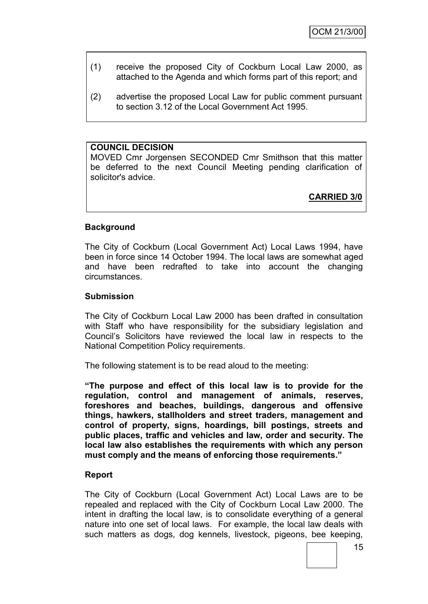- (1) receive the proposed City of Cockburn Local Law 2000, as attached to the Agenda and which forms part of this report; and
- (2) advertise the proposed Local Law for public comment pursuant to section 3.12 of the Local Government Act 1995.

#### **COUNCIL DECISION**

MOVED Cmr Jorgensen SECONDED Cmr Smithson that this matter be deferred to the next Council Meeting pending clarification of solicitor's advice.

**CARRIED 3/0**

#### **Background**

The City of Cockburn (Local Government Act) Local Laws 1994, have been in force since 14 October 1994. The local laws are somewhat aged and have been redrafted to take into account the changing circumstances.

#### **Submission**

The City of Cockburn Local Law 2000 has been drafted in consultation with Staff who have responsibility for the subsidiary legislation and Council's Solicitors have reviewed the local law in respects to the National Competition Policy requirements.

The following statement is to be read aloud to the meeting:

**"The purpose and effect of this local law is to provide for the regulation, control and management of animals, reserves, foreshores and beaches, buildings, dangerous and offensive things, hawkers, stallholders and street traders, management and control of property, signs, hoardings, bill postings, streets and public places, traffic and vehicles and law, order and security. The local law also establishes the requirements with which any person must comply and the means of enforcing those requirements."**

#### **Report**

The City of Cockburn (Local Government Act) Local Laws are to be repealed and replaced with the City of Cockburn Local Law 2000. The intent in drafting the local law, is to consolidate everything of a general nature into one set of local laws. For example, the local law deals with such matters as dogs, dog kennels, livestock, pigeons, bee keeping,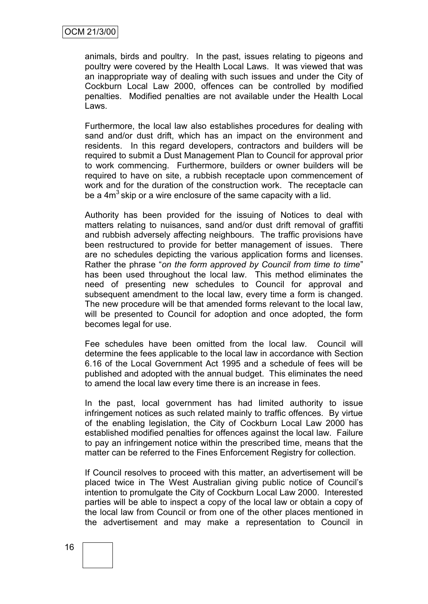animals, birds and poultry. In the past, issues relating to pigeons and poultry were covered by the Health Local Laws. It was viewed that was an inappropriate way of dealing with such issues and under the City of Cockburn Local Law 2000, offences can be controlled by modified penalties. Modified penalties are not available under the Health Local Laws.

Furthermore, the local law also establishes procedures for dealing with sand and/or dust drift, which has an impact on the environment and residents. In this regard developers, contractors and builders will be required to submit a Dust Management Plan to Council for approval prior to work commencing. Furthermore, builders or owner builders will be required to have on site, a rubbish receptacle upon commencement of work and for the duration of the construction work. The receptacle can be a  $4m<sup>3</sup>$  skip or a wire enclosure of the same capacity with a lid.

Authority has been provided for the issuing of Notices to deal with matters relating to nuisances, sand and/or dust drift removal of graffiti and rubbish adversely affecting neighbours. The traffic provisions have been restructured to provide for better management of issues. There are no schedules depicting the various application forms and licenses. Rather the phrase "*on the form approved by Council from time to time*" has been used throughout the local law. This method eliminates the need of presenting new schedules to Council for approval and subsequent amendment to the local law, every time a form is changed. The new procedure will be that amended forms relevant to the local law, will be presented to Council for adoption and once adopted, the form becomes legal for use.

Fee schedules have been omitted from the local law. Council will determine the fees applicable to the local law in accordance with Section 6.16 of the Local Government Act 1995 and a schedule of fees will be published and adopted with the annual budget. This eliminates the need to amend the local law every time there is an increase in fees.

In the past, local government has had limited authority to issue infringement notices as such related mainly to traffic offences. By virtue of the enabling legislation, the City of Cockburn Local Law 2000 has established modified penalties for offences against the local law. Failure to pay an infringement notice within the prescribed time, means that the matter can be referred to the Fines Enforcement Registry for collection.

If Council resolves to proceed with this matter, an advertisement will be placed twice in The West Australian giving public notice of Council's intention to promulgate the City of Cockburn Local Law 2000. Interested parties will be able to inspect a copy of the local law or obtain a copy of the local law from Council or from one of the other places mentioned in the advertisement and may make a representation to Council in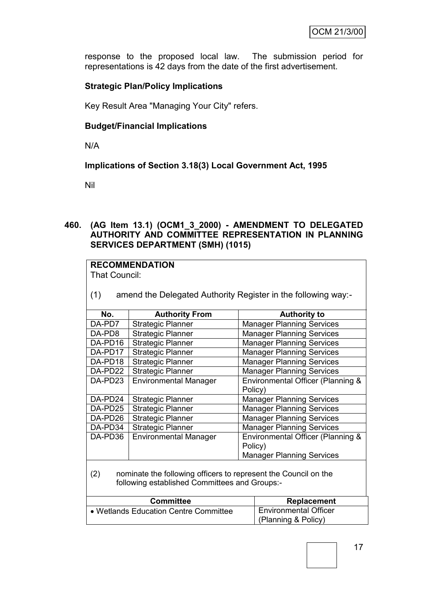response to the proposed local law. The submission period for representations is 42 days from the date of the first advertisement.

#### **Strategic Plan/Policy Implications**

Key Result Area "Managing Your City" refers.

#### **Budget/Financial Implications**

N/A

#### **Implications of Section 3.18(3) Local Government Act, 1995**

Nil

#### **460. (AG Item 13.1) (OCM1\_3\_2000) - AMENDMENT TO DELEGATED AUTHORITY AND COMMITTEE REPRESENTATION IN PLANNING SERVICES DEPARTMENT (SMH) (1015)**

| <b>RECOMMENDATION</b>                                                  |                                                                       |         |                                   |  |
|------------------------------------------------------------------------|-----------------------------------------------------------------------|---------|-----------------------------------|--|
| That Council:                                                          |                                                                       |         |                                   |  |
|                                                                        |                                                                       |         |                                   |  |
| (1)                                                                    | amend the Delegated Authority Register in the following way:-         |         |                                   |  |
|                                                                        |                                                                       |         |                                   |  |
| No.                                                                    | <b>Authority From</b>                                                 |         | <b>Authority to</b>               |  |
| DA-PD7                                                                 | <b>Strategic Planner</b>                                              |         | <b>Manager Planning Services</b>  |  |
| DA-PD8                                                                 | <b>Strategic Planner</b>                                              |         | <b>Manager Planning Services</b>  |  |
| DA-PD16                                                                | <b>Strategic Planner</b>                                              |         | <b>Manager Planning Services</b>  |  |
| DA-PD17                                                                | <b>Strategic Planner</b>                                              |         | <b>Manager Planning Services</b>  |  |
| DA-PD18                                                                | <b>Strategic Planner</b>                                              |         | <b>Manager Planning Services</b>  |  |
| DA-PD22<br><b>Strategic Planner</b>                                    |                                                                       |         | <b>Manager Planning Services</b>  |  |
| DA-PD23                                                                | <b>Environmental Manager</b>                                          |         | Environmental Officer (Planning & |  |
|                                                                        |                                                                       | Policy) |                                   |  |
| DA-PD24                                                                | <b>Strategic Planner</b>                                              |         | <b>Manager Planning Services</b>  |  |
| <b>Strategic Planner</b><br>DA-PD25                                    |                                                                       |         | <b>Manager Planning Services</b>  |  |
| <b>Strategic Planner</b><br>DA-PD26                                    |                                                                       |         | <b>Manager Planning Services</b>  |  |
| DA-PD34                                                                | <b>Strategic Planner</b>                                              |         | <b>Manager Planning Services</b>  |  |
| DA-PD36                                                                | <b>Environmental Manager</b>                                          |         | Environmental Officer (Planning & |  |
|                                                                        |                                                                       | Policy) |                                   |  |
| <b>Manager Planning Services</b>                                       |                                                                       |         |                                   |  |
|                                                                        |                                                                       |         |                                   |  |
| nominate the following officers to represent the Council on the<br>(2) |                                                                       |         |                                   |  |
| following established Committees and Groups:-                          |                                                                       |         |                                   |  |
|                                                                        |                                                                       |         |                                   |  |
|                                                                        | <b>Committee</b><br><b>Replacement</b>                                |         |                                   |  |
|                                                                        | <b>Environmental Officer</b><br>• Wetlands Education Centre Committee |         |                                   |  |

(Planning & Policy)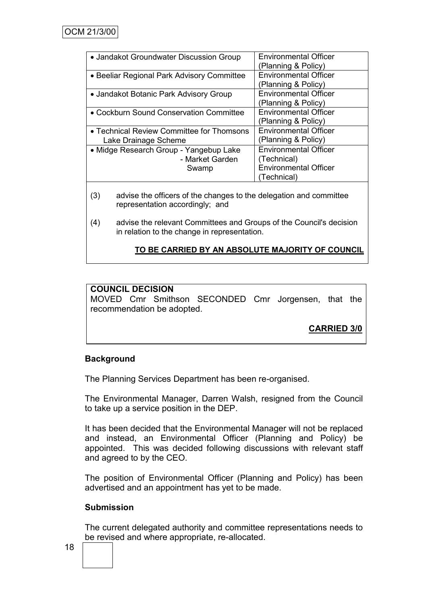| • Jandakot Groundwater Discussion Group                            | <b>Environmental Officer</b><br>Planning & Policy)                                         |
|--------------------------------------------------------------------|--------------------------------------------------------------------------------------------|
| • Beeliar Regional Park Advisory Committee                         | <b>Environmental Officer</b><br>(Planning & Policy)                                        |
| • Jandakot Botanic Park Advisory Group                             | <b>Environmental Officer</b><br>(Planning & Policy)                                        |
| • Cockburn Sound Conservation Committee                            | <b>Environmental Officer</b><br>(Planning & Policy)                                        |
| • Technical Review Committee for Thomsons<br>Lake Drainage Scheme  | <b>Environmental Officer</b><br>(Planning & Policy)                                        |
| • Midge Research Group - Yangebup Lake<br>- Market Garden<br>Swamp | <b>Environmental Officer</b><br>(Technical)<br><b>Environmental Officer</b><br>(Technical) |

- (3) advise the officers of the changes to the delegation and committee representation accordingly; and
- (4) advise the relevant Committees and Groups of the Council's decision in relation to the change in representation.

#### **TO BE CARRIED BY AN ABSOLUTE MAJORITY OF COUNCIL**

#### **COUNCIL DECISION**

MOVED Cmr Smithson SECONDED Cmr Jorgensen, that the recommendation be adopted.

**CARRIED 3/0**

#### **Background**

The Planning Services Department has been re-organised.

The Environmental Manager, Darren Walsh, resigned from the Council to take up a service position in the DEP.

It has been decided that the Environmental Manager will not be replaced and instead, an Environmental Officer (Planning and Policy) be appointed. This was decided following discussions with relevant staff and agreed to by the CEO.

The position of Environmental Officer (Planning and Policy) has been advertised and an appointment has yet to be made.

#### **Submission**

The current delegated authority and committee representations needs to be revised and where appropriate, re-allocated.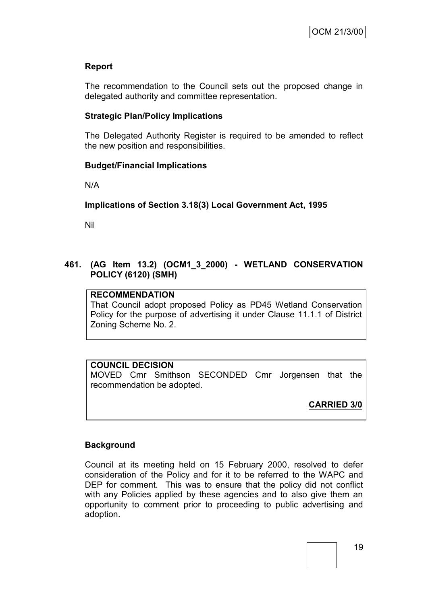#### **Report**

The recommendation to the Council sets out the proposed change in delegated authority and committee representation.

#### **Strategic Plan/Policy Implications**

The Delegated Authority Register is required to be amended to reflect the new position and responsibilities.

#### **Budget/Financial Implications**

N/A

#### **Implications of Section 3.18(3) Local Government Act, 1995**

Nil

#### **461. (AG Item 13.2) (OCM1\_3\_2000) - WETLAND CONSERVATION POLICY (6120) (SMH)**

#### **RECOMMENDATION**

That Council adopt proposed Policy as PD45 Wetland Conservation Policy for the purpose of advertising it under Clause 11.1.1 of District Zoning Scheme No. 2.

#### **COUNCIL DECISION**

MOVED Cmr Smithson SECONDED Cmr Jorgensen that the recommendation be adopted.

**CARRIED 3/0**

#### **Background**

Council at its meeting held on 15 February 2000, resolved to defer consideration of the Policy and for it to be referred to the WAPC and DEP for comment. This was to ensure that the policy did not conflict with any Policies applied by these agencies and to also give them an opportunity to comment prior to proceeding to public advertising and adoption.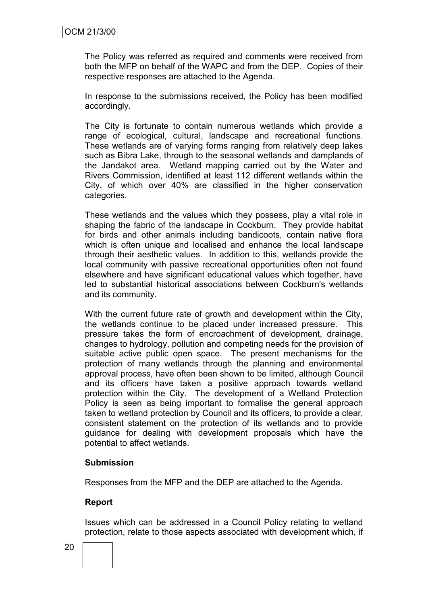The Policy was referred as required and comments were received from both the MFP on behalf of the WAPC and from the DEP. Copies of their respective responses are attached to the Agenda.

In response to the submissions received, the Policy has been modified accordingly.

The City is fortunate to contain numerous wetlands which provide a range of ecological, cultural, landscape and recreational functions. These wetlands are of varying forms ranging from relatively deep lakes such as Bibra Lake, through to the seasonal wetlands and damplands of the Jandakot area. Wetland mapping carried out by the Water and Rivers Commission, identified at least 112 different wetlands within the City, of which over 40% are classified in the higher conservation categories.

These wetlands and the values which they possess, play a vital role in shaping the fabric of the landscape in Cockburn. They provide habitat for birds and other animals including bandicoots, contain native flora which is often unique and localised and enhance the local landscape through their aesthetic values. In addition to this, wetlands provide the local community with passive recreational opportunities often not found elsewhere and have significant educational values which together, have led to substantial historical associations between Cockburn's wetlands and its community.

With the current future rate of growth and development within the City, the wetlands continue to be placed under increased pressure. This pressure takes the form of encroachment of development, drainage, changes to hydrology, pollution and competing needs for the provision of suitable active public open space. The present mechanisms for the protection of many wetlands through the planning and environmental approval process, have often been shown to be limited, although Council and its officers have taken a positive approach towards wetland protection within the City. The development of a Wetland Protection Policy is seen as being important to formalise the general approach taken to wetland protection by Council and its officers, to provide a clear, consistent statement on the protection of its wetlands and to provide guidance for dealing with development proposals which have the potential to affect wetlands.

#### **Submission**

Responses from the MFP and the DEP are attached to the Agenda.

#### **Report**

Issues which can be addressed in a Council Policy relating to wetland protection, relate to those aspects associated with development which, if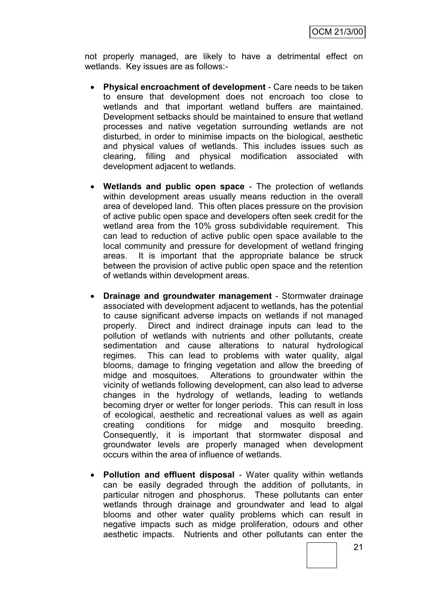not properly managed, are likely to have a detrimental effect on wetlands. Key issues are as follows:-

- **Physical encroachment of development** Care needs to be taken to ensure that development does not encroach too close to wetlands and that important wetland buffers are maintained. Development setbacks should be maintained to ensure that wetland processes and native vegetation surrounding wetlands are not disturbed, in order to minimise impacts on the biological, aesthetic and physical values of wetlands. This includes issues such as clearing, filling and physical modification associated with development adjacent to wetlands.
- **Wetlands and public open space** The protection of wetlands within development areas usually means reduction in the overall area of developed land. This often places pressure on the provision of active public open space and developers often seek credit for the wetland area from the 10% gross subdividable requirement. This can lead to reduction of active public open space available to the local community and pressure for development of wetland fringing areas. It is important that the appropriate balance be struck between the provision of active public open space and the retention of wetlands within development areas.
- **Drainage and groundwater management** Stormwater drainage associated with development adjacent to wetlands, has the potential to cause significant adverse impacts on wetlands if not managed properly. Direct and indirect drainage inputs can lead to the pollution of wetlands with nutrients and other pollutants, create sedimentation and cause alterations to natural hydrological regimes. This can lead to problems with water quality, algal blooms, damage to fringing vegetation and allow the breeding of midge and mosquitoes. Alterations to groundwater within the vicinity of wetlands following development, can also lead to adverse changes in the hydrology of wetlands, leading to wetlands becoming dryer or wetter for longer periods. This can result in loss of ecological, aesthetic and recreational values as well as again creating conditions for midge and mosquito breeding. Consequently, it is important that stormwater disposal and groundwater levels are properly managed when development occurs within the area of influence of wetlands.
- **Pollution and effluent disposal** Water quality within wetlands can be easily degraded through the addition of pollutants, in particular nitrogen and phosphorus. These pollutants can enter wetlands through drainage and groundwater and lead to algal blooms and other water quality problems which can result in negative impacts such as midge proliferation, odours and other aesthetic impacts. Nutrients and other pollutants can enter the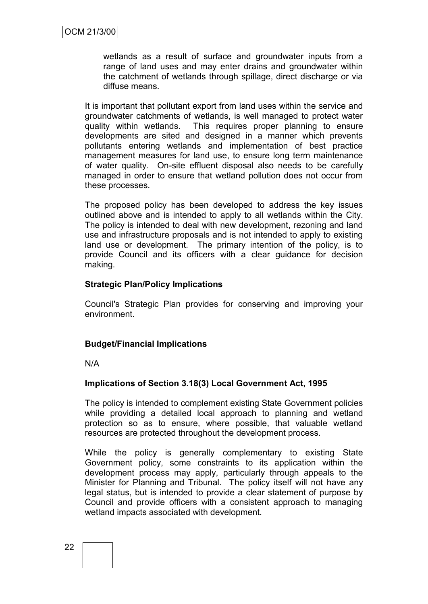wetlands as a result of surface and groundwater inputs from a range of land uses and may enter drains and groundwater within the catchment of wetlands through spillage, direct discharge or via diffuse means.

It is important that pollutant export from land uses within the service and groundwater catchments of wetlands, is well managed to protect water quality within wetlands. This requires proper planning to ensure developments are sited and designed in a manner which prevents pollutants entering wetlands and implementation of best practice management measures for land use, to ensure long term maintenance of water quality. On-site effluent disposal also needs to be carefully managed in order to ensure that wetland pollution does not occur from these processes.

The proposed policy has been developed to address the key issues outlined above and is intended to apply to all wetlands within the City. The policy is intended to deal with new development, rezoning and land use and infrastructure proposals and is not intended to apply to existing land use or development. The primary intention of the policy, is to provide Council and its officers with a clear guidance for decision making.

#### **Strategic Plan/Policy Implications**

Council's Strategic Plan provides for conserving and improving your environment.

#### **Budget/Financial Implications**

N/A

#### **Implications of Section 3.18(3) Local Government Act, 1995**

The policy is intended to complement existing State Government policies while providing a detailed local approach to planning and wetland protection so as to ensure, where possible, that valuable wetland resources are protected throughout the development process.

While the policy is generally complementary to existing State Government policy, some constraints to its application within the development process may apply, particularly through appeals to the Minister for Planning and Tribunal. The policy itself will not have any legal status, but is intended to provide a clear statement of purpose by Council and provide officers with a consistent approach to managing wetland impacts associated with development.

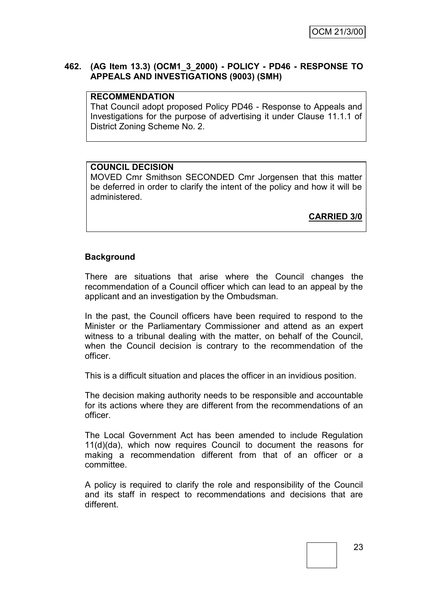#### **462. (AG Item 13.3) (OCM1\_3\_2000) - POLICY - PD46 - RESPONSE TO APPEALS AND INVESTIGATIONS (9003) (SMH)**

#### **RECOMMENDATION**

That Council adopt proposed Policy PD46 - Response to Appeals and Investigations for the purpose of advertising it under Clause 11.1.1 of District Zoning Scheme No. 2.

#### **COUNCIL DECISION**

MOVED Cmr Smithson SECONDED Cmr Jorgensen that this matter be deferred in order to clarify the intent of the policy and how it will be administered.

**CARRIED 3/0**

#### **Background**

There are situations that arise where the Council changes the recommendation of a Council officer which can lead to an appeal by the applicant and an investigation by the Ombudsman.

In the past, the Council officers have been required to respond to the Minister or the Parliamentary Commissioner and attend as an expert witness to a tribunal dealing with the matter, on behalf of the Council, when the Council decision is contrary to the recommendation of the officer.

This is a difficult situation and places the officer in an invidious position.

The decision making authority needs to be responsible and accountable for its actions where they are different from the recommendations of an officer.

The Local Government Act has been amended to include Regulation 11(d)(da), which now requires Council to document the reasons for making a recommendation different from that of an officer or a committee.

A policy is required to clarify the role and responsibility of the Council and its staff in respect to recommendations and decisions that are different.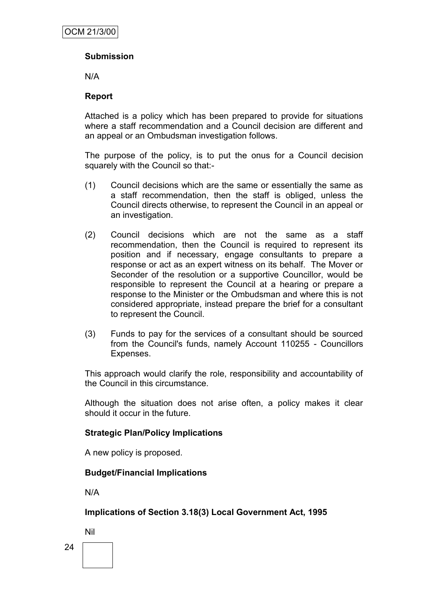#### **Submission**

N/A

#### **Report**

Attached is a policy which has been prepared to provide for situations where a staff recommendation and a Council decision are different and an appeal or an Ombudsman investigation follows.

The purpose of the policy, is to put the onus for a Council decision squarely with the Council so that:-

- (1) Council decisions which are the same or essentially the same as a staff recommendation, then the staff is obliged, unless the Council directs otherwise, to represent the Council in an appeal or an investigation.
- (2) Council decisions which are not the same as a staff recommendation, then the Council is required to represent its position and if necessary, engage consultants to prepare a response or act as an expert witness on its behalf. The Mover or Seconder of the resolution or a supportive Councillor, would be responsible to represent the Council at a hearing or prepare a response to the Minister or the Ombudsman and where this is not considered appropriate, instead prepare the brief for a consultant to represent the Council.
- (3) Funds to pay for the services of a consultant should be sourced from the Council's funds, namely Account 110255 - Councillors Expenses.

This approach would clarify the role, responsibility and accountability of the Council in this circumstance.

Although the situation does not arise often, a policy makes it clear should it occur in the future.

#### **Strategic Plan/Policy Implications**

A new policy is proposed.

#### **Budget/Financial Implications**

N/A

#### **Implications of Section 3.18(3) Local Government Act, 1995**

Nil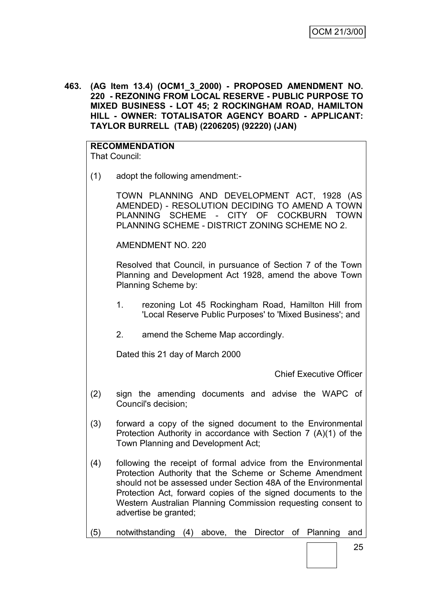**463. (AG Item 13.4) (OCM1\_3\_2000) - PROPOSED AMENDMENT NO. 220 - REZONING FROM LOCAL RESERVE - PUBLIC PURPOSE TO MIXED BUSINESS - LOT 45; 2 ROCKINGHAM ROAD, HAMILTON HILL - OWNER: TOTALISATOR AGENCY BOARD - APPLICANT: TAYLOR BURRELL (TAB) (2206205) (92220) (JAN)**

### **RECOMMENDATION**

That Council:

(1) adopt the following amendment:-

TOWN PLANNING AND DEVELOPMENT ACT, 1928 (AS AMENDED) - RESOLUTION DECIDING TO AMEND A TOWN PLANNING SCHEME - CITY OF COCKBURN TOWN PLANNING SCHEME - DISTRICT ZONING SCHEME NO 2.

AMENDMENT NO. 220

Resolved that Council, in pursuance of Section 7 of the Town Planning and Development Act 1928, amend the above Town Planning Scheme by:

- 1. rezoning Lot 45 Rockingham Road, Hamilton Hill from 'Local Reserve Public Purposes' to 'Mixed Business'; and
- 2. amend the Scheme Map accordingly.

Dated this 21 day of March 2000

Chief Executive Officer

- (2) sign the amending documents and advise the WAPC of Council's decision;
- (3) forward a copy of the signed document to the Environmental Protection Authority in accordance with Section 7 (A)(1) of the Town Planning and Development Act;
- (4) following the receipt of formal advice from the Environmental Protection Authority that the Scheme or Scheme Amendment should not be assessed under Section 48A of the Environmental Protection Act, forward copies of the signed documents to the Western Australian Planning Commission requesting consent to advertise be granted;
- (5) notwithstanding (4) above, the Director of Planning and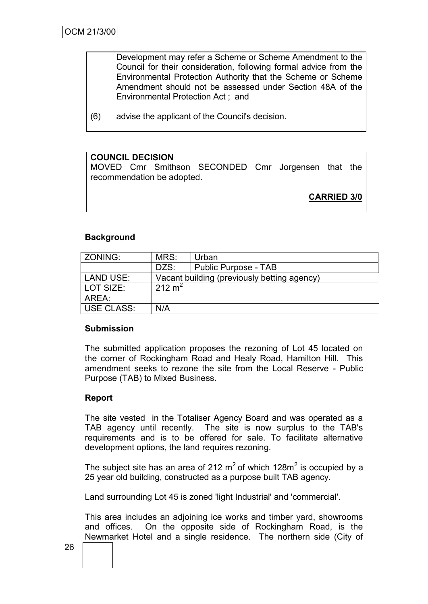Development may refer a Scheme or Scheme Amendment to the Council for their consideration, following formal advice from the Environmental Protection Authority that the Scheme or Scheme Amendment should not be assessed under Section 48A of the Environmental Protection Act ; and

(6) advise the applicant of the Council's decision.

#### **COUNCIL DECISION**

MOVED Cmr Smithson SECONDED Cmr Jorgensen that the recommendation be adopted.

**CARRIED 3/0**

#### **Background**

| ZONING:           | MRS:                                        | Urban                |  |
|-------------------|---------------------------------------------|----------------------|--|
|                   | DZS:                                        | Public Purpose - TAB |  |
| LAND USE:         | Vacant building (previously betting agency) |                      |  |
| LOT SIZE:         | 212 m <sup>2</sup>                          |                      |  |
| AREA:             |                                             |                      |  |
| <b>USE CLASS:</b> | N/A                                         |                      |  |

#### **Submission**

The submitted application proposes the rezoning of Lot 45 located on the corner of Rockingham Road and Healy Road, Hamilton Hill. This amendment seeks to rezone the site from the Local Reserve - Public Purpose (TAB) to Mixed Business.

#### **Report**

The site vested in the Totaliser Agency Board and was operated as a TAB agency until recently. The site is now surplus to the TAB's requirements and is to be offered for sale. To facilitate alternative development options, the land requires rezoning.

The subject site has an area of 212  $m^2$  of which 128 $m^2$  is occupied by a 25 year old building, constructed as a purpose built TAB agency.

Land surrounding Lot 45 is zoned 'light Industrial' and 'commercial'.

This area includes an adjoining ice works and timber yard, showrooms and offices. On the opposite side of Rockingham Road, is the Newmarket Hotel and a single residence. The northern side (City of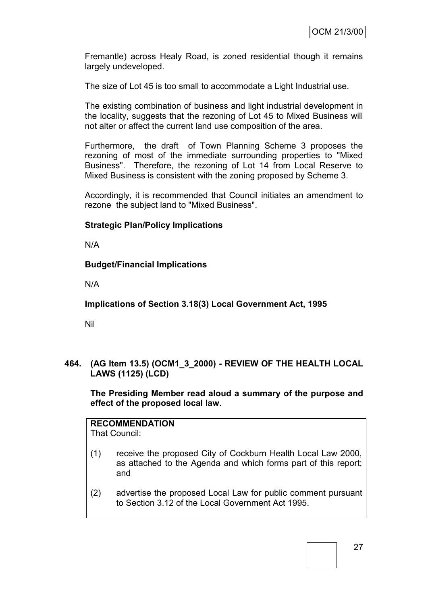Fremantle) across Healy Road, is zoned residential though it remains largely undeveloped.

The size of Lot 45 is too small to accommodate a Light Industrial use.

The existing combination of business and light industrial development in the locality, suggests that the rezoning of Lot 45 to Mixed Business will not alter or affect the current land use composition of the area.

Furthermore, the draft of Town Planning Scheme 3 proposes the rezoning of most of the immediate surrounding properties to "Mixed Business". Therefore, the rezoning of Lot 14 from Local Reserve to Mixed Business is consistent with the zoning proposed by Scheme 3.

Accordingly, it is recommended that Council initiates an amendment to rezone the subject land to "Mixed Business".

#### **Strategic Plan/Policy Implications**

N/A

#### **Budget/Financial Implications**

N/A

**Implications of Section 3.18(3) Local Government Act, 1995**

Nil

**464. (AG Item 13.5) (OCM1\_3\_2000) - REVIEW OF THE HEALTH LOCAL LAWS (1125) (LCD)**

**The Presiding Member read aloud a summary of the purpose and effect of the proposed local law.**

**RECOMMENDATION**

That Council:

- (1) receive the proposed City of Cockburn Health Local Law 2000, as attached to the Agenda and which forms part of this report; and
- (2) advertise the proposed Local Law for public comment pursuant to Section 3.12 of the Local Government Act 1995.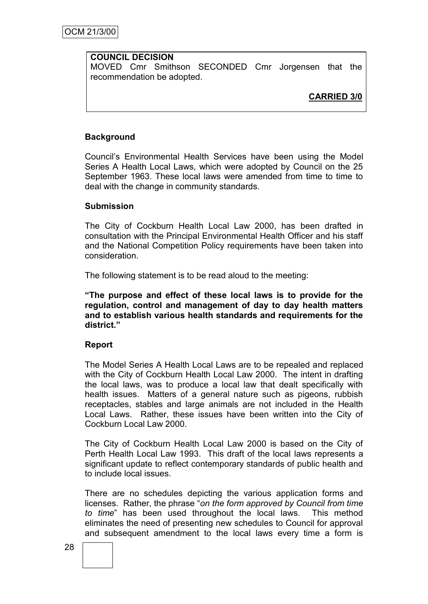#### **COUNCIL DECISION**

MOVED Cmr Smithson SECONDED Cmr Jorgensen that the recommendation be adopted.

**CARRIED 3/0**

#### **Background**

Council's Environmental Health Services have been using the Model Series A Health Local Laws, which were adopted by Council on the 25 September 1963. These local laws were amended from time to time to deal with the change in community standards.

#### **Submission**

The City of Cockburn Health Local Law 2000, has been drafted in consultation with the Principal Environmental Health Officer and his staff and the National Competition Policy requirements have been taken into consideration.

The following statement is to be read aloud to the meeting:

**"The purpose and effect of these local laws is to provide for the regulation, control and management of day to day health matters and to establish various health standards and requirements for the district."**

#### **Report**

The Model Series A Health Local Laws are to be repealed and replaced with the City of Cockburn Health Local Law 2000. The intent in drafting the local laws, was to produce a local law that dealt specifically with health issues. Matters of a general nature such as pigeons, rubbish receptacles, stables and large animals are not included in the Health Local Laws. Rather, these issues have been written into the City of Cockburn Local Law 2000.

The City of Cockburn Health Local Law 2000 is based on the City of Perth Health Local Law 1993. This draft of the local laws represents a significant update to reflect contemporary standards of public health and to include local issues.

There are no schedules depicting the various application forms and licenses. Rather, the phrase "*on the form approved by Council from time to time*" has been used throughout the local laws. This method eliminates the need of presenting new schedules to Council for approval and subsequent amendment to the local laws every time a form is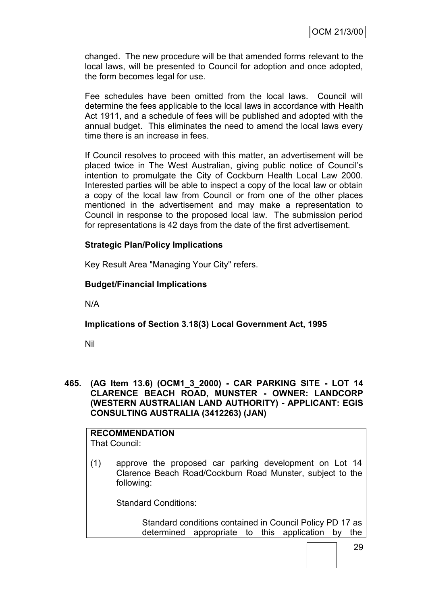changed. The new procedure will be that amended forms relevant to the local laws, will be presented to Council for adoption and once adopted, the form becomes legal for use.

Fee schedules have been omitted from the local laws. Council will determine the fees applicable to the local laws in accordance with Health Act 1911, and a schedule of fees will be published and adopted with the annual budget. This eliminates the need to amend the local laws every time there is an increase in fees.

If Council resolves to proceed with this matter, an advertisement will be placed twice in The West Australian, giving public notice of Council's intention to promulgate the City of Cockburn Health Local Law 2000. Interested parties will be able to inspect a copy of the local law or obtain a copy of the local law from Council or from one of the other places mentioned in the advertisement and may make a representation to Council in response to the proposed local law. The submission period for representations is 42 days from the date of the first advertisement.

#### **Strategic Plan/Policy Implications**

Key Result Area "Managing Your City" refers.

#### **Budget/Financial Implications**

N/A

#### **Implications of Section 3.18(3) Local Government Act, 1995**

Nil

**465. (AG Item 13.6) (OCM1\_3\_2000) - CAR PARKING SITE - LOT 14 CLARENCE BEACH ROAD, MUNSTER - OWNER: LANDCORP (WESTERN AUSTRALIAN LAND AUTHORITY) - APPLICANT: EGIS CONSULTING AUSTRALIA (3412263) (JAN)**

# **RECOMMENDATION**

- That Council:
- (1) approve the proposed car parking development on Lot 14 Clarence Beach Road/Cockburn Road Munster, subject to the following:

Standard Conditions:

Standard conditions contained in Council Policy PD 17 as determined appropriate to this application by the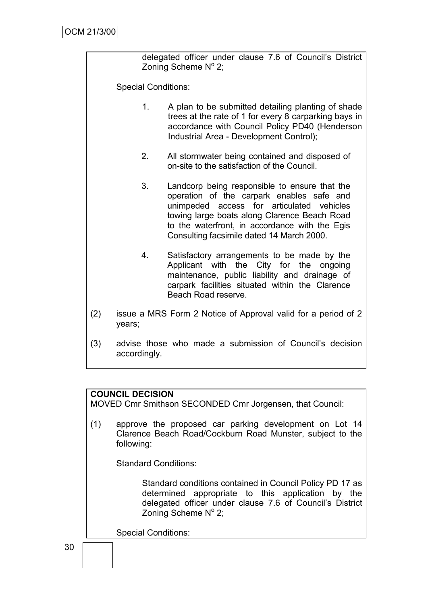delegated officer under clause 7.6 of Council's District Zoning Scheme Nº 2;

Special Conditions:

- 1. A plan to be submitted detailing planting of shade trees at the rate of 1 for every 8 carparking bays in accordance with Council Policy PD40 (Henderson Industrial Area - Development Control);
- 2. All stormwater being contained and disposed of on-site to the satisfaction of the Council.
- 3. Landcorp being responsible to ensure that the operation of the carpark enables safe and unimpeded access for articulated vehicles towing large boats along Clarence Beach Road to the waterfront, in accordance with the Egis Consulting facsimile dated 14 March 2000.
- 4. Satisfactory arrangements to be made by the Applicant with the City for the ongoing maintenance, public liability and drainage of carpark facilities situated within the Clarence Beach Road reserve.
- (2) issue a MRS Form 2 Notice of Approval valid for a period of 2 years;
- (3) advise those who made a submission of Council's decision accordingly.

#### **COUNCIL DECISION**

MOVED Cmr Smithson SECONDED Cmr Jorgensen, that Council:

(1) approve the proposed car parking development on Lot 14 Clarence Beach Road/Cockburn Road Munster, subject to the following:

Standard Conditions:

Standard conditions contained in Council Policy PD 17 as determined appropriate to this application by the delegated officer under clause 7.6 of Council's District Zoning Scheme  $N^{\circ}$  2;

Special Conditions: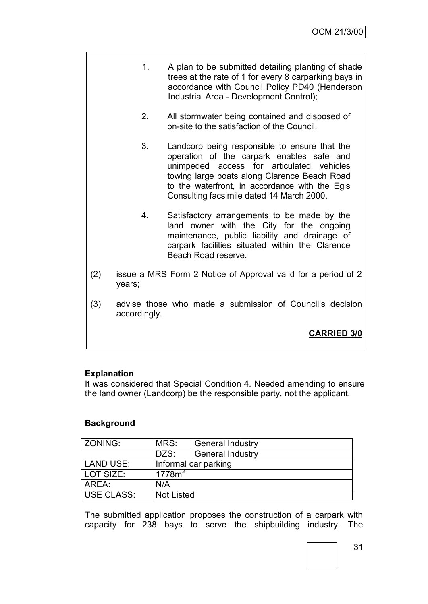- 1. A plan to be submitted detailing planting of shade trees at the rate of 1 for every 8 carparking bays in accordance with Council Policy PD40 (Henderson Industrial Area - Development Control);
	- 2. All stormwater being contained and disposed of on-site to the satisfaction of the Council.
	- 3. Landcorp being responsible to ensure that the operation of the carpark enables safe and unimpeded access for articulated vehicles towing large boats along Clarence Beach Road to the waterfront, in accordance with the Egis Consulting facsimile dated 14 March 2000.
- 4. Satisfactory arrangements to be made by the land owner with the City for the ongoing maintenance, public liability and drainage of carpark facilities situated within the Clarence Beach Road reserve.
- (2) issue a MRS Form 2 Notice of Approval valid for a period of 2 years;
- (3) advise those who made a submission of Council's decision accordingly.

**CARRIED 3/0**

#### **Explanation**

It was considered that Special Condition 4. Needed amending to ensure the land owner (Landcorp) be the responsible party, not the applicant.

#### **Background**

| <b>ZONING:</b>    | MRS:                 | <b>General Industry</b> |  |
|-------------------|----------------------|-------------------------|--|
|                   | DZS:                 | <b>General Industry</b> |  |
| <b>LAND USE:</b>  | Informal car parking |                         |  |
| LOT SIZE:         | 1778m <sup>2</sup>   |                         |  |
| AREA:             | N/A                  |                         |  |
| <b>USE CLASS:</b> | <b>Not Listed</b>    |                         |  |

The submitted application proposes the construction of a carpark with capacity for 238 bays to serve the shipbuilding industry. The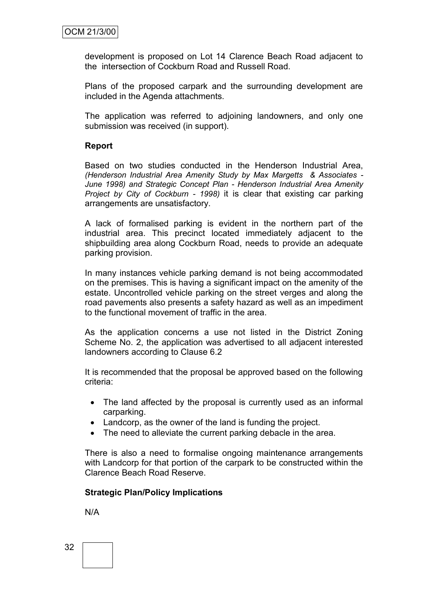development is proposed on Lot 14 Clarence Beach Road adjacent to the intersection of Cockburn Road and Russell Road.

Plans of the proposed carpark and the surrounding development are included in the Agenda attachments.

The application was referred to adjoining landowners, and only one submission was received (in support).

#### **Report**

Based on two studies conducted in the Henderson Industrial Area, *(Henderson Industrial Area Amenity Study by Max Margetts & Associates - June 1998) and Strategic Concept Plan - Henderson Industrial Area Amenity Project by City of Cockburn - 1998)* it is clear that existing car parking arrangements are unsatisfactory.

A lack of formalised parking is evident in the northern part of the industrial area. This precinct located immediately adjacent to the shipbuilding area along Cockburn Road, needs to provide an adequate parking provision.

In many instances vehicle parking demand is not being accommodated on the premises. This is having a significant impact on the amenity of the estate. Uncontrolled vehicle parking on the street verges and along the road pavements also presents a safety hazard as well as an impediment to the functional movement of traffic in the area.

As the application concerns a use not listed in the District Zoning Scheme No. 2, the application was advertised to all adjacent interested landowners according to Clause 6.2

It is recommended that the proposal be approved based on the following criteria:

- The land affected by the proposal is currently used as an informal carparking.
- Landcorp, as the owner of the land is funding the project.
- The need to alleviate the current parking debacle in the area.

There is also a need to formalise ongoing maintenance arrangements with Landcorp for that portion of the carpark to be constructed within the Clarence Beach Road Reserve.

#### **Strategic Plan/Policy Implications**

N/A

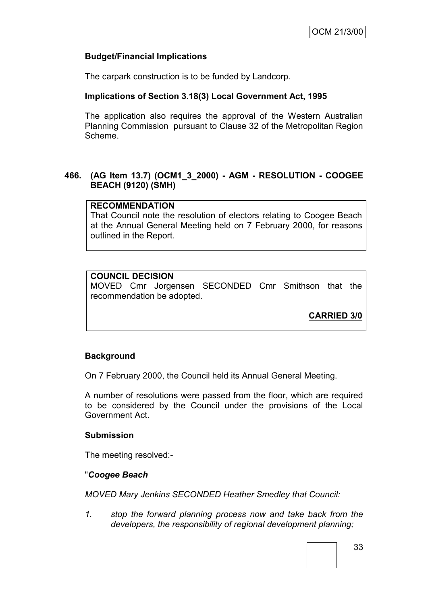### **Budget/Financial Implications**

The carpark construction is to be funded by Landcorp.

# **Implications of Section 3.18(3) Local Government Act, 1995**

The application also requires the approval of the Western Australian Planning Commission pursuant to Clause 32 of the Metropolitan Region Scheme.

### **466. (AG Item 13.7) (OCM1\_3\_2000) - AGM - RESOLUTION - COOGEE BEACH (9120) (SMH)**

### **RECOMMENDATION**

That Council note the resolution of electors relating to Coogee Beach at the Annual General Meeting held on 7 February 2000, for reasons outlined in the Report.

# **COUNCIL DECISION**

MOVED Cmr Jorgensen SECONDED Cmr Smithson that the recommendation be adopted.

**CARRIED 3/0**

# **Background**

On 7 February 2000, the Council held its Annual General Meeting.

A number of resolutions were passed from the floor, which are required to be considered by the Council under the provisions of the Local Government Act.

### **Submission**

The meeting resolved:-

### "*Coogee Beach*

*MOVED Mary Jenkins SECONDED Heather Smedley that Council:*

*1. stop the forward planning process now and take back from the developers, the responsibility of regional development planning;*

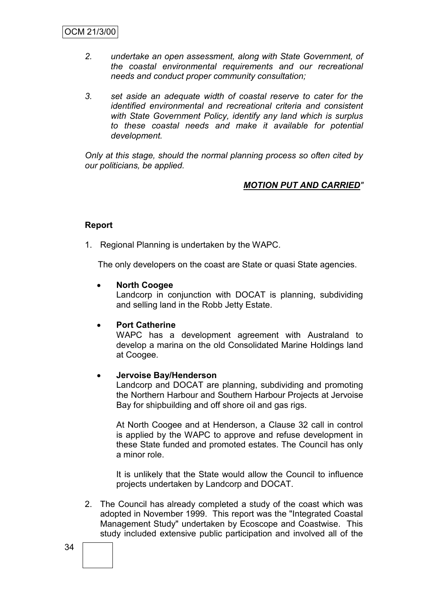- *2. undertake an open assessment, along with State Government, of the coastal environmental requirements and our recreational needs and conduct proper community consultation;*
- *3. set aside an adequate width of coastal reserve to cater for the identified environmental and recreational criteria and consistent with State Government Policy, identify any land which is surplus to these coastal needs and make it available for potential development.*

*Only at this stage, should the normal planning process so often cited by our politicians, be applied.*

# *MOTION PUT AND CARRIED"*

### **Report**

1. Regional Planning is undertaken by the WAPC.

The only developers on the coast are State or quasi State agencies.

### **North Coogee**

Landcorp in conjunction with DOCAT is planning, subdividing and selling land in the Robb Jetty Estate.

#### **Port Catherine**

WAPC has a development agreement with Australand to develop a marina on the old Consolidated Marine Holdings land at Coogee.

### **Jervoise Bay/Henderson**

Landcorp and DOCAT are planning, subdividing and promoting the Northern Harbour and Southern Harbour Projects at Jervoise Bay for shipbuilding and off shore oil and gas rigs.

At North Coogee and at Henderson, a Clause 32 call in control is applied by the WAPC to approve and refuse development in these State funded and promoted estates. The Council has only a minor role.

It is unlikely that the State would allow the Council to influence projects undertaken by Landcorp and DOCAT.

2. The Council has already completed a study of the coast which was adopted in November 1999. This report was the "Integrated Coastal Management Study" undertaken by Ecoscope and Coastwise. This study included extensive public participation and involved all of the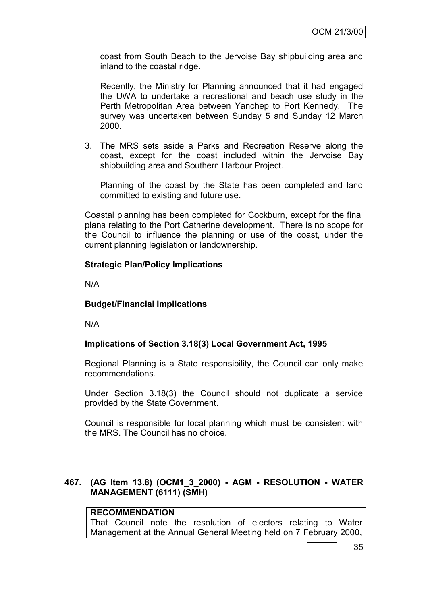coast from South Beach to the Jervoise Bay shipbuilding area and inland to the coastal ridge.

Recently, the Ministry for Planning announced that it had engaged the UWA to undertake a recreational and beach use study in the Perth Metropolitan Area between Yanchep to Port Kennedy. The survey was undertaken between Sunday 5 and Sunday 12 March 2000.

3. The MRS sets aside a Parks and Recreation Reserve along the coast, except for the coast included within the Jervoise Bay shipbuilding area and Southern Harbour Project.

Planning of the coast by the State has been completed and land committed to existing and future use.

Coastal planning has been completed for Cockburn, except for the final plans relating to the Port Catherine development. There is no scope for the Council to influence the planning or use of the coast, under the current planning legislation or landownership.

# **Strategic Plan/Policy Implications**

N/A

### **Budget/Financial Implications**

N/A

# **Implications of Section 3.18(3) Local Government Act, 1995**

Regional Planning is a State responsibility, the Council can only make recommendations.

Under Section 3.18(3) the Council should not duplicate a service provided by the State Government.

Council is responsible for local planning which must be consistent with the MRS. The Council has no choice.

### **467. (AG Item 13.8) (OCM1\_3\_2000) - AGM - RESOLUTION - WATER MANAGEMENT (6111) (SMH)**

# **RECOMMENDATION**

That Council note the resolution of electors relating to Water Management at the Annual General Meeting held on 7 February 2000,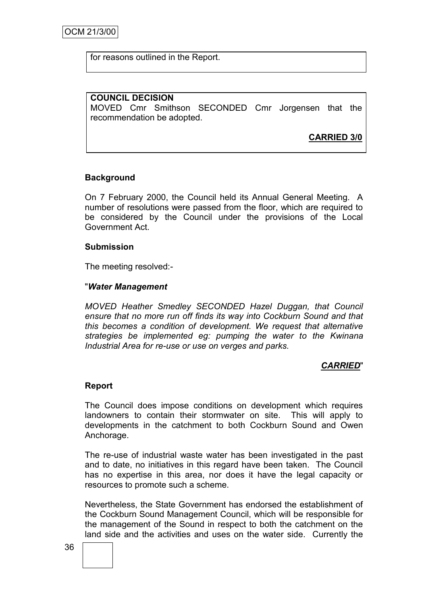for reasons outlined in the Report.

### **COUNCIL DECISION**

MOVED Cmr Smithson SECONDED Cmr Jorgensen that the recommendation be adopted.

**CARRIED 3/0**

# **Background**

On 7 February 2000, the Council held its Annual General Meeting. A number of resolutions were passed from the floor, which are required to be considered by the Council under the provisions of the Local Government Act.

### **Submission**

The meeting resolved:-

### "*Water Management*

*MOVED Heather Smedley SECONDED Hazel Duggan, that Council ensure that no more run off finds its way into Cockburn Sound and that this becomes a condition of development. We request that alternative strategies be implemented eg: pumping the water to the Kwinana Industrial Area for re-use or use on verges and parks.*

### *CARRIED*"

#### **Report**

The Council does impose conditions on development which requires landowners to contain their stormwater on site. This will apply to developments in the catchment to both Cockburn Sound and Owen Anchorage.

The re-use of industrial waste water has been investigated in the past and to date, no initiatives in this regard have been taken. The Council has no expertise in this area, nor does it have the legal capacity or resources to promote such a scheme.

Nevertheless, the State Government has endorsed the establishment of the Cockburn Sound Management Council, which will be responsible for the management of the Sound in respect to both the catchment on the land side and the activities and uses on the water side. Currently the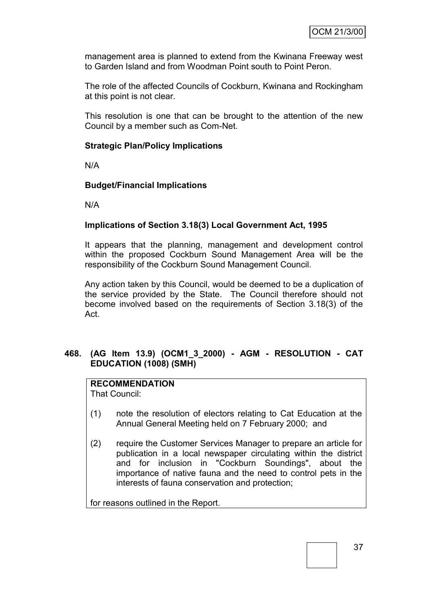management area is planned to extend from the Kwinana Freeway west to Garden Island and from Woodman Point south to Point Peron.

The role of the affected Councils of Cockburn, Kwinana and Rockingham at this point is not clear.

This resolution is one that can be brought to the attention of the new Council by a member such as Com-Net.

# **Strategic Plan/Policy Implications**

N/A

### **Budget/Financial Implications**

N/A

### **Implications of Section 3.18(3) Local Government Act, 1995**

It appears that the planning, management and development control within the proposed Cockburn Sound Management Area will be the responsibility of the Cockburn Sound Management Council.

Any action taken by this Council, would be deemed to be a duplication of the service provided by the State. The Council therefore should not become involved based on the requirements of Section 3.18(3) of the Act.

# **468. (AG Item 13.9) (OCM1\_3\_2000) - AGM - RESOLUTION - CAT EDUCATION (1008) (SMH)**

# **RECOMMENDATION**

That Council:

- (1) note the resolution of electors relating to Cat Education at the Annual General Meeting held on 7 February 2000; and
- (2) require the Customer Services Manager to prepare an article for publication in a local newspaper circulating within the district and for inclusion in "Cockburn Soundings", about the importance of native fauna and the need to control pets in the interests of fauna conservation and protection;

for reasons outlined in the Report.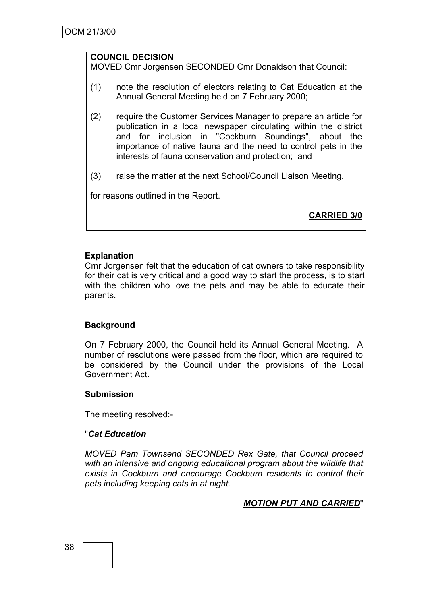# **COUNCIL DECISION**

MOVED Cmr Jorgensen SECONDED Cmr Donaldson that Council:

- (1) note the resolution of electors relating to Cat Education at the Annual General Meeting held on 7 February 2000;
- (2) require the Customer Services Manager to prepare an article for publication in a local newspaper circulating within the district and for inclusion in "Cockburn Soundings", about the importance of native fauna and the need to control pets in the interests of fauna conservation and protection; and
- (3) raise the matter at the next School/Council Liaison Meeting.

for reasons outlined in the Report.

**CARRIED 3/0**

### **Explanation**

Cmr Jorgensen felt that the education of cat owners to take responsibility for their cat is very critical and a good way to start the process, is to start with the children who love the pets and may be able to educate their parents.

### **Background**

On 7 February 2000, the Council held its Annual General Meeting. A number of resolutions were passed from the floor, which are required to be considered by the Council under the provisions of the Local Government Act.

### **Submission**

The meeting resolved:-

### "*Cat Education*

*MOVED Pam Townsend SECONDED Rex Gate, that Council proceed with an intensive and ongoing educational program about the wildlife that exists in Cockburn and encourage Cockburn residents to control their pets including keeping cats in at night.*

### *MOTION PUT AND CARRIED*"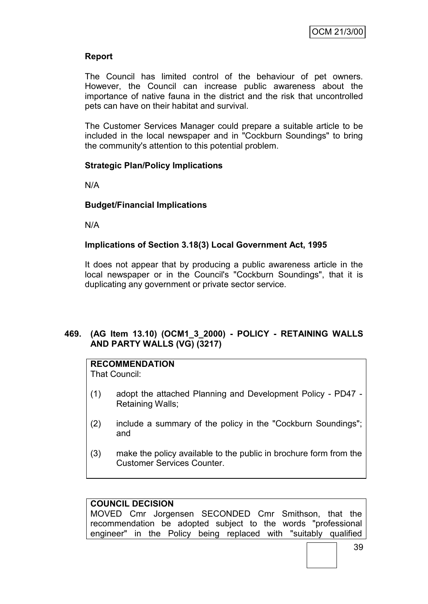# **Report**

The Council has limited control of the behaviour of pet owners. However, the Council can increase public awareness about the importance of native fauna in the district and the risk that uncontrolled pets can have on their habitat and survival.

The Customer Services Manager could prepare a suitable article to be included in the local newspaper and in "Cockburn Soundings" to bring the community's attention to this potential problem.

### **Strategic Plan/Policy Implications**

N/A

# **Budget/Financial Implications**

N/A

### **Implications of Section 3.18(3) Local Government Act, 1995**

It does not appear that by producing a public awareness article in the local newspaper or in the Council's "Cockburn Soundings", that it is duplicating any government or private sector service.

# **469. (AG Item 13.10) (OCM1\_3\_2000) - POLICY - RETAINING WALLS AND PARTY WALLS (VG) (3217)**

# **RECOMMENDATION**

That Council:

- (1) adopt the attached Planning and Development Policy PD47 Retaining Walls;
- (2) include a summary of the policy in the "Cockburn Soundings"; and
- (3) make the policy available to the public in brochure form from the Customer Services Counter.

### **COUNCIL DECISION**

MOVED Cmr Jorgensen SECONDED Cmr Smithson, that the recommendation be adopted subject to the words "professional engineer" in the Policy being replaced with "suitably qualified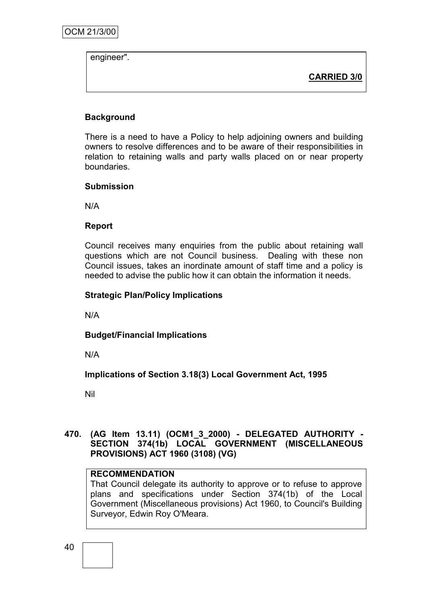engineer".

**CARRIED 3/0**

# **Background**

There is a need to have a Policy to help adjoining owners and building owners to resolve differences and to be aware of their responsibilities in relation to retaining walls and party walls placed on or near property boundaries.

# **Submission**

N/A

# **Report**

Council receives many enquiries from the public about retaining wall questions which are not Council business. Dealing with these non Council issues, takes an inordinate amount of staff time and a policy is needed to advise the public how it can obtain the information it needs.

# **Strategic Plan/Policy Implications**

N/A

**Budget/Financial Implications**

N/A

**Implications of Section 3.18(3) Local Government Act, 1995**

Nil

### **470. (AG Item 13.11) (OCM1\_3\_2000) - DELEGATED AUTHORITY - SECTION 374(1b) LOCAL GOVERNMENT (MISCELLANEOUS PROVISIONS) ACT 1960 (3108) (VG)**

### **RECOMMENDATION**

That Council delegate its authority to approve or to refuse to approve plans and specifications under Section 374(1b) of the Local Government (Miscellaneous provisions) Act 1960, to Council's Building Surveyor, Edwin Roy O'Meara.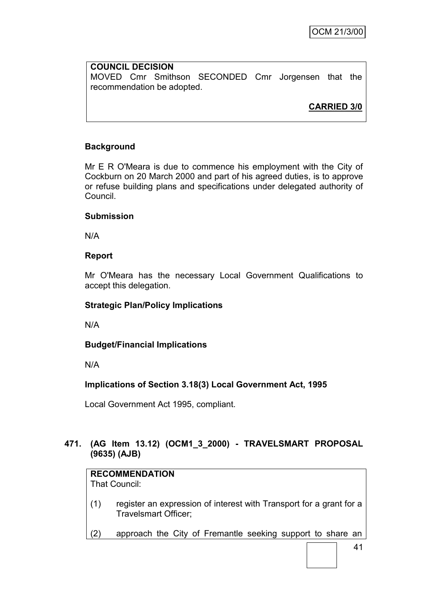# **COUNCIL DECISION** MOVED Cmr Smithson SECONDED Cmr Jorgensen that the recommendation be adopted.

**CARRIED 3/0**

# **Background**

Mr E R O'Meara is due to commence his employment with the City of Cockburn on 20 March 2000 and part of his agreed duties, is to approve or refuse building plans and specifications under delegated authority of Council.

# **Submission**

N/A

# **Report**

Mr O'Meara has the necessary Local Government Qualifications to accept this delegation.

# **Strategic Plan/Policy Implications**

N/A

**Budget/Financial Implications**

N/A

# **Implications of Section 3.18(3) Local Government Act, 1995**

Local Government Act 1995, compliant.

# **471. (AG Item 13.12) (OCM1\_3\_2000) - TRAVELSMART PROPOSAL (9635) (AJB)**

# **RECOMMENDATION**

That Council:

- (1) register an expression of interest with Transport for a grant for a Travelsmart Officer;
- (2) approach the City of Fremantle seeking support to share an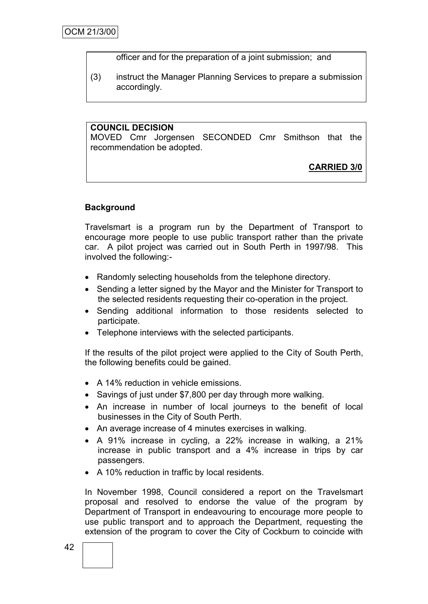officer and for the preparation of a joint submission; and

(3) instruct the Manager Planning Services to prepare a submission accordingly.

### **COUNCIL DECISION**

MOVED Cmr Jorgensen SECONDED Cmr Smithson that the recommendation be adopted.

# **CARRIED 3/0**

# **Background**

Travelsmart is a program run by the Department of Transport to encourage more people to use public transport rather than the private car. A pilot project was carried out in South Perth in 1997/98. This involved the following:-

- Randomly selecting households from the telephone directory.
- Sending a letter signed by the Mayor and the Minister for Transport to the selected residents requesting their co-operation in the project.
- Sending additional information to those residents selected to participate.
- Telephone interviews with the selected participants.

If the results of the pilot project were applied to the City of South Perth, the following benefits could be gained.

- A 14% reduction in vehicle emissions.
- Savings of just under \$7,800 per day through more walking.
- An increase in number of local journeys to the benefit of local businesses in the City of South Perth.
- An average increase of 4 minutes exercises in walking.
- A 91% increase in cycling, a 22% increase in walking, a 21% increase in public transport and a 4% increase in trips by car passengers.
- A 10% reduction in traffic by local residents.

In November 1998, Council considered a report on the Travelsmart proposal and resolved to endorse the value of the program by Department of Transport in endeavouring to encourage more people to use public transport and to approach the Department, requesting the extension of the program to cover the City of Cockburn to coincide with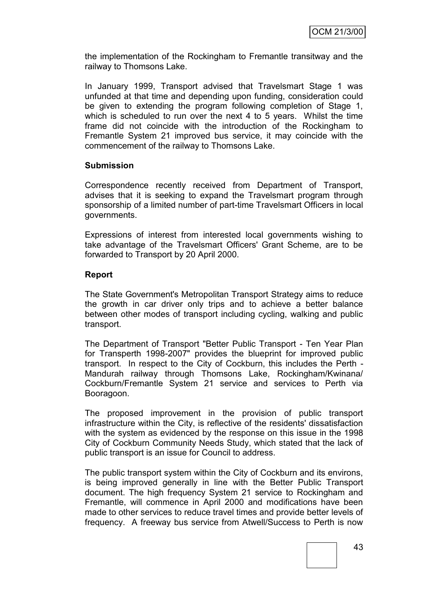the implementation of the Rockingham to Fremantle transitway and the railway to Thomsons Lake.

In January 1999, Transport advised that Travelsmart Stage 1 was unfunded at that time and depending upon funding, consideration could be given to extending the program following completion of Stage 1, which is scheduled to run over the next 4 to 5 years. Whilst the time frame did not coincide with the introduction of the Rockingham to Fremantle System 21 improved bus service, it may coincide with the commencement of the railway to Thomsons Lake.

### **Submission**

Correspondence recently received from Department of Transport, advises that it is seeking to expand the Travelsmart program through sponsorship of a limited number of part-time Travelsmart Officers in local governments.

Expressions of interest from interested local governments wishing to take advantage of the Travelsmart Officers' Grant Scheme, are to be forwarded to Transport by 20 April 2000.

### **Report**

The State Government's Metropolitan Transport Strategy aims to reduce the growth in car driver only trips and to achieve a better balance between other modes of transport including cycling, walking and public transport.

The Department of Transport "Better Public Transport - Ten Year Plan for Transperth 1998-2007" provides the blueprint for improved public transport. In respect to the City of Cockburn, this includes the Perth - Mandurah railway through Thomsons Lake, Rockingham/Kwinana/ Cockburn/Fremantle System 21 service and services to Perth via Booragoon.

The proposed improvement in the provision of public transport infrastructure within the City, is reflective of the residents' dissatisfaction with the system as evidenced by the response on this issue in the 1998 City of Cockburn Community Needs Study, which stated that the lack of public transport is an issue for Council to address.

The public transport system within the City of Cockburn and its environs, is being improved generally in line with the Better Public Transport document. The high frequency System 21 service to Rockingham and Fremantle, will commence in April 2000 and modifications have been made to other services to reduce travel times and provide better levels of frequency. A freeway bus service from Atwell/Success to Perth is now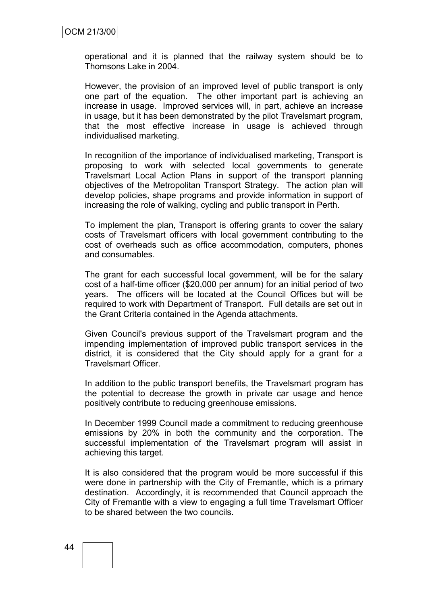operational and it is planned that the railway system should be to Thomsons Lake in 2004.

However, the provision of an improved level of public transport is only one part of the equation. The other important part is achieving an increase in usage. Improved services will, in part, achieve an increase in usage, but it has been demonstrated by the pilot Travelsmart program, that the most effective increase in usage is achieved through individualised marketing.

In recognition of the importance of individualised marketing, Transport is proposing to work with selected local governments to generate Travelsmart Local Action Plans in support of the transport planning objectives of the Metropolitan Transport Strategy. The action plan will develop policies, shape programs and provide information in support of increasing the role of walking, cycling and public transport in Perth.

To implement the plan, Transport is offering grants to cover the salary costs of Travelsmart officers with local government contributing to the cost of overheads such as office accommodation, computers, phones and consumables.

The grant for each successful local government, will be for the salary cost of a half-time officer (\$20,000 per annum) for an initial period of two years. The officers will be located at the Council Offices but will be required to work with Department of Transport. Full details are set out in the Grant Criteria contained in the Agenda attachments.

Given Council's previous support of the Travelsmart program and the impending implementation of improved public transport services in the district, it is considered that the City should apply for a grant for a Travelsmart Officer.

In addition to the public transport benefits, the Travelsmart program has the potential to decrease the growth in private car usage and hence positively contribute to reducing greenhouse emissions.

In December 1999 Council made a commitment to reducing greenhouse emissions by 20% in both the community and the corporation. The successful implementation of the Travelsmart program will assist in achieving this target.

It is also considered that the program would be more successful if this were done in partnership with the City of Fremantle, which is a primary destination. Accordingly, it is recommended that Council approach the City of Fremantle with a view to engaging a full time Travelsmart Officer to be shared between the two councils.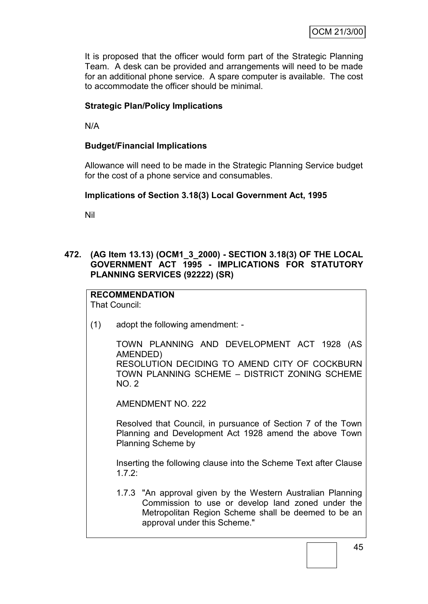It is proposed that the officer would form part of the Strategic Planning Team. A desk can be provided and arrangements will need to be made for an additional phone service. A spare computer is available. The cost to accommodate the officer should be minimal.

# **Strategic Plan/Policy Implications**

N/A

# **Budget/Financial Implications**

Allowance will need to be made in the Strategic Planning Service budget for the cost of a phone service and consumables.

### **Implications of Section 3.18(3) Local Government Act, 1995**

Nil

# **472. (AG Item 13.13) (OCM1\_3\_2000) - SECTION 3.18(3) OF THE LOCAL GOVERNMENT ACT 1995 - IMPLICATIONS FOR STATUTORY PLANNING SERVICES (92222) (SR)**

#### **RECOMMENDATION** That Council:

(1) adopt the following amendment: -

TOWN PLANNING AND DEVELOPMENT ACT 1928 (AS AMENDED) RESOLUTION DECIDING TO AMEND CITY OF COCKBURN TOWN PLANNING SCHEME – DISTRICT ZONING SCHEME NO. 2

AMENDMENT NO. 222

Resolved that Council, in pursuance of Section 7 of the Town Planning and Development Act 1928 amend the above Town Planning Scheme by

Inserting the following clause into the Scheme Text after Clause 1.7.2:

1.7.3 "An approval given by the Western Australian Planning Commission to use or develop land zoned under the Metropolitan Region Scheme shall be deemed to be an approval under this Scheme."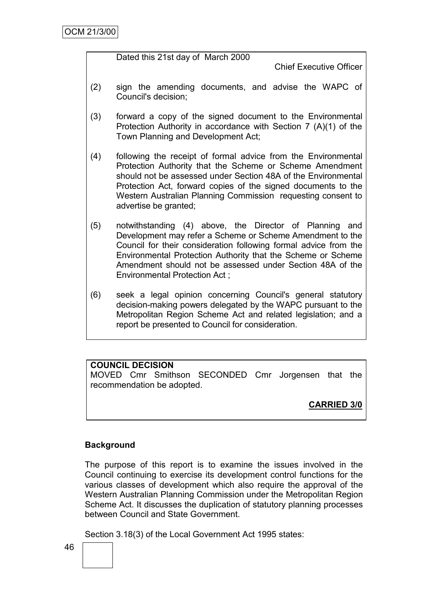Dated this 21st day of March 2000

Chief Executive Officer

- (2) sign the amending documents, and advise the WAPC of Council's decision;
- (3) forward a copy of the signed document to the Environmental Protection Authority in accordance with Section 7 (A)(1) of the Town Planning and Development Act;
- (4) following the receipt of formal advice from the Environmental Protection Authority that the Scheme or Scheme Amendment should not be assessed under Section 48A of the Environmental Protection Act, forward copies of the signed documents to the Western Australian Planning Commission requesting consent to advertise be granted;
- (5) notwithstanding (4) above, the Director of Planning and Development may refer a Scheme or Scheme Amendment to the Council for their consideration following formal advice from the Environmental Protection Authority that the Scheme or Scheme Amendment should not be assessed under Section 48A of the Environmental Protection Act ;
- (6) seek a legal opinion concerning Council's general statutory decision-making powers delegated by the WAPC pursuant to the Metropolitan Region Scheme Act and related legislation; and a report be presented to Council for consideration.

# **COUNCIL DECISION**

MOVED Cmr Smithson SECONDED Cmr Jorgensen that the recommendation be adopted.

**CARRIED 3/0**

# **Background**

The purpose of this report is to examine the issues involved in the Council continuing to exercise its development control functions for the various classes of development which also require the approval of the Western Australian Planning Commission under the Metropolitan Region Scheme Act. It discusses the duplication of statutory planning processes between Council and State Government.

Section 3.18(3) of the Local Government Act 1995 states: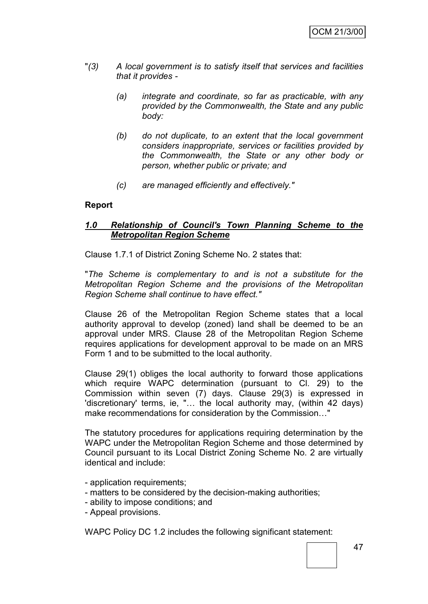- "*(3) A local government is to satisfy itself that services and facilities that it provides -*
	- *(a) integrate and coordinate, so far as practicable, with any provided by the Commonwealth, the State and any public body:*
	- *(b) do not duplicate, to an extent that the local government considers inappropriate, services or facilities provided by the Commonwealth, the State or any other body or person, whether public or private; and*
	- *(c) are managed efficiently and effectively."*

### **Report**

### *1.0 Relationship of Council's Town Planning Scheme to the Metropolitan Region Scheme*

Clause 1.7.1 of District Zoning Scheme No. 2 states that:

"*The Scheme is complementary to and is not a substitute for the Metropolitan Region Scheme and the provisions of the Metropolitan Region Scheme shall continue to have effect."*

Clause 26 of the Metropolitan Region Scheme states that a local authority approval to develop (zoned) land shall be deemed to be an approval under MRS. Clause 28 of the Metropolitan Region Scheme requires applications for development approval to be made on an MRS Form 1 and to be submitted to the local authority.

Clause 29(1) obliges the local authority to forward those applications which require WAPC determination (pursuant to Cl. 29) to the Commission within seven (7) days. Clause 29(3) is expressed in 'discretionary' terms, ie, "… the local authority may, (within 42 days) make recommendations for consideration by the Commission…"

The statutory procedures for applications requiring determination by the WAPC under the Metropolitan Region Scheme and those determined by Council pursuant to its Local District Zoning Scheme No. 2 are virtually identical and include:

- application requirements;
- matters to be considered by the decision-making authorities;
- ability to impose conditions; and
- Appeal provisions.

WAPC Policy DC 1.2 includes the following significant statement: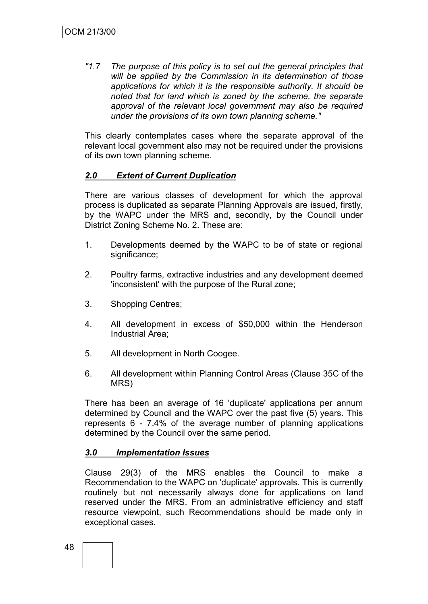*"1.7 The purpose of this policy is to set out the general principles that will be applied by the Commission in its determination of those applications for which it is the responsible authority. It should be noted that for land which is zoned by the scheme, the separate approval of the relevant local government may also be required under the provisions of its own town planning scheme."*

This clearly contemplates cases where the separate approval of the relevant local government also may not be required under the provisions of its own town planning scheme.

### *2.0 Extent of Current Duplication*

There are various classes of development for which the approval process is duplicated as separate Planning Approvals are issued, firstly, by the WAPC under the MRS and, secondly, by the Council under District Zoning Scheme No. 2. These are:

- 1. Developments deemed by the WAPC to be of state or regional significance;
- 2. Poultry farms, extractive industries and any development deemed 'inconsistent' with the purpose of the Rural zone;
- 3. Shopping Centres;
- 4. All development in excess of \$50,000 within the Henderson Industrial Area;
- 5. All development in North Coogee.
- 6. All development within Planning Control Areas (Clause 35C of the MRS)

There has been an average of 16 'duplicate' applications per annum determined by Council and the WAPC over the past five (5) years. This represents 6 - 7.4% of the average number of planning applications determined by the Council over the same period.

### *3.0 Implementation Issues*

Clause 29(3) of the MRS enables the Council to make a Recommendation to the WAPC on 'duplicate' approvals. This is currently routinely but not necessarily always done for applications on land reserved under the MRS. From an administrative efficiency and staff resource viewpoint, such Recommendations should be made only in exceptional cases.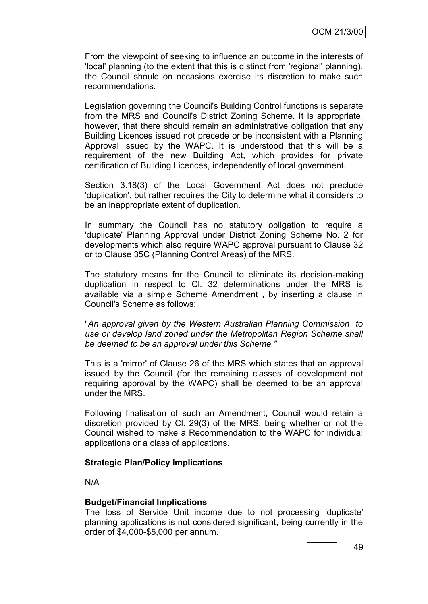From the viewpoint of seeking to influence an outcome in the interests of 'local' planning (to the extent that this is distinct from 'regional' planning), the Council should on occasions exercise its discretion to make such recommendations.

Legislation governing the Council's Building Control functions is separate from the MRS and Council's District Zoning Scheme. It is appropriate, however, that there should remain an administrative obligation that any Building Licences issued not precede or be inconsistent with a Planning Approval issued by the WAPC. It is understood that this will be a requirement of the new Building Act, which provides for private certification of Building Licences, independently of local government.

Section 3.18(3) of the Local Government Act does not preclude 'duplication', but rather requires the City to determine what it considers to be an inappropriate extent of duplication.

In summary the Council has no statutory obligation to require a 'duplicate' Planning Approval under District Zoning Scheme No. 2 for developments which also require WAPC approval pursuant to Clause 32 or to Clause 35C (Planning Control Areas) of the MRS.

The statutory means for the Council to eliminate its decision-making duplication in respect to Cl. 32 determinations under the MRS is available via a simple Scheme Amendment , by inserting a clause in Council's Scheme as follows:

"*An approval given by the Western Australian Planning Commission to use or develop land zoned under the Metropolitan Region Scheme shall be deemed to be an approval under this Scheme."*

This is a 'mirror' of Clause 26 of the MRS which states that an approval issued by the Council (for the remaining classes of development not requiring approval by the WAPC) shall be deemed to be an approval under the MRS.

Following finalisation of such an Amendment, Council would retain a discretion provided by Cl. 29(3) of the MRS, being whether or not the Council wished to make a Recommendation to the WAPC for individual applications or a class of applications.

### **Strategic Plan/Policy Implications**

N/A

#### **Budget/Financial Implications**

The loss of Service Unit income due to not processing 'duplicate' planning applications is not considered significant, being currently in the order of \$4,000-\$5,000 per annum.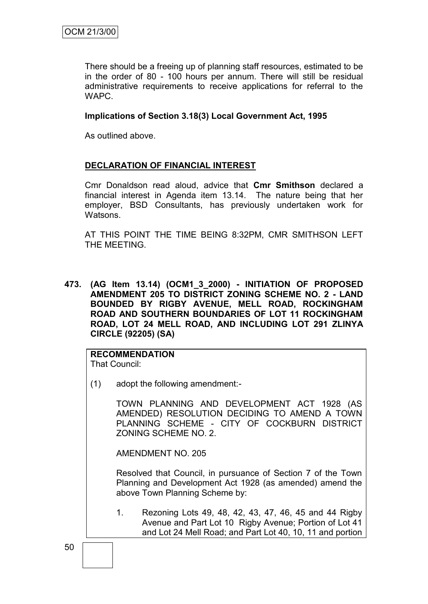There should be a freeing up of planning staff resources, estimated to be in the order of 80 - 100 hours per annum. There will still be residual administrative requirements to receive applications for referral to the WAPC.

### **Implications of Section 3.18(3) Local Government Act, 1995**

As outlined above.

### **DECLARATION OF FINANCIAL INTEREST**

Cmr Donaldson read aloud, advice that **Cmr Smithson** declared a financial interest in Agenda item 13.14. The nature being that her employer, BSD Consultants, has previously undertaken work for Watsons.

AT THIS POINT THE TIME BEING 8:32PM, CMR SMITHSON LEFT THE MEETING.

**473. (AG Item 13.14) (OCM1\_3\_2000) - INITIATION OF PROPOSED AMENDMENT 205 TO DISTRICT ZONING SCHEME NO. 2 - LAND BOUNDED BY RIGBY AVENUE, MELL ROAD, ROCKINGHAM ROAD AND SOUTHERN BOUNDARIES OF LOT 11 ROCKINGHAM ROAD, LOT 24 MELL ROAD, AND INCLUDING LOT 291 ZLINYA CIRCLE (92205) (SA)**

# **RECOMMENDATION**

That Council:

(1) adopt the following amendment:-

TOWN PLANNING AND DEVELOPMENT ACT 1928 (AS AMENDED) RESOLUTION DECIDING TO AMEND A TOWN PLANNING SCHEME - CITY OF COCKBURN DISTRICT ZONING SCHEME NO. 2.

AMENDMENT NO. 205

Resolved that Council, in pursuance of Section 7 of the Town Planning and Development Act 1928 (as amended) amend the above Town Planning Scheme by:

1. Rezoning Lots 49, 48, 42, 43, 47, 46, 45 and 44 Rigby Avenue and Part Lot 10 Rigby Avenue; Portion of Lot 41 and Lot 24 Mell Road; and Part Lot 40, 10, 11 and portion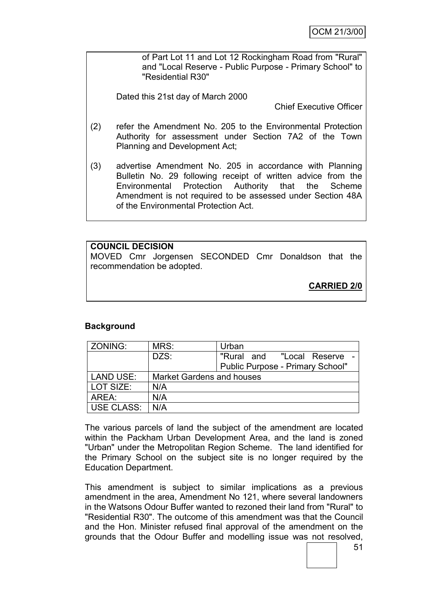of Part Lot 11 and Lot 12 Rockingham Road from "Rural" and "Local Reserve - Public Purpose - Primary School" to "Residential R30"

Dated this 21st day of March 2000

Chief Executive Officer

- (2) refer the Amendment No. 205 to the Environmental Protection Authority for assessment under Section 7A2 of the Town Planning and Development Act;
- (3) advertise Amendment No. 205 in accordance with Planning Bulletin No. 29 following receipt of written advice from the Environmental Protection Authority that the Scheme Amendment is not required to be assessed under Section 48A of the Environmental Protection Act.

# **COUNCIL DECISION**

MOVED Cmr Jorgensen SECONDED Cmr Donaldson that the recommendation be adopted.

**CARRIED 2/0**

# **Background**

| ZONING:          | MRS:                             | Urban                            |
|------------------|----------------------------------|----------------------------------|
|                  | DZS:                             | "Rural and "Local Reserve        |
|                  |                                  | Public Purpose - Primary School" |
| <b>LAND USE:</b> | <b>Market Gardens and houses</b> |                                  |
| LOT SIZE:        | N/A                              |                                  |
| AREA:            | N/A                              |                                  |
| USE CLASS:       | N/A                              |                                  |

The various parcels of land the subject of the amendment are located within the Packham Urban Development Area, and the land is zoned "Urban" under the Metropolitan Region Scheme. The land identified for the Primary School on the subject site is no longer required by the Education Department.

This amendment is subject to similar implications as a previous amendment in the area, Amendment No 121, where several landowners in the Watsons Odour Buffer wanted to rezoned their land from "Rural" to "Residential R30". The outcome of this amendment was that the Council and the Hon. Minister refused final approval of the amendment on the grounds that the Odour Buffer and modelling issue was not resolved,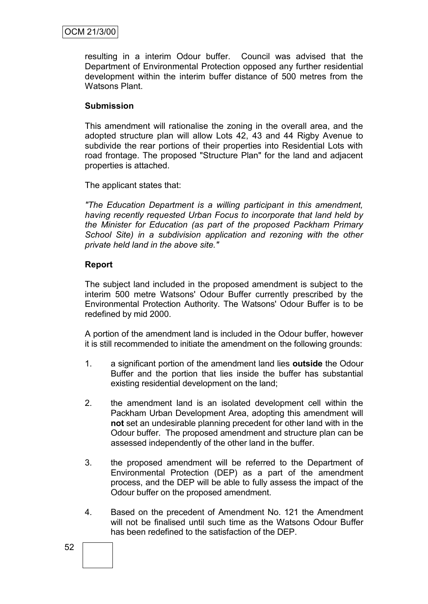resulting in a interim Odour buffer. Council was advised that the Department of Environmental Protection opposed any further residential development within the interim buffer distance of 500 metres from the Watsons Plant.

### **Submission**

This amendment will rationalise the zoning in the overall area, and the adopted structure plan will allow Lots 42, 43 and 44 Rigby Avenue to subdivide the rear portions of their properties into Residential Lots with road frontage. The proposed "Structure Plan" for the land and adjacent properties is attached.

The applicant states that:

*"The Education Department is a willing participant in this amendment, having recently requested Urban Focus to incorporate that land held by the Minister for Education (as part of the proposed Packham Primary School Site) in a subdivision application and rezoning with the other private held land in the above site."*

# **Report**

The subject land included in the proposed amendment is subject to the interim 500 metre Watsons' Odour Buffer currently prescribed by the Environmental Protection Authority. The Watsons' Odour Buffer is to be redefined by mid 2000.

A portion of the amendment land is included in the Odour buffer, however it is still recommended to initiate the amendment on the following grounds:

- 1. a significant portion of the amendment land lies **outside** the Odour Buffer and the portion that lies inside the buffer has substantial existing residential development on the land;
- 2. the amendment land is an isolated development cell within the Packham Urban Development Area, adopting this amendment will **not** set an undesirable planning precedent for other land with in the Odour buffer. The proposed amendment and structure plan can be assessed independently of the other land in the buffer.
- 3. the proposed amendment will be referred to the Department of Environmental Protection (DEP) as a part of the amendment process, and the DEP will be able to fully assess the impact of the Odour buffer on the proposed amendment.
- 4. Based on the precedent of Amendment No. 121 the Amendment will not be finalised until such time as the Watsons Odour Buffer has been redefined to the satisfaction of the DEP.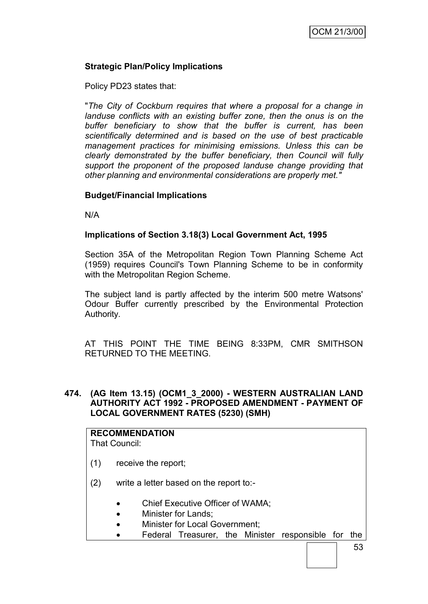# **Strategic Plan/Policy Implications**

Policy PD23 states that:

"*The City of Cockburn requires that where a proposal for a change in landuse conflicts with an existing buffer zone, then the onus is on the buffer beneficiary to show that the buffer is current, has been scientifically determined and is based on the use of best practicable management practices for minimising emissions. Unless this can be clearly demonstrated by the buffer beneficiary, then Council will fully support the proponent of the proposed landuse change providing that other planning and environmental considerations are properly met."*

### **Budget/Financial Implications**

N/A

### **Implications of Section 3.18(3) Local Government Act, 1995**

Section 35A of the Metropolitan Region Town Planning Scheme Act (1959) requires Council's Town Planning Scheme to be in conformity with the Metropolitan Region Scheme.

The subject land is partly affected by the interim 500 metre Watsons' Odour Buffer currently prescribed by the Environmental Protection Authority.

AT THIS POINT THE TIME BEING 8:33PM, CMR SMITHSON RETURNED TO THE MEETING.

### **474. (AG Item 13.15) (OCM1\_3\_2000) - WESTERN AUSTRALIAN LAND AUTHORITY ACT 1992 - PROPOSED AMENDMENT - PAYMENT OF LOCAL GOVERNMENT RATES (5230) (SMH)**

#### **RECOMMENDATION** That Council:

- (1) receive the report;
- (2) write a letter based on the report to:-
	- Chief Executive Officer of WAMA;
	- Minister for Lands:
	- Minister for Local Government;
	- Federal Treasurer, the Minister responsible for the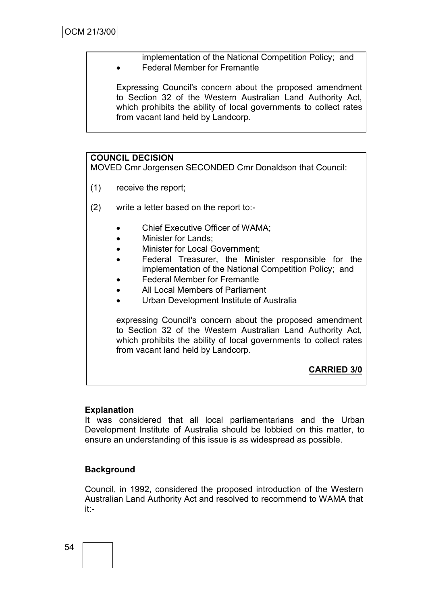implementation of the National Competition Policy; and • Federal Member for Fremantle

Expressing Council's concern about the proposed amendment to Section 32 of the Western Australian Land Authority Act, which prohibits the ability of local governments to collect rates from vacant land held by Landcorp.

# **COUNCIL DECISION**

MOVED Cmr Jorgensen SECONDED Cmr Donaldson that Council:

- (1) receive the report;
- (2) write a letter based on the report to:-
	- Chief Executive Officer of WAMA;
	- Minister for Lands;
	- Minister for Local Government;
	- Federal Treasurer, the Minister responsible for the implementation of the National Competition Policy; and
	- Federal Member for Fremantle
	- All Local Members of Parliament
	- Urban Development Institute of Australia

expressing Council's concern about the proposed amendment to Section 32 of the Western Australian Land Authority Act, which prohibits the ability of local governments to collect rates from vacant land held by Landcorp.

**CARRIED 3/0**

#### **Explanation**

It was considered that all local parliamentarians and the Urban Development Institute of Australia should be lobbied on this matter, to ensure an understanding of this issue is as widespread as possible.

# **Background**

Council, in 1992, considered the proposed introduction of the Western Australian Land Authority Act and resolved to recommend to WAMA that it:-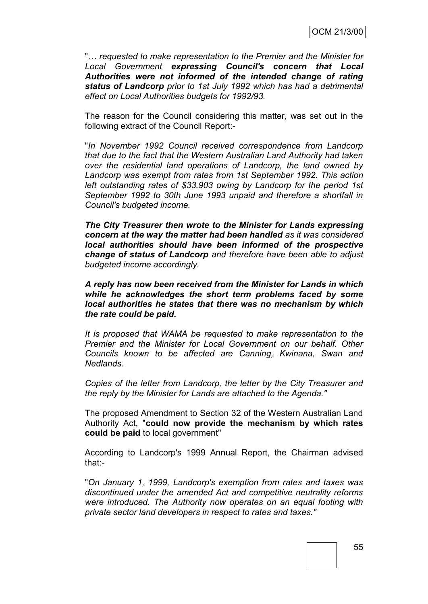"*… requested to make representation to the Premier and the Minister for Local Government expressing Council's concern that Local Authorities were not informed of the intended change of rating status of Landcorp prior to 1st July 1992 which has had a detrimental effect on Local Authorities budgets for 1992/93.*

The reason for the Council considering this matter, was set out in the following extract of the Council Report:-

"*In November 1992 Council received correspondence from Landcorp that due to the fact that the Western Australian Land Authority had taken over the residential land operations of Landcorp, the land owned by Landcorp was exempt from rates from 1st September 1992. This action left outstanding rates of \$33,903 owing by Landcorp for the period 1st September 1992 to 30th June 1993 unpaid and therefore a shortfall in Council's budgeted income.*

*The City Treasurer then wrote to the Minister for Lands expressing concern at the way the matter had been handled as it was considered local authorities should have been informed of the prospective change of status of Landcorp and therefore have been able to adjust budgeted income accordingly.*

*A reply has now been received from the Minister for Lands in which while he acknowledges the short term problems faced by some local authorities he states that there was no mechanism by which the rate could be paid.*

*It is proposed that WAMA be requested to make representation to the Premier and the Minister for Local Government on our behalf. Other Councils known to be affected are Canning, Kwinana, Swan and Nedlands.*

*Copies of the letter from Landcorp, the letter by the City Treasurer and the reply by the Minister for Lands are attached to the Agenda."*

The proposed Amendment to Section 32 of the Western Australian Land Authority Act, "**could now provide the mechanism by which rates could be paid** to local government"

According to Landcorp's 1999 Annual Report, the Chairman advised that:-

"*On January 1, 1999, Landcorp's exemption from rates and taxes was discontinued under the amended Act and competitive neutrality reforms were introduced. The Authority now operates on an equal footing with private sector land developers in respect to rates and taxes."*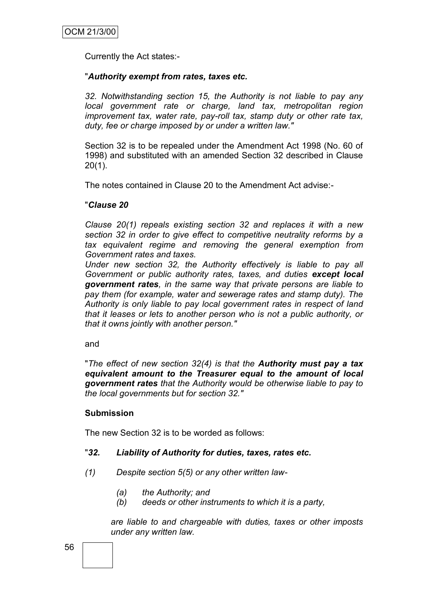Currently the Act states:-

### "*Authority exempt from rates, taxes etc.*

*32. Notwithstanding section 15, the Authority is not liable to pay any local government rate or charge, land tax, metropolitan region improvement tax, water rate, pay-roll tax, stamp duty or other rate tax, duty, fee or charge imposed by or under a written law."*

Section 32 is to be repealed under the Amendment Act 1998 (No. 60 of 1998) and substituted with an amended Section 32 described in Clause  $20(1)$ .

The notes contained in Clause 20 to the Amendment Act advise:-

# "*Clause 20*

*Clause 20(1) repeals existing section 32 and replaces it with a new section 32 in order to give effect to competitive neutrality reforms by a tax equivalent regime and removing the general exemption from Government rates and taxes.*

*Under new section 32, the Authority effectively is liable to pay all Government or public authority rates, taxes, and duties except local government rates, in the same way that private persons are liable to pay them (for example, water and sewerage rates and stamp duty). The Authority is only liable to pay local government rates in respect of land that it leases or lets to another person who is not a public authority, or that it owns jointly with another person."*

and

"*The effect of new section 32(4) is that the Authority must pay a tax equivalent amount to the Treasurer equal to the amount of local government rates that the Authority would be otherwise liable to pay to the local governments but for section 32."*

### **Submission**

The new Section 32 is to be worded as follows:

### "*32. Liability of Authority for duties, taxes, rates etc.*

- *(1) Despite section 5(5) or any other written law-*
	- *(a) the Authority; and*
	- *(b) deeds or other instruments to which it is a party,*

*are liable to and chargeable with duties, taxes or other imposts under any written law.*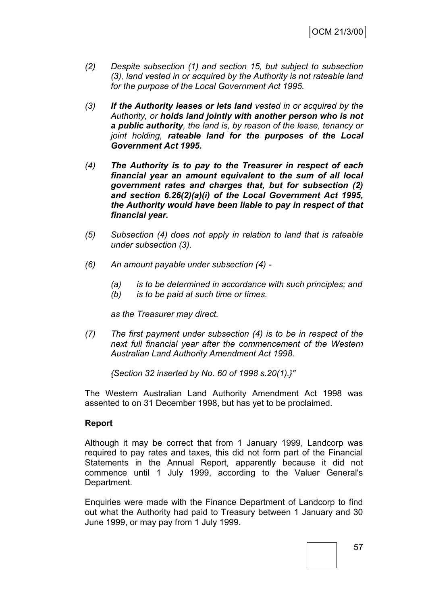- *(2) Despite subsection (1) and section 15, but subject to subsection (3), land vested in or acquired by the Authority is not rateable land for the purpose of the Local Government Act 1995.*
- *(3) If the Authority leases or lets land vested in or acquired by the Authority, or holds land jointly with another person who is not a public authority, the land is, by reason of the lease, tenancy or joint holding, rateable land for the purposes of the Local Government Act 1995.*
- *(4) The Authority is to pay to the Treasurer in respect of each financial year an amount equivalent to the sum of all local government rates and charges that, but for subsection (2) and section 6.26(2)(a)(i) of the Local Government Act 1995, the Authority would have been liable to pay in respect of that financial year.*
- *(5) Subsection (4) does not apply in relation to land that is rateable under subsection (3).*
- *(6) An amount payable under subsection (4) -*
	- *(a) is to be determined in accordance with such principles; and*
	- *(b) is to be paid at such time or times.*

*as the Treasurer may direct.*

*(7) The first payment under subsection (4) is to be in respect of the next full financial year after the commencement of the Western Australian Land Authority Amendment Act 1998.*

*{Section 32 inserted by No. 60 of 1998 s.20(1).}"*

The Western Australian Land Authority Amendment Act 1998 was assented to on 31 December 1998, but has yet to be proclaimed.

### **Report**

Although it may be correct that from 1 January 1999, Landcorp was required to pay rates and taxes, this did not form part of the Financial Statements in the Annual Report, apparently because it did not commence until 1 July 1999, according to the Valuer General's Department.

Enquiries were made with the Finance Department of Landcorp to find out what the Authority had paid to Treasury between 1 January and 30 June 1999, or may pay from 1 July 1999.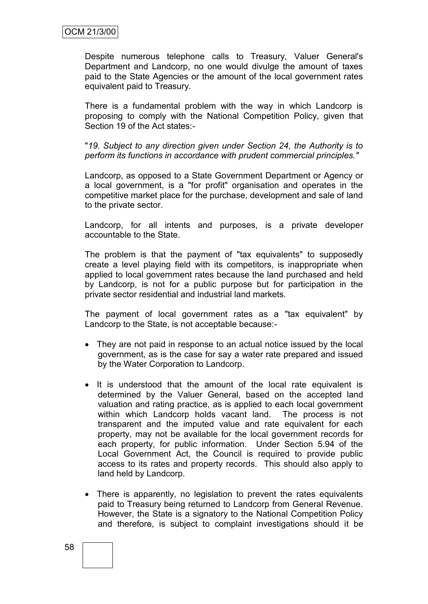Despite numerous telephone calls to Treasury, Valuer General's Department and Landcorp, no one would divulge the amount of taxes paid to the State Agencies or the amount of the local government rates equivalent paid to Treasury.

There is a fundamental problem with the way in which Landcorp is proposing to comply with the National Competition Policy, given that Section 19 of the Act states:-

"*19. Subject to any direction given under Section 24, the Authority is to perform its functions in accordance with prudent commercial principles."*

Landcorp, as opposed to a State Government Department or Agency or a local government, is a "for profit" organisation and operates in the competitive market place for the purchase, development and sale of land to the private sector.

Landcorp, for all intents and purposes, is a private developer accountable to the State.

The problem is that the payment of "tax equivalents" to supposedly create a level playing field with its competitors, is inappropriate when applied to local government rates because the land purchased and held by Landcorp, is not for a public purpose but for participation in the private sector residential and industrial land markets.

The payment of local government rates as a "tax equivalent" by Landcorp to the State, is not acceptable because:-

- They are not paid in response to an actual notice issued by the local government, as is the case for say a water rate prepared and issued by the Water Corporation to Landcorp.
- It is understood that the amount of the local rate equivalent is determined by the Valuer General, based on the accepted land valuation and rating practice, as is applied to each local government within which Landcorp holds vacant land. The process is not transparent and the imputed value and rate equivalent for each property, may not be available for the local government records for each property, for public information. Under Section 5.94 of the Local Government Act, the Council is required to provide public access to its rates and property records. This should also apply to land held by Landcorp.
- There is apparently, no legislation to prevent the rates equivalents paid to Treasury being returned to Landcorp from General Revenue. However, the State is a signatory to the National Competition Policy and therefore, is subject to complaint investigations should it be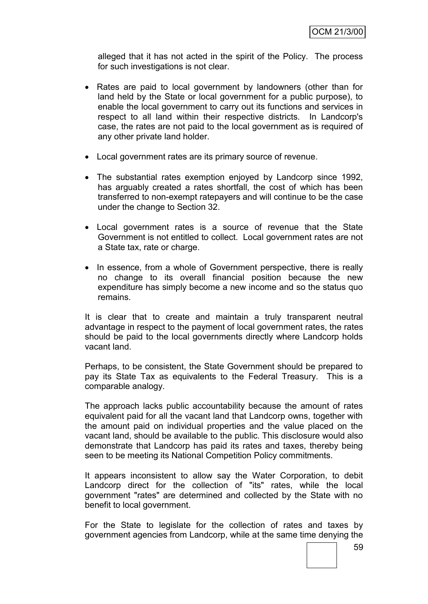alleged that it has not acted in the spirit of the Policy. The process for such investigations is not clear.

- Rates are paid to local government by landowners (other than for land held by the State or local government for a public purpose), to enable the local government to carry out its functions and services in respect to all land within their respective districts. In Landcorp's case, the rates are not paid to the local government as is required of any other private land holder.
- Local government rates are its primary source of revenue.
- The substantial rates exemption enjoyed by Landcorp since 1992, has arguably created a rates shortfall, the cost of which has been transferred to non-exempt ratepayers and will continue to be the case under the change to Section 32.
- Local government rates is a source of revenue that the State Government is not entitled to collect. Local government rates are not a State tax, rate or charge.
- In essence, from a whole of Government perspective, there is really no change to its overall financial position because the new expenditure has simply become a new income and so the status quo remains.

It is clear that to create and maintain a truly transparent neutral advantage in respect to the payment of local government rates, the rates should be paid to the local governments directly where Landcorp holds vacant land.

Perhaps, to be consistent, the State Government should be prepared to pay its State Tax as equivalents to the Federal Treasury. This is a comparable analogy.

The approach lacks public accountability because the amount of rates equivalent paid for all the vacant land that Landcorp owns, together with the amount paid on individual properties and the value placed on the vacant land, should be available to the public. This disclosure would also demonstrate that Landcorp has paid its rates and taxes, thereby being seen to be meeting its National Competition Policy commitments.

It appears inconsistent to allow say the Water Corporation, to debit Landcorp direct for the collection of "its" rates, while the local government "rates" are determined and collected by the State with no benefit to local government.

For the State to legislate for the collection of rates and taxes by government agencies from Landcorp, while at the same time denying the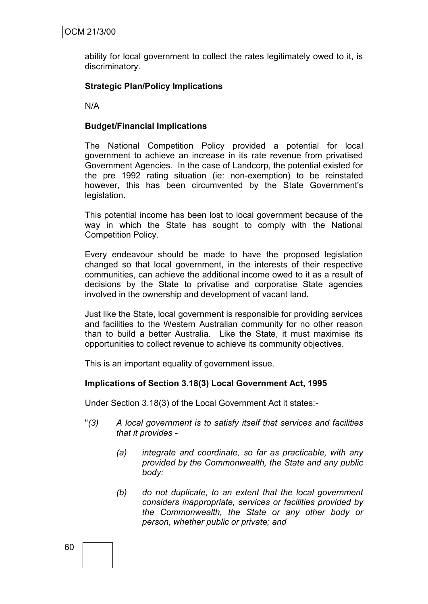ability for local government to collect the rates legitimately owed to it, is discriminatory.

# **Strategic Plan/Policy Implications**

N/A

### **Budget/Financial Implications**

The National Competition Policy provided a potential for local government to achieve an increase in its rate revenue from privatised Government Agencies. In the case of Landcorp, the potential existed for the pre 1992 rating situation (ie: non-exemption) to be reinstated however, this has been circumvented by the State Government's legislation.

This potential income has been lost to local government because of the way in which the State has sought to comply with the National Competition Policy.

Every endeavour should be made to have the proposed legislation changed so that local government, in the interests of their respective communities, can achieve the additional income owed to it as a result of decisions by the State to privatise and corporatise State agencies involved in the ownership and development of vacant land.

Just like the State, local government is responsible for providing services and facilities to the Western Australian community for no other reason than to build a better Australia. Like the State, it must maximise its opportunities to collect revenue to achieve its community objectives.

This is an important equality of government issue.

### **Implications of Section 3.18(3) Local Government Act, 1995**

Under Section 3.18(3) of the Local Government Act it states:-

- "*(3) A local government is to satisfy itself that services and facilities that it provides -*
	- *(a) integrate and coordinate, so far as practicable, with any provided by the Commonwealth, the State and any public body:*
	- *(b) do not duplicate, to an extent that the local government considers inappropriate, services or facilities provided by the Commonwealth, the State or any other body or person, whether public or private; and*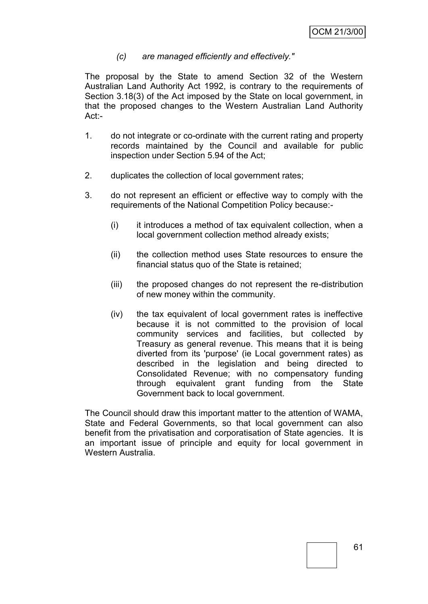### *(c) are managed efficiently and effectively."*

The proposal by the State to amend Section 32 of the Western Australian Land Authority Act 1992, is contrary to the requirements of Section 3.18(3) of the Act imposed by the State on local government, in that the proposed changes to the Western Australian Land Authority Act:-

- 1. do not integrate or co-ordinate with the current rating and property records maintained by the Council and available for public inspection under Section 5.94 of the Act;
- 2. duplicates the collection of local government rates;
- 3. do not represent an efficient or effective way to comply with the requirements of the National Competition Policy because:-
	- (i) it introduces a method of tax equivalent collection, when a local government collection method already exists;
	- (ii) the collection method uses State resources to ensure the financial status quo of the State is retained;
	- (iii) the proposed changes do not represent the re-distribution of new money within the community.
	- (iv) the tax equivalent of local government rates is ineffective because it is not committed to the provision of local community services and facilities, but collected by Treasury as general revenue. This means that it is being diverted from its 'purpose' (ie Local government rates) as described in the legislation and being directed to Consolidated Revenue; with no compensatory funding through equivalent grant funding from the State Government back to local government.

The Council should draw this important matter to the attention of WAMA, State and Federal Governments, so that local government can also benefit from the privatisation and corporatisation of State agencies. It is an important issue of principle and equity for local government in Western Australia.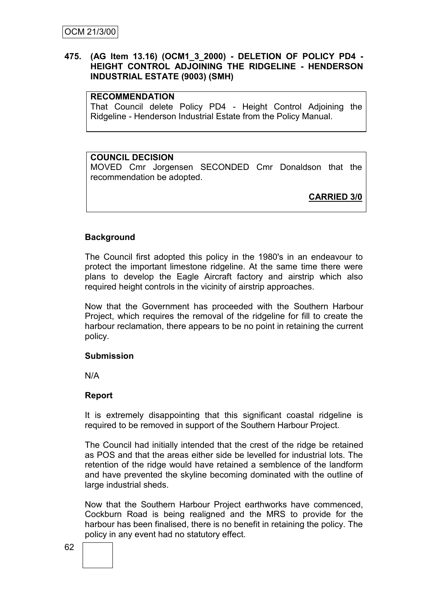### **475. (AG Item 13.16) (OCM1\_3\_2000) - DELETION OF POLICY PD4 - HEIGHT CONTROL ADJOINING THE RIDGELINE - HENDERSON INDUSTRIAL ESTATE (9003) (SMH)**

### **RECOMMENDATION**

That Council delete Policy PD4 - Height Control Adjoining the Ridgeline - Henderson Industrial Estate from the Policy Manual.

### **COUNCIL DECISION**

MOVED Cmr Jorgensen SECONDED Cmr Donaldson that the recommendation be adopted.

**CARRIED 3/0**

### **Background**

The Council first adopted this policy in the 1980's in an endeavour to protect the important limestone ridgeline. At the same time there were plans to develop the Eagle Aircraft factory and airstrip which also required height controls in the vicinity of airstrip approaches.

Now that the Government has proceeded with the Southern Harbour Project, which requires the removal of the ridgeline for fill to create the harbour reclamation, there appears to be no point in retaining the current policy.

#### **Submission**

N/A

### **Report**

It is extremely disappointing that this significant coastal ridgeline is required to be removed in support of the Southern Harbour Project.

The Council had initially intended that the crest of the ridge be retained as POS and that the areas either side be levelled for industrial lots. The retention of the ridge would have retained a semblence of the landform and have prevented the skyline becoming dominated with the outline of large industrial sheds.

Now that the Southern Harbour Project earthworks have commenced, Cockburn Road is being realigned and the MRS to provide for the harbour has been finalised, there is no benefit in retaining the policy. The policy in any event had no statutory effect.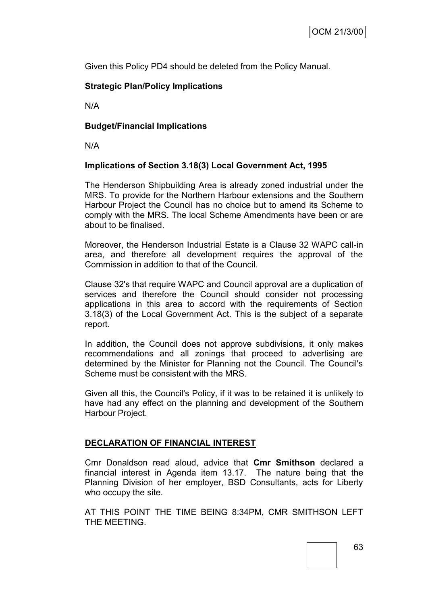Given this Policy PD4 should be deleted from the Policy Manual.

# **Strategic Plan/Policy Implications**

N/A

# **Budget/Financial Implications**

N/A

# **Implications of Section 3.18(3) Local Government Act, 1995**

The Henderson Shipbuilding Area is already zoned industrial under the MRS. To provide for the Northern Harbour extensions and the Southern Harbour Project the Council has no choice but to amend its Scheme to comply with the MRS. The local Scheme Amendments have been or are about to be finalised.

Moreover, the Henderson Industrial Estate is a Clause 32 WAPC call-in area, and therefore all development requires the approval of the Commission in addition to that of the Council.

Clause 32's that require WAPC and Council approval are a duplication of services and therefore the Council should consider not processing applications in this area to accord with the requirements of Section 3.18(3) of the Local Government Act. This is the subject of a separate report.

In addition, the Council does not approve subdivisions, it only makes recommendations and all zonings that proceed to advertising are determined by the Minister for Planning not the Council. The Council's Scheme must be consistent with the MRS.

Given all this, the Council's Policy, if it was to be retained it is unlikely to have had any effect on the planning and development of the Southern Harbour Project.

# **DECLARATION OF FINANCIAL INTEREST**

Cmr Donaldson read aloud, advice that **Cmr Smithson** declared a financial interest in Agenda item 13.17. The nature being that the Planning Division of her employer, BSD Consultants, acts for Liberty who occupy the site.

AT THIS POINT THE TIME BEING 8:34PM, CMR SMITHSON LEFT THE MEETING.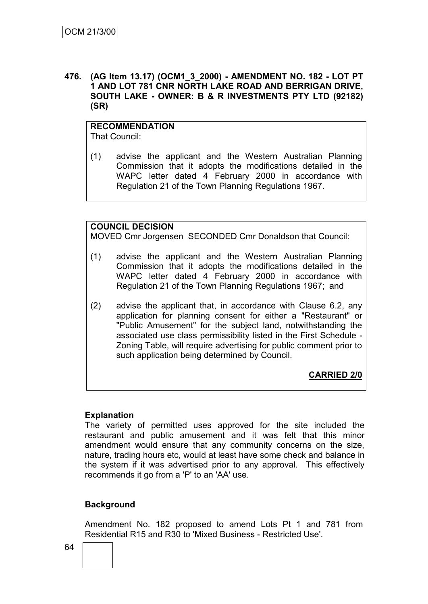### **476. (AG Item 13.17) (OCM1\_3\_2000) - AMENDMENT NO. 182 - LOT PT 1 AND LOT 781 CNR NORTH LAKE ROAD AND BERRIGAN DRIVE, SOUTH LAKE - OWNER: B & R INVESTMENTS PTY LTD (92182) (SR)**

### **RECOMMENDATION** That Council:

(1) advise the applicant and the Western Australian Planning Commission that it adopts the modifications detailed in the WAPC letter dated 4 February 2000 in accordance with Regulation 21 of the Town Planning Regulations 1967.

# **COUNCIL DECISION**

MOVED Cmr Jorgensen SECONDED Cmr Donaldson that Council:

- (1) advise the applicant and the Western Australian Planning Commission that it adopts the modifications detailed in the WAPC letter dated 4 February 2000 in accordance with Regulation 21 of the Town Planning Regulations 1967; and
- (2) advise the applicant that, in accordance with Clause 6.2, any application for planning consent for either a "Restaurant" or "Public Amusement" for the subject land, notwithstanding the associated use class permissibility listed in the First Schedule - Zoning Table, will require advertising for public comment prior to such application being determined by Council.

**CARRIED 2/0**

### **Explanation**

The variety of permitted uses approved for the site included the restaurant and public amusement and it was felt that this minor amendment would ensure that any community concerns on the size, nature, trading hours etc, would at least have some check and balance in the system if it was advertised prior to any approval. This effectively recommends it go from a 'P' to an 'AA' use.

# **Background**

Amendment No. 182 proposed to amend Lots Pt 1 and 781 from Residential R15 and R30 to 'Mixed Business - Restricted Use'.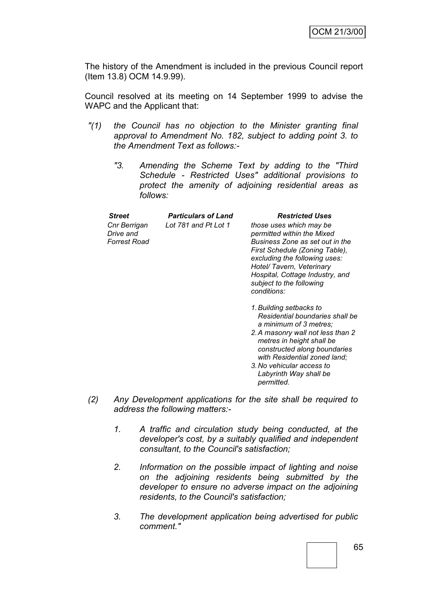The history of the Amendment is included in the previous Council report (Item 13.8) OCM 14.9.99).

Council resolved at its meeting on 14 September 1999 to advise the WAPC and the Applicant that:

- *"(1) the Council has no objection to the Minister granting final approval to Amendment No. 182, subject to adding point 3. to the Amendment Text as follows:-*
	- *"3. Amending the Scheme Text by adding to the "Third Schedule - Restricted Uses" additional provisions to protect the amenity of adjoining residential areas as follows:*

| <b>Street</b>                                    | <b>Particulars of Land</b> | <b>Restricted Uses</b>                                                                                                                                                                                                                                                 |
|--------------------------------------------------|----------------------------|------------------------------------------------------------------------------------------------------------------------------------------------------------------------------------------------------------------------------------------------------------------------|
| Cnr Berrigan<br>Drive and<br><b>Forrest Road</b> | Lot 781 and Pt Lot 1       | those uses which may be<br>permitted within the Mixed<br>Business Zone as set out in the<br>First Schedule (Zoning Table),<br>excluding the following uses:<br>Hotel/ Tavern, Veterinary<br>Hospital, Cottage Industry, and<br>subject to the following<br>conditions: |
|                                                  |                            | 1. Building setbacks to                                                                                                                                                                                                                                                |

- *1.Building setbacks to Residential boundaries shall be a minimum of 3 metres;*
- *2.A masonry wall not less than 2 metres in height shall be constructed along boundaries with Residential zoned land;*
- *3.No vehicular access to Labyrinth Way shall be permitted.*
- *(2) Any Development applications for the site shall be required to address the following matters:-*
	- *1. A traffic and circulation study being conducted, at the developer's cost, by a suitably qualified and independent consultant, to the Council's satisfaction;*
	- *2. Information on the possible impact of lighting and noise on the adjoining residents being submitted by the developer to ensure no adverse impact on the adjoining residents, to the Council's satisfaction;*
	- *3. The development application being advertised for public comment."*

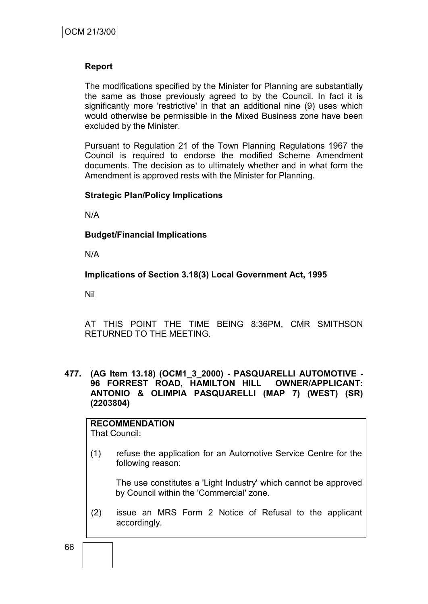### **Report**

The modifications specified by the Minister for Planning are substantially the same as those previously agreed to by the Council. In fact it is significantly more 'restrictive' in that an additional nine (9) uses which would otherwise be permissible in the Mixed Business zone have been excluded by the Minister.

Pursuant to Regulation 21 of the Town Planning Regulations 1967 the Council is required to endorse the modified Scheme Amendment documents. The decision as to ultimately whether and in what form the Amendment is approved rests with the Minister for Planning.

### **Strategic Plan/Policy Implications**

N/A

**Budget/Financial Implications**

N/A

**Implications of Section 3.18(3) Local Government Act, 1995**

Nil

AT THIS POINT THE TIME BEING 8:36PM, CMR SMITHSON RETURNED TO THE MEETING.

**477. (AG Item 13.18) (OCM1\_3\_2000) - PASQUARELLI AUTOMOTIVE - 96 FORREST ROAD, HAMILTON HILL OWNER/APPLICANT: ANTONIO & OLIMPIA PASQUARELLI (MAP 7) (WEST) (SR) (2203804)**

# **RECOMMENDATION**

That Council:

(1) refuse the application for an Automotive Service Centre for the following reason:

The use constitutes a 'Light Industry' which cannot be approved by Council within the 'Commercial' zone.

(2) issue an MRS Form 2 Notice of Refusal to the applicant accordingly.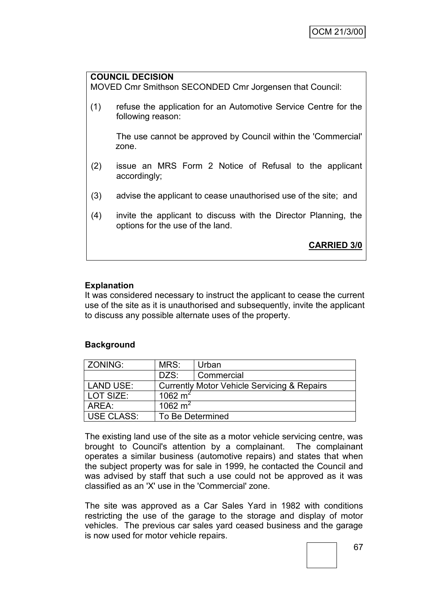# **COUNCIL DECISION** MOVED Cmr Smithson SECONDED Cmr Jorgensen that Council: (1) refuse the application for an Automotive Service Centre for the following reason: The use cannot be approved by Council within the 'Commercial' zone. (2) issue an MRS Form 2 Notice of Refusal to the applicant accordingly; (3) advise the applicant to cease unauthorised use of the site; and (4) invite the applicant to discuss with the Director Planning, the options for the use of the land. **CARRIED 3/0**

# **Explanation**

It was considered necessary to instruct the applicant to cease the current use of the site as it is unauthorised and subsequently, invite the applicant to discuss any possible alternate uses of the property.

# **Background**

| ZONING:          | MRS:                                                   | Urban      |
|------------------|--------------------------------------------------------|------------|
|                  | DZS:                                                   | Commercial |
| <b>LAND USE:</b> | <b>Currently Motor Vehicle Servicing &amp; Repairs</b> |            |
| LOT SIZE:        | 1062 $m2$                                              |            |
| AREA:            | 1062 $m2$                                              |            |
| USE CLASS:       | To Be Determined                                       |            |

The existing land use of the site as a motor vehicle servicing centre, was brought to Council's attention by a complainant. The complainant operates a similar business (automotive repairs) and states that when the subject property was for sale in 1999, he contacted the Council and was advised by staff that such a use could not be approved as it was classified as an 'X' use in the 'Commercial' zone.

The site was approved as a Car Sales Yard in 1982 with conditions restricting the use of the garage to the storage and display of motor vehicles. The previous car sales yard ceased business and the garage is now used for motor vehicle repairs.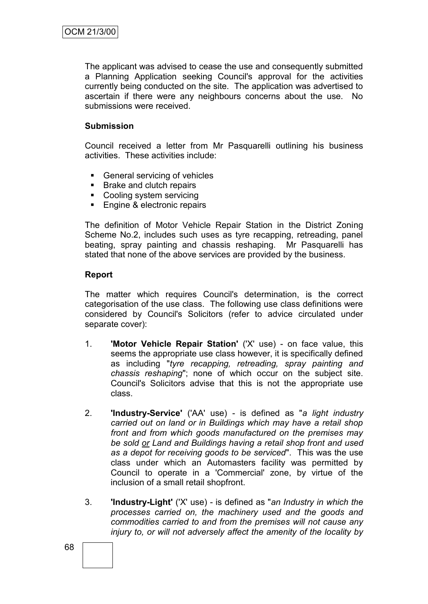The applicant was advised to cease the use and consequently submitted a Planning Application seeking Council's approval for the activities currently being conducted on the site. The application was advertised to ascertain if there were any neighbours concerns about the use. No submissions were received.

### **Submission**

Council received a letter from Mr Pasquarelli outlining his business activities. These activities include:

- General servicing of vehicles
- Brake and clutch repairs
- Cooling system servicing
- Engine & electronic repairs

The definition of Motor Vehicle Repair Station in the District Zoning Scheme No.2, includes such uses as tyre recapping, retreading, panel beating, spray painting and chassis reshaping. Mr Pasquarelli has stated that none of the above services are provided by the business.

### **Report**

The matter which requires Council's determination, is the correct categorisation of the use class. The following use class definitions were considered by Council's Solicitors (refer to advice circulated under separate cover):

- 1. **'Motor Vehicle Repair Station'** ('X' use) on face value, this seems the appropriate use class however, it is specifically defined as including "*tyre recapping, retreading, spray painting and chassis reshaping*"; none of which occur on the subject site. Council's Solicitors advise that this is not the appropriate use class.
- 2. **'Industry-Service'** ('AA' use) is defined as "*a light industry carried out on land or in Buildings which may have a retail shop front and from which goods manufactured on the premises may be sold or Land and Buildings having a retail shop front and used as a depot for receiving goods to be serviced*". This was the use class under which an Automasters facility was permitted by Council to operate in a 'Commercial' zone, by virtue of the inclusion of a small retail shopfront.
- 3. **'Industry-Light'** ('X' use) is defined as "*an Industry in which the processes carried on, the machinery used and the goods and commodities carried to and from the premises will not cause any injury to, or will not adversely affect the amenity of the locality by*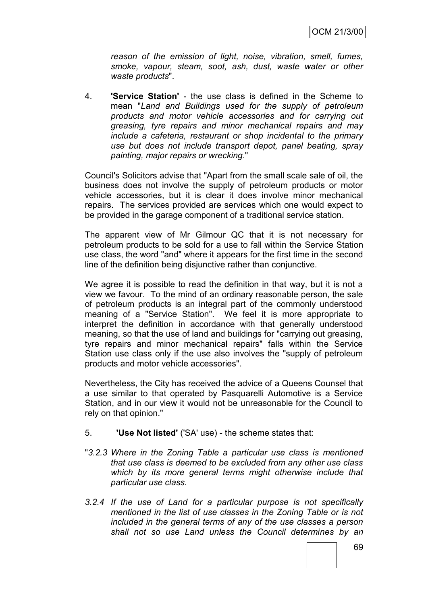*reason of the emission of light, noise, vibration, smell, fumes, smoke, vapour, steam, soot, ash, dust, waste water or other waste products*".

4. **'Service Station'** - the use class is defined in the Scheme to mean "*Land and Buildings used for the supply of petroleum products and motor vehicle accessories and for carrying out greasing, tyre repairs and minor mechanical repairs and may include a cafeteria, restaurant or shop incidental to the primary use but does not include transport depot, panel beating, spray painting, major repairs or wrecking*."

Council's Solicitors advise that "Apart from the small scale sale of oil, the business does not involve the supply of petroleum products or motor vehicle accessories, but it is clear it does involve minor mechanical repairs. The services provided are services which one would expect to be provided in the garage component of a traditional service station.

The apparent view of Mr Gilmour QC that it is not necessary for petroleum products to be sold for a use to fall within the Service Station use class, the word "and" where it appears for the first time in the second line of the definition being disjunctive rather than conjunctive.

We agree it is possible to read the definition in that way, but it is not a view we favour. To the mind of an ordinary reasonable person, the sale of petroleum products is an integral part of the commonly understood meaning of a "Service Station". We feel it is more appropriate to interpret the definition in accordance with that generally understood meaning, so that the use of land and buildings for "carrying out greasing, tyre repairs and minor mechanical repairs" falls within the Service Station use class only if the use also involves the "supply of petroleum products and motor vehicle accessories".

Nevertheless, the City has received the advice of a Queens Counsel that a use similar to that operated by Pasquarelli Automotive is a Service Station, and in our view it would not be unreasonable for the Council to rely on that opinion."

## 5. **'Use Not listed'** ('SA' use) - the scheme states that:

- "*3.2.3 Where in the Zoning Table a particular use class is mentioned that use class is deemed to be excluded from any other use class which by its more general terms might otherwise include that particular use class.*
- *3.2.4 If the use of Land for a particular purpose is not specifically mentioned in the list of use classes in the Zoning Table or is not included in the general terms of any of the use classes a person shall not so use Land unless the Council determines by an*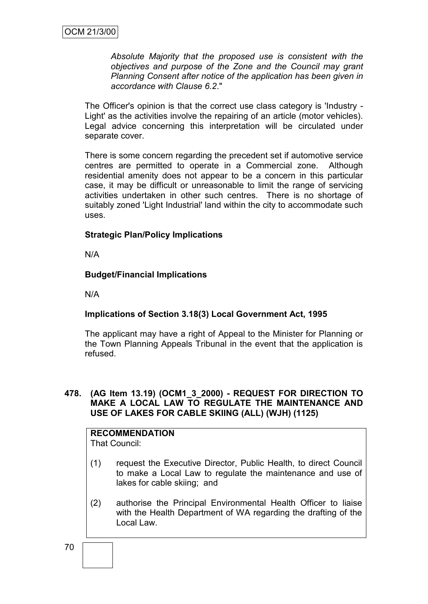*Absolute Majority that the proposed use is consistent with the objectives and purpose of the Zone and the Council may grant Planning Consent after notice of the application has been given in accordance with Clause 6.2*."

The Officer's opinion is that the correct use class category is 'Industry - Light' as the activities involve the repairing of an article (motor vehicles). Legal advice concerning this interpretation will be circulated under separate cover.

There is some concern regarding the precedent set if automotive service centres are permitted to operate in a Commercial zone. Although residential amenity does not appear to be a concern in this particular case, it may be difficult or unreasonable to limit the range of servicing activities undertaken in other such centres. There is no shortage of suitably zoned 'Light Industrial' land within the city to accommodate such uses.

## **Strategic Plan/Policy Implications**

N/A

## **Budget/Financial Implications**

N/A

## **Implications of Section 3.18(3) Local Government Act, 1995**

The applicant may have a right of Appeal to the Minister for Planning or the Town Planning Appeals Tribunal in the event that the application is refused.

### **478. (AG Item 13.19) (OCM1\_3\_2000) - REQUEST FOR DIRECTION TO MAKE A LOCAL LAW TO REGULATE THE MAINTENANCE AND USE OF LAKES FOR CABLE SKIING (ALL) (WJH) (1125)**

# **RECOMMENDATION**

That Council:

- (1) request the Executive Director, Public Health, to direct Council to make a Local Law to regulate the maintenance and use of lakes for cable skiing; and
- (2) authorise the Principal Environmental Health Officer to liaise with the Health Department of WA regarding the drafting of the Local Law.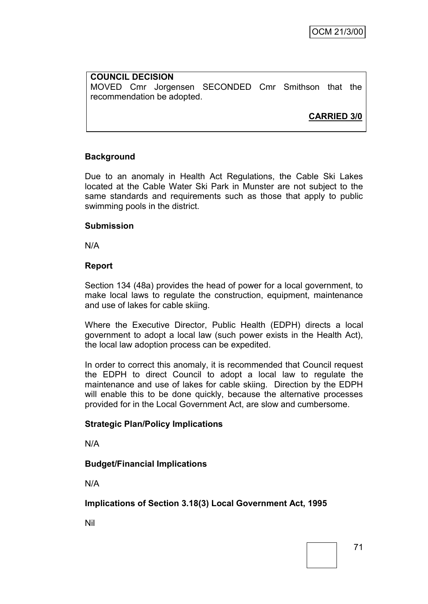**COUNCIL DECISION** MOVED Cmr Jorgensen SECONDED Cmr Smithson that the recommendation be adopted.

**CARRIED 3/0**

## **Background**

Due to an anomaly in Health Act Regulations, the Cable Ski Lakes located at the Cable Water Ski Park in Munster are not subject to the same standards and requirements such as those that apply to public swimming pools in the district.

### **Submission**

N/A

### **Report**

Section 134 (48a) provides the head of power for a local government, to make local laws to regulate the construction, equipment, maintenance and use of lakes for cable skiing.

Where the Executive Director, Public Health (EDPH) directs a local government to adopt a local law (such power exists in the Health Act), the local law adoption process can be expedited.

In order to correct this anomaly, it is recommended that Council request the EDPH to direct Council to adopt a local law to regulate the maintenance and use of lakes for cable skiing. Direction by the EDPH will enable this to be done quickly, because the alternative processes provided for in the Local Government Act, are slow and cumbersome.

## **Strategic Plan/Policy Implications**

N/A

## **Budget/Financial Implications**

N/A

## **Implications of Section 3.18(3) Local Government Act, 1995**

Nil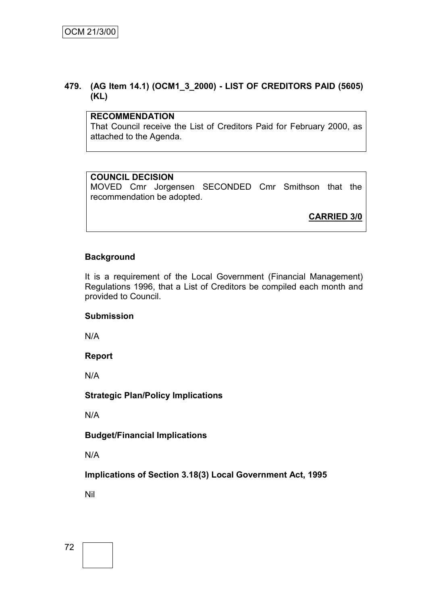## **479. (AG Item 14.1) (OCM1\_3\_2000) - LIST OF CREDITORS PAID (5605) (KL)**

## **RECOMMENDATION**

That Council receive the List of Creditors Paid for February 2000, as attached to the Agenda.

## **COUNCIL DECISION**

MOVED Cmr Jorgensen SECONDED Cmr Smithson that the recommendation be adopted.

**CARRIED 3/0**

## **Background**

It is a requirement of the Local Government (Financial Management) Regulations 1996, that a List of Creditors be compiled each month and provided to Council.

## **Submission**

N/A

## **Report**

N/A

## **Strategic Plan/Policy Implications**

N/A

## **Budget/Financial Implications**

N/A

**Implications of Section 3.18(3) Local Government Act, 1995**

Nil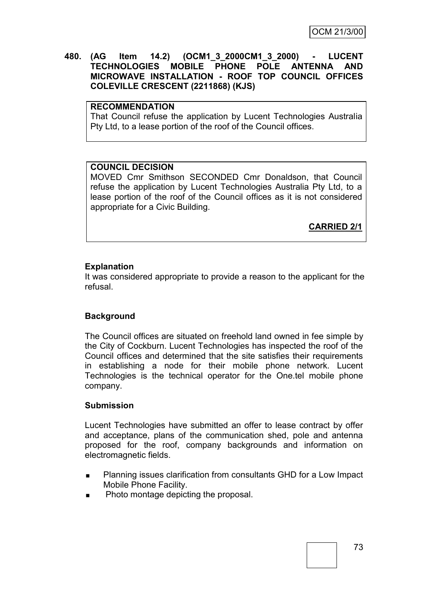### **480. (AG Item 14.2) (OCM1\_3\_2000CM1\_3\_2000) - LUCENT TECHNOLOGIES MOBILE PHONE POLE ANTENNA AND MICROWAVE INSTALLATION - ROOF TOP COUNCIL OFFICES COLEVILLE CRESCENT (2211868) (KJS)**

## **RECOMMENDATION**

That Council refuse the application by Lucent Technologies Australia Pty Ltd, to a lease portion of the roof of the Council offices.

### **COUNCIL DECISION**

MOVED Cmr Smithson SECONDED Cmr Donaldson, that Council refuse the application by Lucent Technologies Australia Pty Ltd, to a lease portion of the roof of the Council offices as it is not considered appropriate for a Civic Building.

**CARRIED 2/1**

## **Explanation**

It was considered appropriate to provide a reason to the applicant for the refusal.

## **Background**

The Council offices are situated on freehold land owned in fee simple by the City of Cockburn. Lucent Technologies has inspected the roof of the Council offices and determined that the site satisfies their requirements in establishing a node for their mobile phone network. Lucent Technologies is the technical operator for the One.tel mobile phone company.

#### **Submission**

Lucent Technologies have submitted an offer to lease contract by offer and acceptance, plans of the communication shed, pole and antenna proposed for the roof, company backgrounds and information on electromagnetic fields.

- Planning issues clarification from consultants GHD for a Low Impact Mobile Phone Facility.
- Photo montage depicting the proposal.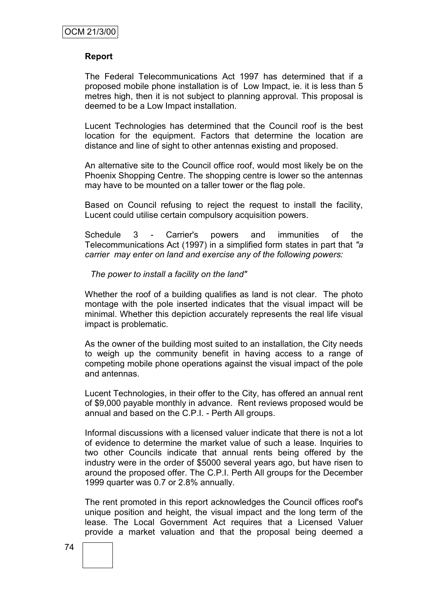### **Report**

The Federal Telecommunications Act 1997 has determined that if a proposed mobile phone installation is of Low Impact, ie. it is less than 5 metres high, then it is not subject to planning approval. This proposal is deemed to be a Low Impact installation.

Lucent Technologies has determined that the Council roof is the best location for the equipment. Factors that determine the location are distance and line of sight to other antennas existing and proposed.

An alternative site to the Council office roof, would most likely be on the Phoenix Shopping Centre. The shopping centre is lower so the antennas may have to be mounted on a taller tower or the flag pole.

Based on Council refusing to reject the request to install the facility, Lucent could utilise certain compulsory acquisition powers.

Schedule 3 - Carrier's powers and immunities of the Telecommunications Act (1997) in a simplified form states in part that *"a carrier may enter on land and exercise any of the following powers:*

#### *The power to install a facility on the land"*

Whether the roof of a building qualifies as land is not clear. The photo montage with the pole inserted indicates that the visual impact will be minimal. Whether this depiction accurately represents the real life visual impact is problematic.

As the owner of the building most suited to an installation, the City needs to weigh up the community benefit in having access to a range of competing mobile phone operations against the visual impact of the pole and antennas.

Lucent Technologies, in their offer to the City, has offered an annual rent of \$9,000 payable monthly in advance. Rent reviews proposed would be annual and based on the C.P.I. - Perth All groups.

Informal discussions with a licensed valuer indicate that there is not a lot of evidence to determine the market value of such a lease. Inquiries to two other Councils indicate that annual rents being offered by the industry were in the order of \$5000 several years ago, but have risen to around the proposed offer. The C.P.I. Perth All groups for the December 1999 quarter was 0.7 or 2.8% annually.

The rent promoted in this report acknowledges the Council offices roof's unique position and height, the visual impact and the long term of the lease. The Local Government Act requires that a Licensed Valuer provide a market valuation and that the proposal being deemed a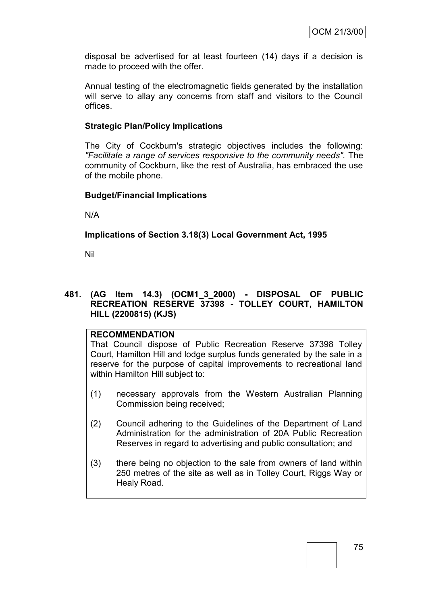disposal be advertised for at least fourteen (14) days if a decision is made to proceed with the offer.

Annual testing of the electromagnetic fields generated by the installation will serve to allay any concerns from staff and visitors to the Council offices.

### **Strategic Plan/Policy Implications**

The City of Cockburn's strategic objectives includes the following: *"Facilitate a range of services responsive to the community needs".* The community of Cockburn, like the rest of Australia, has embraced the use of the mobile phone.

### **Budget/Financial Implications**

N/A

## **Implications of Section 3.18(3) Local Government Act, 1995**

Nil

## **481. (AG Item 14.3) (OCM1\_3\_2000) - DISPOSAL OF PUBLIC RECREATION RESERVE 37398 - TOLLEY COURT, HAMILTON HILL (2200815) (KJS)**

## **RECOMMENDATION**

That Council dispose of Public Recreation Reserve 37398 Tolley Court, Hamilton Hill and lodge surplus funds generated by the sale in a reserve for the purpose of capital improvements to recreational land within Hamilton Hill subject to:

- (1) necessary approvals from the Western Australian Planning Commission being received;
- (2) Council adhering to the Guidelines of the Department of Land Administration for the administration of 20A Public Recreation Reserves in regard to advertising and public consultation; and
- (3) there being no objection to the sale from owners of land within 250 metres of the site as well as in Tolley Court, Riggs Way or Healy Road.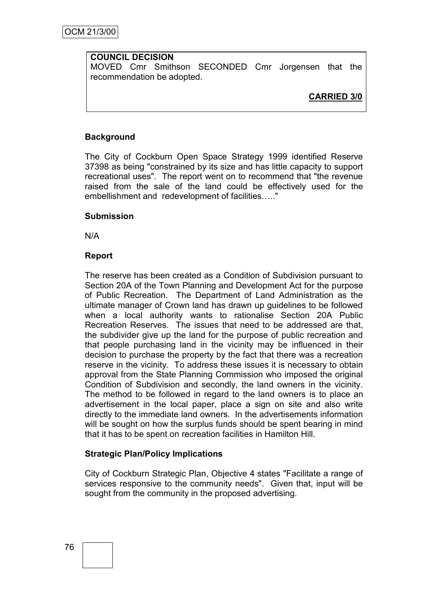## **COUNCIL DECISION**

MOVED Cmr Smithson SECONDED Cmr Jorgensen that the recommendation be adopted.

**CARRIED 3/0**

## **Background**

The City of Cockburn Open Space Strategy 1999 identified Reserve 37398 as being "constrained by its size and has little capacity to support recreational uses". The report went on to recommend that "the revenue raised from the sale of the land could be effectively used for the embellishment and redevelopment of facilities….."

## **Submission**

N/A

### **Report**

The reserve has been created as a Condition of Subdivision pursuant to Section 20A of the Town Planning and Development Act for the purpose of Public Recreation. The Department of Land Administration as the ultimate manager of Crown land has drawn up guidelines to be followed when a local authority wants to rationalise Section 20A Public Recreation Reserves. The issues that need to be addressed are that, the subdivider give up the land for the purpose of public recreation and that people purchasing land in the vicinity may be influenced in their decision to purchase the property by the fact that there was a recreation reserve in the vicinity. To address these issues it is necessary to obtain approval from the State Planning Commission who imposed the original Condition of Subdivision and secondly, the land owners in the vicinity. The method to be followed in regard to the land owners is to place an advertisement in the local paper, place a sign on site and also write directly to the immediate land owners. In the advertisements information will be sought on how the surplus funds should be spent bearing in mind that it has to be spent on recreation facilities in Hamilton Hill.

## **Strategic Plan/Policy Implications**

City of Cockburn Strategic Plan, Objective 4 states "Facilitate a range of services responsive to the community needs". Given that, input will be sought from the community in the proposed advertising.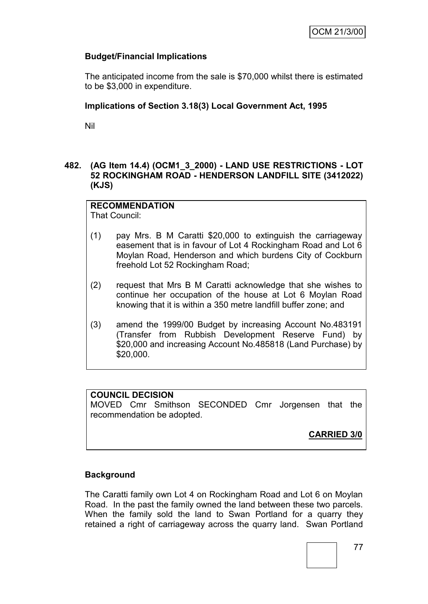## **Budget/Financial Implications**

The anticipated income from the sale is \$70,000 whilst there is estimated to be \$3,000 in expenditure.

## **Implications of Section 3.18(3) Local Government Act, 1995**

Nil

## **482. (AG Item 14.4) (OCM1\_3\_2000) - LAND USE RESTRICTIONS - LOT 52 ROCKINGHAM ROAD - HENDERSON LANDFILL SITE (3412022) (KJS)**

## **RECOMMENDATION**

That Council:

- (1) pay Mrs. B M Caratti \$20,000 to extinguish the carriageway easement that is in favour of Lot 4 Rockingham Road and Lot 6 Moylan Road, Henderson and which burdens City of Cockburn freehold Lot 52 Rockingham Road;
- (2) request that Mrs B M Caratti acknowledge that she wishes to continue her occupation of the house at Lot 6 Moylan Road knowing that it is within a 350 metre landfill buffer zone; and
- (3) amend the 1999/00 Budget by increasing Account No.483191 (Transfer from Rubbish Development Reserve Fund) by \$20,000 and increasing Account No.485818 (Land Purchase) by \$20,000.

## **COUNCIL DECISION**

MOVED Cmr Smithson SECONDED Cmr Jorgensen that the recommendation be adopted.

**CARRIED 3/0**

## **Background**

The Caratti family own Lot 4 on Rockingham Road and Lot 6 on Moylan Road. In the past the family owned the land between these two parcels. When the family sold the land to Swan Portland for a quarry they retained a right of carriageway across the quarry land. Swan Portland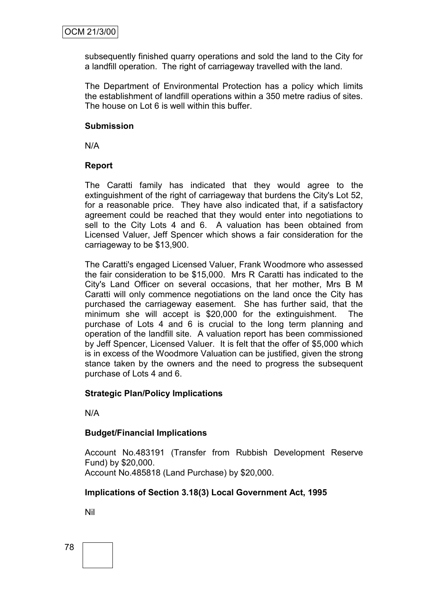subsequently finished quarry operations and sold the land to the City for a landfill operation. The right of carriageway travelled with the land.

The Department of Environmental Protection has a policy which limits the establishment of landfill operations within a 350 metre radius of sites. The house on Lot 6 is well within this buffer.

### **Submission**

N/A

## **Report**

The Caratti family has indicated that they would agree to the extinguishment of the right of carriageway that burdens the City's Lot 52, for a reasonable price. They have also indicated that, if a satisfactory agreement could be reached that they would enter into negotiations to sell to the City Lots 4 and 6. A valuation has been obtained from Licensed Valuer, Jeff Spencer which shows a fair consideration for the carriageway to be \$13,900.

The Caratti's engaged Licensed Valuer, Frank Woodmore who assessed the fair consideration to be \$15,000. Mrs R Caratti has indicated to the City's Land Officer on several occasions, that her mother, Mrs B M Caratti will only commence negotiations on the land once the City has purchased the carriageway easement. She has further said, that the minimum she will accept is \$20,000 for the extinguishment. The purchase of Lots 4 and 6 is crucial to the long term planning and operation of the landfill site. A valuation report has been commissioned by Jeff Spencer, Licensed Valuer. It is felt that the offer of \$5,000 which is in excess of the Woodmore Valuation can be justified, given the strong stance taken by the owners and the need to progress the subsequent purchase of Lots 4 and 6.

## **Strategic Plan/Policy Implications**

N/A

## **Budget/Financial Implications**

Account No.483191 (Transfer from Rubbish Development Reserve Fund) by \$20,000. Account No.485818 (Land Purchase) by \$20,000.

## **Implications of Section 3.18(3) Local Government Act, 1995**

Nil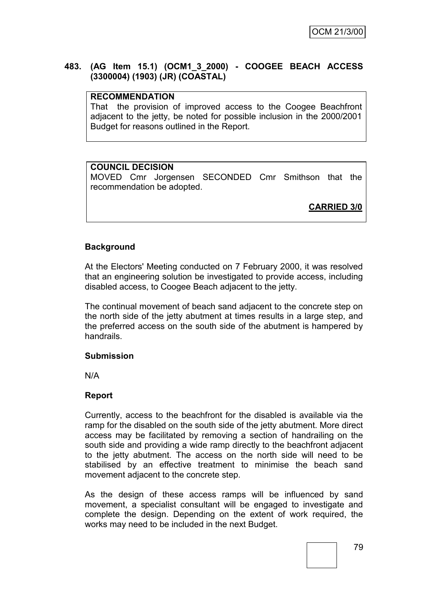## **483. (AG Item 15.1) (OCM1\_3\_2000) - COOGEE BEACH ACCESS (3300004) (1903) (JR) (COASTAL)**

## **RECOMMENDATION**

That the provision of improved access to the Coogee Beachfront adjacent to the jetty, be noted for possible inclusion in the 2000/2001 Budget for reasons outlined in the Report.

## **COUNCIL DECISION**

MOVED Cmr Jorgensen SECONDED Cmr Smithson that the recommendation be adopted.

**CARRIED 3/0**

## **Background**

At the Electors' Meeting conducted on 7 February 2000, it was resolved that an engineering solution be investigated to provide access, including disabled access, to Coogee Beach adjacent to the jetty.

The continual movement of beach sand adjacent to the concrete step on the north side of the jetty abutment at times results in a large step, and the preferred access on the south side of the abutment is hampered by handrails.

## **Submission**

N/A

## **Report**

Currently, access to the beachfront for the disabled is available via the ramp for the disabled on the south side of the jetty abutment. More direct access may be facilitated by removing a section of handrailing on the south side and providing a wide ramp directly to the beachfront adjacent to the jetty abutment. The access on the north side will need to be stabilised by an effective treatment to minimise the beach sand movement adjacent to the concrete step.

As the design of these access ramps will be influenced by sand movement, a specialist consultant will be engaged to investigate and complete the design. Depending on the extent of work required, the works may need to be included in the next Budget.

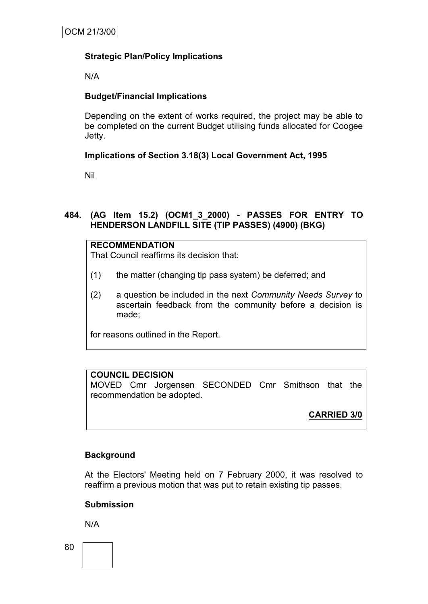## **Strategic Plan/Policy Implications**

N/A

## **Budget/Financial Implications**

Depending on the extent of works required, the project may be able to be completed on the current Budget utilising funds allocated for Coogee Jetty.

## **Implications of Section 3.18(3) Local Government Act, 1995**

Nil

## **484. (AG Item 15.2) (OCM1\_3\_2000) - PASSES FOR ENTRY TO HENDERSON LANDFILL SITE (TIP PASSES) (4900) (BKG)**

## **RECOMMENDATION**

That Council reaffirms its decision that:

- (1) the matter (changing tip pass system) be deferred; and
- (2) a question be included in the next *Community Needs Survey* to ascertain feedback from the community before a decision is made;

for reasons outlined in the Report.

## **COUNCIL DECISION**

MOVED Cmr Jorgensen SECONDED Cmr Smithson that the recommendation be adopted.

**CARRIED 3/0**

## **Background**

At the Electors' Meeting held on 7 February 2000, it was resolved to reaffirm a previous motion that was put to retain existing tip passes.

#### **Submission**

N/A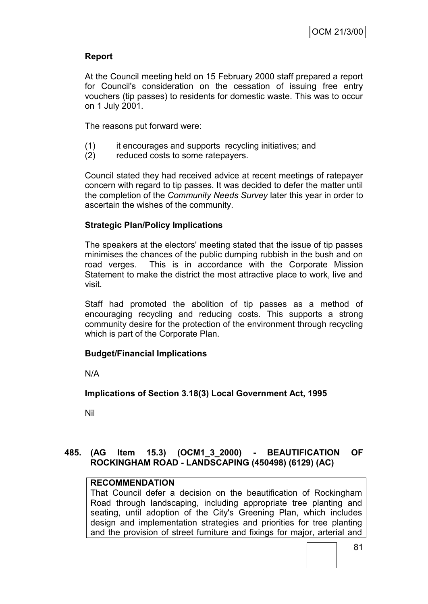## **Report**

At the Council meeting held on 15 February 2000 staff prepared a report for Council's consideration on the cessation of issuing free entry vouchers (tip passes) to residents for domestic waste. This was to occur on 1 July 2001.

The reasons put forward were:

- (1) it encourages and supports recycling initiatives; and
- (2) reduced costs to some ratepayers.

Council stated they had received advice at recent meetings of ratepayer concern with regard to tip passes. It was decided to defer the matter until the completion of the *Community Needs Survey* later this year in order to ascertain the wishes of the community.

## **Strategic Plan/Policy Implications**

The speakers at the electors' meeting stated that the issue of tip passes minimises the chances of the public dumping rubbish in the bush and on road verges. This is in accordance with the Corporate Mission Statement to make the district the most attractive place to work, live and visit.

Staff had promoted the abolition of tip passes as a method of encouraging recycling and reducing costs. This supports a strong community desire for the protection of the environment through recycling which is part of the Corporate Plan.

#### **Budget/Financial Implications**

N/A

**Implications of Section 3.18(3) Local Government Act, 1995**

Nil

## **485. (AG Item 15.3) (OCM1\_3\_2000) - BEAUTIFICATION OF ROCKINGHAM ROAD - LANDSCAPING (450498) (6129) (AC)**

## **RECOMMENDATION**

That Council defer a decision on the beautification of Rockingham Road through landscaping, including appropriate tree planting and seating, until adoption of the City's Greening Plan, which includes design and implementation strategies and priorities for tree planting and the provision of street furniture and fixings for major, arterial and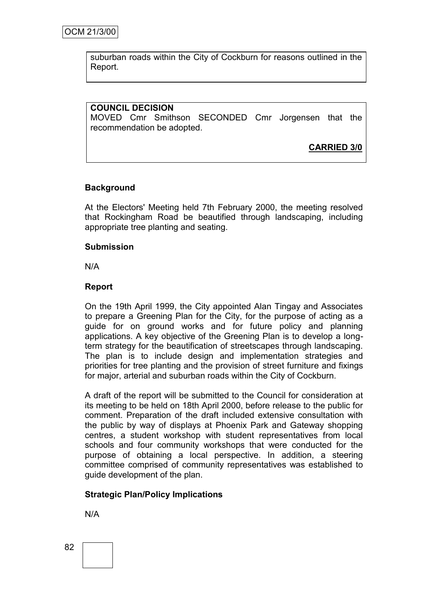suburban roads within the City of Cockburn for reasons outlined in the Report.

## **COUNCIL DECISION**

MOVED Cmr Smithson SECONDED Cmr Jorgensen that the recommendation be adopted.

**CARRIED 3/0**

## **Background**

At the Electors' Meeting held 7th February 2000, the meeting resolved that Rockingham Road be beautified through landscaping, including appropriate tree planting and seating.

### **Submission**

N/A

### **Report**

On the 19th April 1999, the City appointed Alan Tingay and Associates to prepare a Greening Plan for the City, for the purpose of acting as a guide for on ground works and for future policy and planning applications. A key objective of the Greening Plan is to develop a longterm strategy for the beautification of streetscapes through landscaping. The plan is to include design and implementation strategies and priorities for tree planting and the provision of street furniture and fixings for major, arterial and suburban roads within the City of Cockburn.

A draft of the report will be submitted to the Council for consideration at its meeting to be held on 18th April 2000, before release to the public for comment. Preparation of the draft included extensive consultation with the public by way of displays at Phoenix Park and Gateway shopping centres, a student workshop with student representatives from local schools and four community workshops that were conducted for the purpose of obtaining a local perspective. In addition, a steering committee comprised of community representatives was established to guide development of the plan.

## **Strategic Plan/Policy Implications**

N/A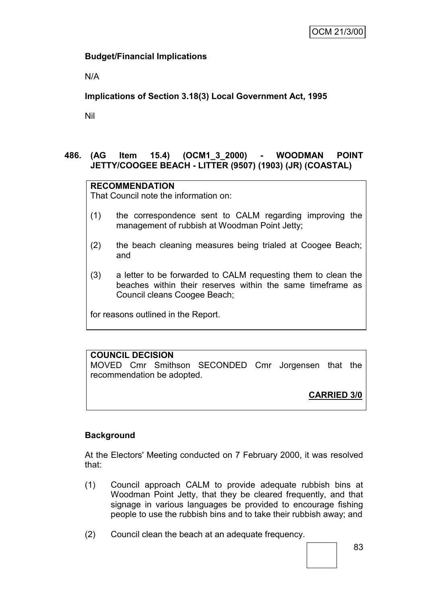## **Budget/Financial Implications**

N/A

## **Implications of Section 3.18(3) Local Government Act, 1995**

Nil

## **486. (AG Item 15.4) (OCM1\_3\_2000) - WOODMAN POINT JETTY/COOGEE BEACH - LITTER (9507) (1903) (JR) (COASTAL)**

## **RECOMMENDATION**

That Council note the information on:

- (1) the correspondence sent to CALM regarding improving the management of rubbish at Woodman Point Jetty;
- (2) the beach cleaning measures being trialed at Coogee Beach; and
- (3) a letter to be forwarded to CALM requesting them to clean the beaches within their reserves within the same timeframe as Council cleans Coogee Beach;

for reasons outlined in the Report.

## **COUNCIL DECISION**

MOVED Cmr Smithson SECONDED Cmr Jorgensen that the recommendation be adopted.

**CARRIED 3/0**

## **Background**

At the Electors' Meeting conducted on 7 February 2000, it was resolved that:

- (1) Council approach CALM to provide adequate rubbish bins at Woodman Point Jetty, that they be cleared frequently, and that signage in various languages be provided to encourage fishing people to use the rubbish bins and to take their rubbish away; and
- (2) Council clean the beach at an adequate frequency.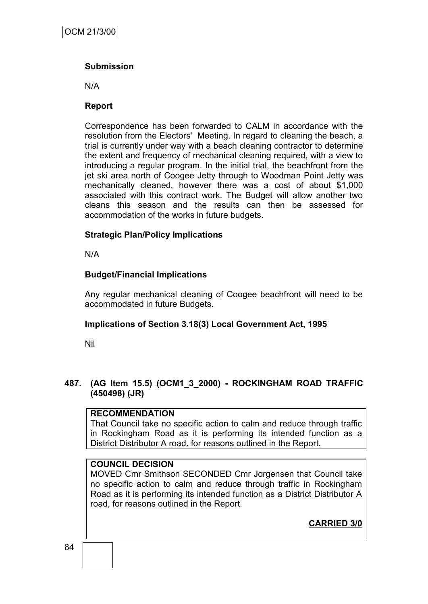## **Submission**

N/A

## **Report**

Correspondence has been forwarded to CALM in accordance with the resolution from the Electors' Meeting. In regard to cleaning the beach, a trial is currently under way with a beach cleaning contractor to determine the extent and frequency of mechanical cleaning required, with a view to introducing a regular program. In the initial trial, the beachfront from the jet ski area north of Coogee Jetty through to Woodman Point Jetty was mechanically cleaned, however there was a cost of about \$1,000 associated with this contract work. The Budget will allow another two cleans this season and the results can then be assessed for accommodation of the works in future budgets.

## **Strategic Plan/Policy Implications**

N/A

## **Budget/Financial Implications**

Any regular mechanical cleaning of Coogee beachfront will need to be accommodated in future Budgets.

## **Implications of Section 3.18(3) Local Government Act, 1995**

Nil

## **487. (AG Item 15.5) (OCM1\_3\_2000) - ROCKINGHAM ROAD TRAFFIC (450498) (JR)**

## **RECOMMENDATION**

That Council take no specific action to calm and reduce through traffic in Rockingham Road as it is performing its intended function as a District Distributor A road. for reasons outlined in the Report.

## **COUNCIL DECISION**

MOVED Cmr Smithson SECONDED Cmr Jorgensen that Council take no specific action to calm and reduce through traffic in Rockingham Road as it is performing its intended function as a District Distributor A road, for reasons outlined in the Report.

**CARRIED 3/0**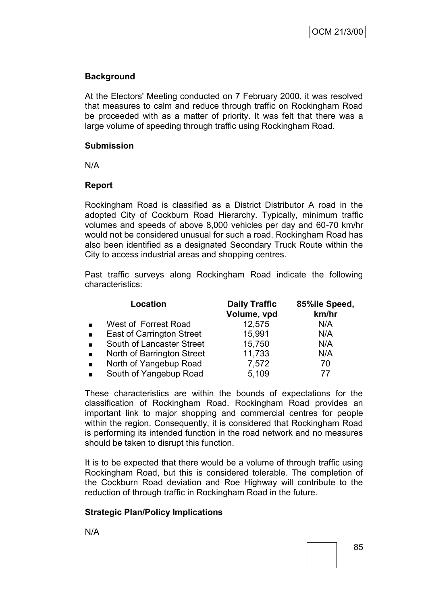## **Background**

At the Electors' Meeting conducted on 7 February 2000, it was resolved that measures to calm and reduce through traffic on Rockingham Road be proceeded with as a matter of priority. It was felt that there was a large volume of speeding through traffic using Rockingham Road.

## **Submission**

N/A

## **Report**

Rockingham Road is classified as a District Distributor A road in the adopted City of Cockburn Road Hierarchy. Typically, minimum traffic volumes and speeds of above 8,000 vehicles per day and 60-70 km/hr would not be considered unusual for such a road. Rockingham Road has also been identified as a designated Secondary Truck Route within the City to access industrial areas and shopping centres.

Past traffic surveys along Rockingham Road indicate the following characteristics:

|                | Location                         | <b>Daily Traffic</b><br>Volume, vpd | 85%ile Speed,<br>km/hr |
|----------------|----------------------------------|-------------------------------------|------------------------|
|                | West of Forrest Road             | 12,575                              | N/A                    |
| $\blacksquare$ | <b>East of Carrington Street</b> | 15,991                              | N/A                    |
|                | South of Lancaster Street        | 15,750                              | N/A                    |
|                | North of Barrington Street       | 11,733                              | N/A                    |
|                | North of Yangebup Road           | 7,572                               | 70                     |
|                | South of Yangebup Road           | 5,109                               | 77                     |

These characteristics are within the bounds of expectations for the classification of Rockingham Road. Rockingham Road provides an important link to major shopping and commercial centres for people within the region. Consequently, it is considered that Rockingham Road is performing its intended function in the road network and no measures should be taken to disrupt this function.

It is to be expected that there would be a volume of through traffic using Rockingham Road, but this is considered tolerable. The completion of the Cockburn Road deviation and Roe Highway will contribute to the reduction of through traffic in Rockingham Road in the future.

## **Strategic Plan/Policy Implications**

N/A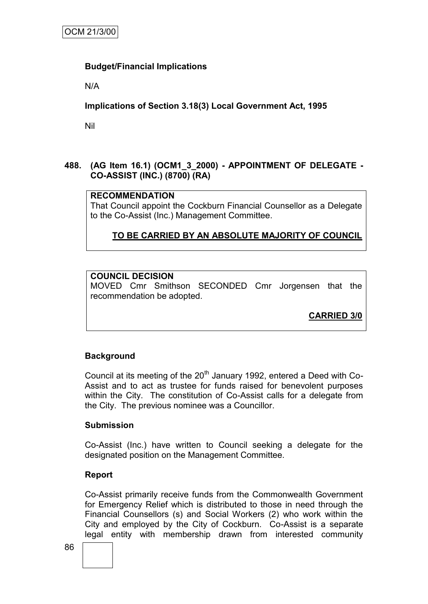## **Budget/Financial Implications**

N/A

## **Implications of Section 3.18(3) Local Government Act, 1995**

Nil

## **488. (AG Item 16.1) (OCM1\_3\_2000) - APPOINTMENT OF DELEGATE - CO-ASSIST (INC.) (8700) (RA)**

## **RECOMMENDATION**

That Council appoint the Cockburn Financial Counsellor as a Delegate to the Co-Assist (Inc.) Management Committee.

## **TO BE CARRIED BY AN ABSOLUTE MAJORITY OF COUNCIL**

## **COUNCIL DECISION**

MOVED Cmr Smithson SECONDED Cmr Jorgensen that the recommendation be adopted.

**CARRIED 3/0**

## **Background**

Council at its meeting of the  $20<sup>th</sup>$  January 1992, entered a Deed with Co-Assist and to act as trustee for funds raised for benevolent purposes within the City. The constitution of Co-Assist calls for a delegate from the City. The previous nominee was a Councillor.

## **Submission**

Co-Assist (Inc.) have written to Council seeking a delegate for the designated position on the Management Committee.

## **Report**

Co-Assist primarily receive funds from the Commonwealth Government for Emergency Relief which is distributed to those in need through the Financial Counsellors (s) and Social Workers (2) who work within the City and employed by the City of Cockburn. Co-Assist is a separate legal entity with membership drawn from interested community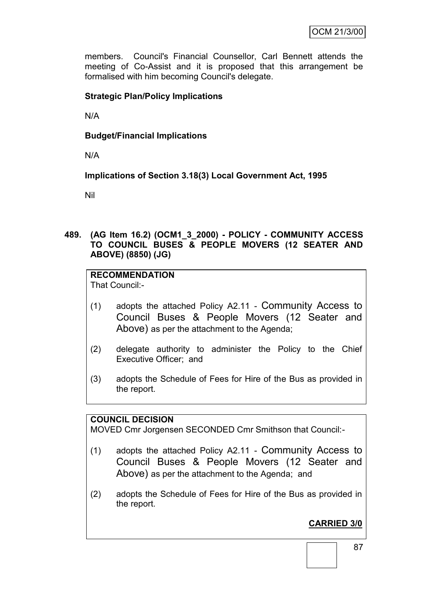members. Council's Financial Counsellor, Carl Bennett attends the meeting of Co-Assist and it is proposed that this arrangement be formalised with him becoming Council's delegate.

## **Strategic Plan/Policy Implications**

N/A

## **Budget/Financial Implications**

N/A

**Implications of Section 3.18(3) Local Government Act, 1995**

Nil

**489. (AG Item 16.2) (OCM1\_3\_2000) - POLICY - COMMUNITY ACCESS TO COUNCIL BUSES & PEOPLE MOVERS (12 SEATER AND ABOVE) (8850) (JG)**

# **RECOMMENDATION**

That Council:-

- (1) adopts the attached Policy A2.11 Community Access to Council Buses & People Movers (12 Seater and Above) as per the attachment to the Agenda;
- (2) delegate authority to administer the Policy to the Chief Executive Officer; and
- (3) adopts the Schedule of Fees for Hire of the Bus as provided in the report.

## **COUNCIL DECISION**

MOVED Cmr Jorgensen SECONDED Cmr Smithson that Council:-

- (1) adopts the attached Policy A2.11 Community Access to Council Buses & People Movers (12 Seater and Above) as per the attachment to the Agenda; and
- (2) adopts the Schedule of Fees for Hire of the Bus as provided in the report.

# **CARRIED 3/0**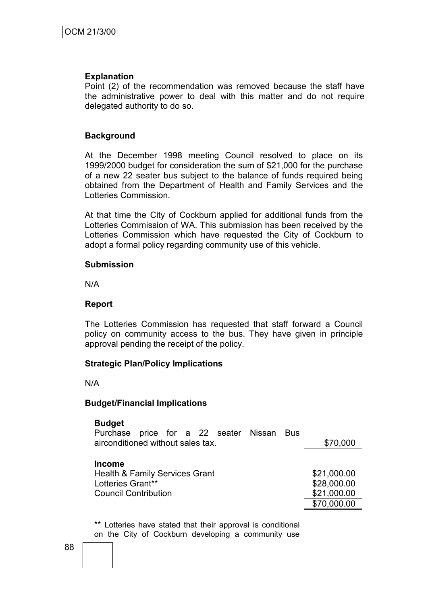#### **Explanation**

Point (2) of the recommendation was removed because the staff have the administrative power to deal with this matter and do not require delegated authority to do so.

### **Background**

At the December 1998 meeting Council resolved to place on its 1999/2000 budget for consideration the sum of \$21,000 for the purchase of a new 22 seater bus subject to the balance of funds required being obtained from the Department of Health and Family Services and the Lotteries Commission.

At that time the City of Cockburn applied for additional funds from the Lotteries Commission of WA. This submission has been received by the Lotteries Commission which have requested the City of Cockburn to adopt a formal policy regarding community use of this vehicle.

#### **Submission**

N/A

### **Report**

The Lotteries Commission has requested that staff forward a Council policy on community access to the bus. They have given in principle approval pending the receipt of the policy.

## **Strategic Plan/Policy Implications**

N/A

#### **Budget/Financial Implications**

#### **Budget**

| Purchase price for a 22 seater Nissan Bus |  |  |  |  |  |  |  |          |
|-------------------------------------------|--|--|--|--|--|--|--|----------|
| airconditioned without sales tax.         |  |  |  |  |  |  |  | \$70,000 |
|                                           |  |  |  |  |  |  |  |          |
| <b>Income</b>                             |  |  |  |  |  |  |  |          |

Health & Family Services Grant \$21,000.00 Lotteries Grant\*\*  $$28,000.00$ Council Contribution  $$21,000.00$ 

\$70,000.00

\*\* Lotteries have stated that their approval is conditional on the City of Cockburn developing a community use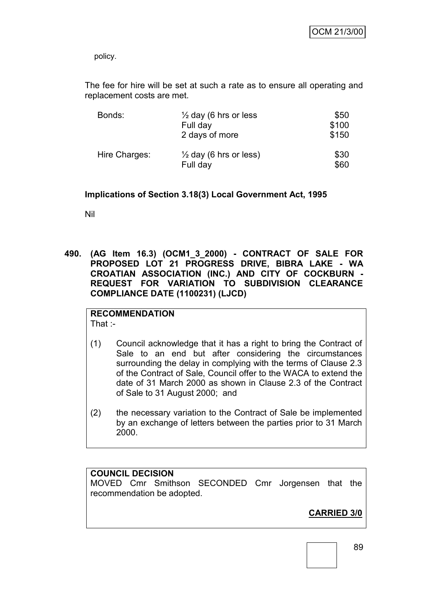policy.

The fee for hire will be set at such a rate as to ensure all operating and replacement costs are met.

| Bonds:        | $\frac{1}{2}$ day (6 hrs or less<br>Full day<br>2 days of more | \$50<br>\$100<br>\$150 |
|---------------|----------------------------------------------------------------|------------------------|
| Hire Charges: | $\frac{1}{2}$ day (6 hrs or less)<br>Full day                  | \$30<br>\$60           |

## **Implications of Section 3.18(3) Local Government Act, 1995**

Nil

**490. (AG Item 16.3) (OCM1\_3\_2000) - CONTRACT OF SALE FOR PROPOSED LOT 21 PROGRESS DRIVE, BIBRA LAKE - WA CROATIAN ASSOCIATION (INC.) AND CITY OF COCKBURN - REQUEST FOR VARIATION TO SUBDIVISION CLEARANCE COMPLIANCE DATE (1100231) (LJCD)**

# **RECOMMENDATION**

That :-

- (1) Council acknowledge that it has a right to bring the Contract of Sale to an end but after considering the circumstances surrounding the delay in complying with the terms of Clause 2.3 of the Contract of Sale, Council offer to the WACA to extend the date of 31 March 2000 as shown in Clause 2.3 of the Contract of Sale to 31 August 2000; and
- (2) the necessary variation to the Contract of Sale be implemented by an exchange of letters between the parties prior to 31 March 2000.

## **COUNCIL DECISION**

MOVED Cmr Smithson SECONDED Cmr Jorgensen that the recommendation be adopted.

**CARRIED 3/0**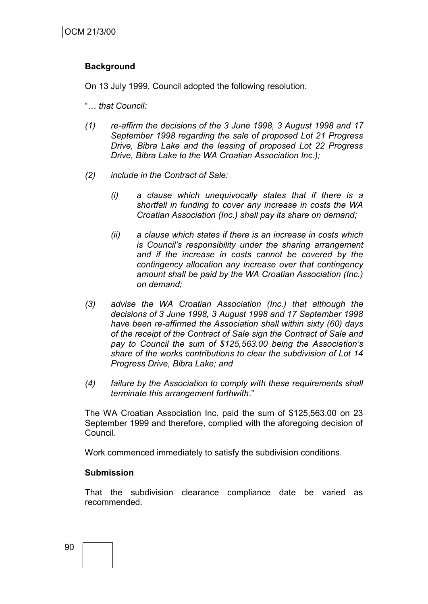## **Background**

On 13 July 1999, Council adopted the following resolution:

- "… *that Council:*
- *(1) re-affirm the decisions of the 3 June 1998, 3 August 1998 and 17 September 1998 regarding the sale of proposed Lot 21 Progress Drive, Bibra Lake and the leasing of proposed Lot 22 Progress Drive, Bibra Lake to the WA Croatian Association Inc.);*
- *(2) include in the Contract of Sale:*
	- *(i) a clause which unequivocally states that if there is a shortfall in funding to cover any increase in costs the WA Croatian Association (Inc.) shall pay its share on demand;*
	- *(ii) a clause which states if there is an increase in costs which is Council's responsibility under the sharing arrangement and if the increase in costs cannot be covered by the contingency allocation any increase over that contingency amount shall be paid by the WA Croatian Association (Inc.) on demand;*
- *(3) advise the WA Croatian Association (Inc.) that although the decisions of 3 June 1998, 3 August 1998 and 17 September 1998 have been re-affirmed the Association shall within sixty (60) days of the receipt of the Contract of Sale sign the Contract of Sale and pay to Council the sum of \$125,563.00 being the Association's share of the works contributions to clear the subdivision of Lot 14 Progress Drive, Bibra Lake; and*
- *(4) failure by the Association to comply with these requirements shall terminate this arrangement forthwith*."

The WA Croatian Association Inc. paid the sum of \$125,563.00 on 23 September 1999 and therefore, complied with the aforegoing decision of Council.

Work commenced immediately to satisfy the subdivision conditions.

#### **Submission**

That the subdivision clearance compliance date be varied as recommended.

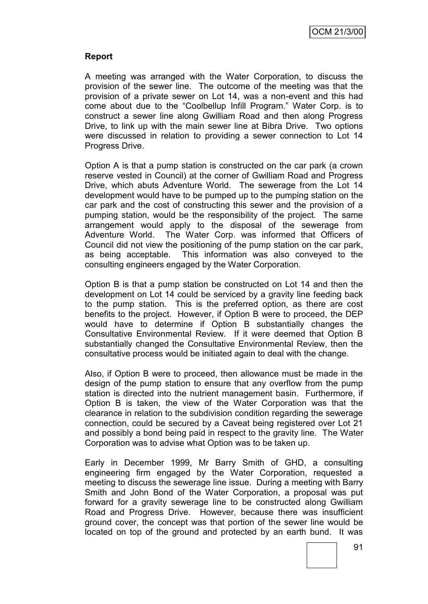## **Report**

A meeting was arranged with the Water Corporation, to discuss the provision of the sewer line. The outcome of the meeting was that the provision of a private sewer on Lot 14, was a non-event and this had come about due to the "Coolbellup Infill Program." Water Corp. is to construct a sewer line along Gwilliam Road and then along Progress Drive, to link up with the main sewer line at Bibra Drive. Two options were discussed in relation to providing a sewer connection to Lot 14 Progress Drive.

Option A is that a pump station is constructed on the car park (a crown reserve vested in Council) at the corner of Gwilliam Road and Progress Drive, which abuts Adventure World. The sewerage from the Lot 14 development would have to be pumped up to the pumping station on the car park and the cost of constructing this sewer and the provision of a pumping station, would be the responsibility of the project. The same arrangement would apply to the disposal of the sewerage from Adventure World. The Water Corp. was informed that Officers of Council did not view the positioning of the pump station on the car park, as being acceptable. This information was also conveyed to the consulting engineers engaged by the Water Corporation.

Option B is that a pump station be constructed on Lot 14 and then the development on Lot 14 could be serviced by a gravity line feeding back to the pump station. This is the preferred option, as there are cost benefits to the project. However, if Option B were to proceed, the DEP would have to determine if Option B substantially changes the Consultative Environmental Review. If it were deemed that Option B substantially changed the Consultative Environmental Review, then the consultative process would be initiated again to deal with the change.

Also, if Option B were to proceed, then allowance must be made in the design of the pump station to ensure that any overflow from the pump station is directed into the nutrient management basin. Furthermore, if Option B is taken, the view of the Water Corporation was that the clearance in relation to the subdivision condition regarding the sewerage connection, could be secured by a Caveat being registered over Lot 21 and possibly a bond being paid in respect to the gravity line. The Water Corporation was to advise what Option was to be taken up.

Early in December 1999, Mr Barry Smith of GHD, a consulting engineering firm engaged by the Water Corporation, requested a meeting to discuss the sewerage line issue. During a meeting with Barry Smith and John Bond of the Water Corporation, a proposal was put forward for a gravity sewerage line to be constructed along Gwilliam Road and Progress Drive. However, because there was insufficient ground cover, the concept was that portion of the sewer line would be located on top of the ground and protected by an earth bund. It was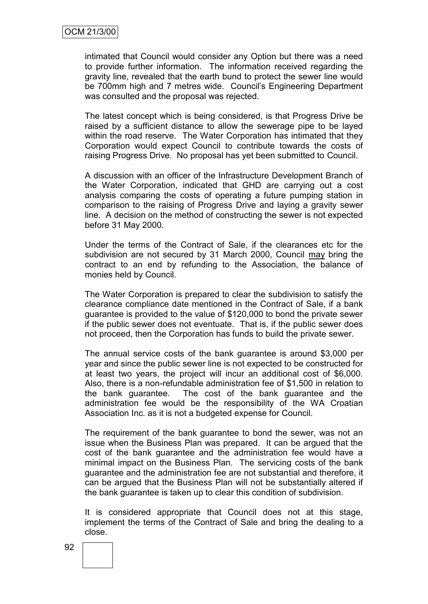intimated that Council would consider any Option but there was a need to provide further information. The information received regarding the gravity line, revealed that the earth bund to protect the sewer line would be 700mm high and 7 metres wide. Council's Engineering Department was consulted and the proposal was rejected.

The latest concept which is being considered, is that Progress Drive be raised by a sufficient distance to allow the sewerage pipe to be layed within the road reserve. The Water Corporation has intimated that they Corporation would expect Council to contribute towards the costs of raising Progress Drive. No proposal has yet been submitted to Council.

A discussion with an officer of the Infrastructure Development Branch of the Water Corporation, indicated that GHD are carrying out a cost analysis comparing the costs of operating a future pumping station in comparison to the raising of Progress Drive and laying a gravity sewer line. A decision on the method of constructing the sewer is not expected before 31 May 2000.

Under the terms of the Contract of Sale, if the clearances etc for the subdivision are not secured by 31 March 2000, Council may bring the contract to an end by refunding to the Association, the balance of monies held by Council.

The Water Corporation is prepared to clear the subdivision to satisfy the clearance compliance date mentioned in the Contract of Sale, if a bank guarantee is provided to the value of \$120,000 to bond the private sewer if the public sewer does not eventuate. That is, if the public sewer does not proceed, then the Corporation has funds to build the private sewer.

The annual service costs of the bank guarantee is around \$3,000 per year and since the public sewer line is not expected to be constructed for at least two years, the project will incur an additional cost of \$6,000. Also, there is a non-refundable administration fee of \$1,500 in relation to the bank guarantee. The cost of the bank guarantee and the administration fee would be the responsibility of the WA Croatian Association Inc. as it is not a budgeted expense for Council.

The requirement of the bank guarantee to bond the sewer, was not an issue when the Business Plan was prepared. It can be argued that the cost of the bank guarantee and the administration fee would have a minimal impact on the Business Plan. The servicing costs of the bank guarantee and the administration fee are not substantial and therefore, it can be argued that the Business Plan will not be substantially altered if the bank guarantee is taken up to clear this condition of subdivision.

It is considered appropriate that Council does not at this stage, implement the terms of the Contract of Sale and bring the dealing to a close.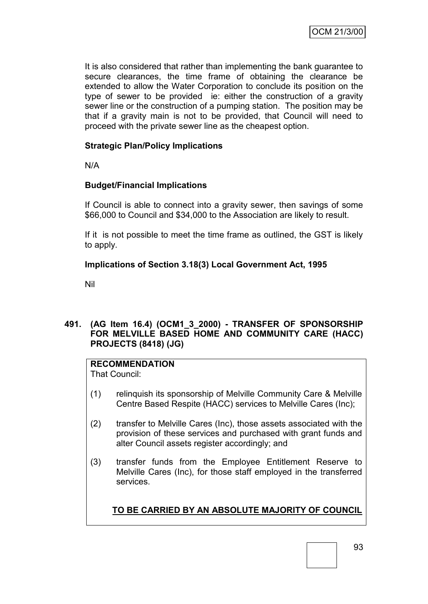It is also considered that rather than implementing the bank guarantee to secure clearances, the time frame of obtaining the clearance be extended to allow the Water Corporation to conclude its position on the type of sewer to be provided ie: either the construction of a gravity sewer line or the construction of a pumping station. The position may be that if a gravity main is not to be provided, that Council will need to proceed with the private sewer line as the cheapest option.

## **Strategic Plan/Policy Implications**

N/A

## **Budget/Financial Implications**

If Council is able to connect into a gravity sewer, then savings of some \$66,000 to Council and \$34,000 to the Association are likely to result.

If it is not possible to meet the time frame as outlined, the GST is likely to apply.

### **Implications of Section 3.18(3) Local Government Act, 1995**

Nil

## **491. (AG Item 16.4) (OCM1\_3\_2000) - TRANSFER OF SPONSORSHIP FOR MELVILLE BASED HOME AND COMMUNITY CARE (HACC) PROJECTS (8418) (JG)**

## **RECOMMENDATION**

That Council:

- (1) relinquish its sponsorship of Melville Community Care & Melville Centre Based Respite (HACC) services to Melville Cares (Inc);
- (2) transfer to Melville Cares (Inc), those assets associated with the provision of these services and purchased with grant funds and alter Council assets register accordingly; and
- (3) transfer funds from the Employee Entitlement Reserve to Melville Cares (Inc), for those staff employed in the transferred services.

## **TO BE CARRIED BY AN ABSOLUTE MAJORITY OF COUNCIL**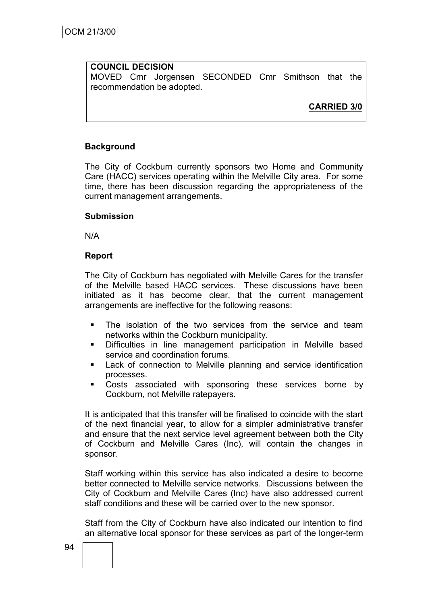## **COUNCIL DECISION**

MOVED Cmr Jorgensen SECONDED Cmr Smithson that the recommendation be adopted.

**CARRIED 3/0**

## **Background**

The City of Cockburn currently sponsors two Home and Community Care (HACC) services operating within the Melville City area. For some time, there has been discussion regarding the appropriateness of the current management arrangements.

## **Submission**

N/A

## **Report**

The City of Cockburn has negotiated with Melville Cares for the transfer of the Melville based HACC services. These discussions have been initiated as it has become clear, that the current management arrangements are ineffective for the following reasons:

- The isolation of the two services from the service and team networks within the Cockburn municipality.
- Difficulties in line management participation in Melville based service and coordination forums.
- Lack of connection to Melville planning and service identification processes.
- Costs associated with sponsoring these services borne by Cockburn, not Melville ratepayers.

It is anticipated that this transfer will be finalised to coincide with the start of the next financial year, to allow for a simpler administrative transfer and ensure that the next service level agreement between both the City of Cockburn and Melville Cares (Inc), will contain the changes in sponsor.

Staff working within this service has also indicated a desire to become better connected to Melville service networks. Discussions between the City of Cockburn and Melville Cares (Inc) have also addressed current staff conditions and these will be carried over to the new sponsor.

Staff from the City of Cockburn have also indicated our intention to find an alternative local sponsor for these services as part of the longer-term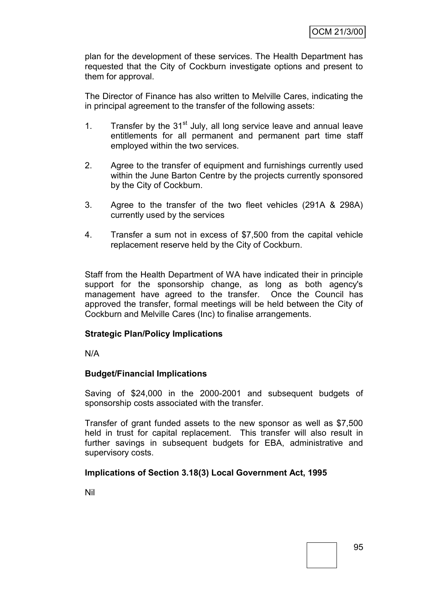plan for the development of these services. The Health Department has requested that the City of Cockburn investigate options and present to them for approval.

The Director of Finance has also written to Melville Cares, indicating the in principal agreement to the transfer of the following assets:

- 1. Transfer by the  $31<sup>st</sup>$  July, all long service leave and annual leave entitlements for all permanent and permanent part time staff employed within the two services.
- 2. Agree to the transfer of equipment and furnishings currently used within the June Barton Centre by the projects currently sponsored by the City of Cockburn.
- 3. Agree to the transfer of the two fleet vehicles (291A & 298A) currently used by the services
- 4. Transfer a sum not in excess of \$7,500 from the capital vehicle replacement reserve held by the City of Cockburn.

Staff from the Health Department of WA have indicated their in principle support for the sponsorship change, as long as both agency's management have agreed to the transfer. Once the Council has approved the transfer, formal meetings will be held between the City of Cockburn and Melville Cares (Inc) to finalise arrangements.

## **Strategic Plan/Policy Implications**

N/A

## **Budget/Financial Implications**

Saving of \$24,000 in the 2000-2001 and subsequent budgets of sponsorship costs associated with the transfer.

Transfer of grant funded assets to the new sponsor as well as \$7,500 held in trust for capital replacement. This transfer will also result in further savings in subsequent budgets for EBA, administrative and supervisory costs.

## **Implications of Section 3.18(3) Local Government Act, 1995**

Nil